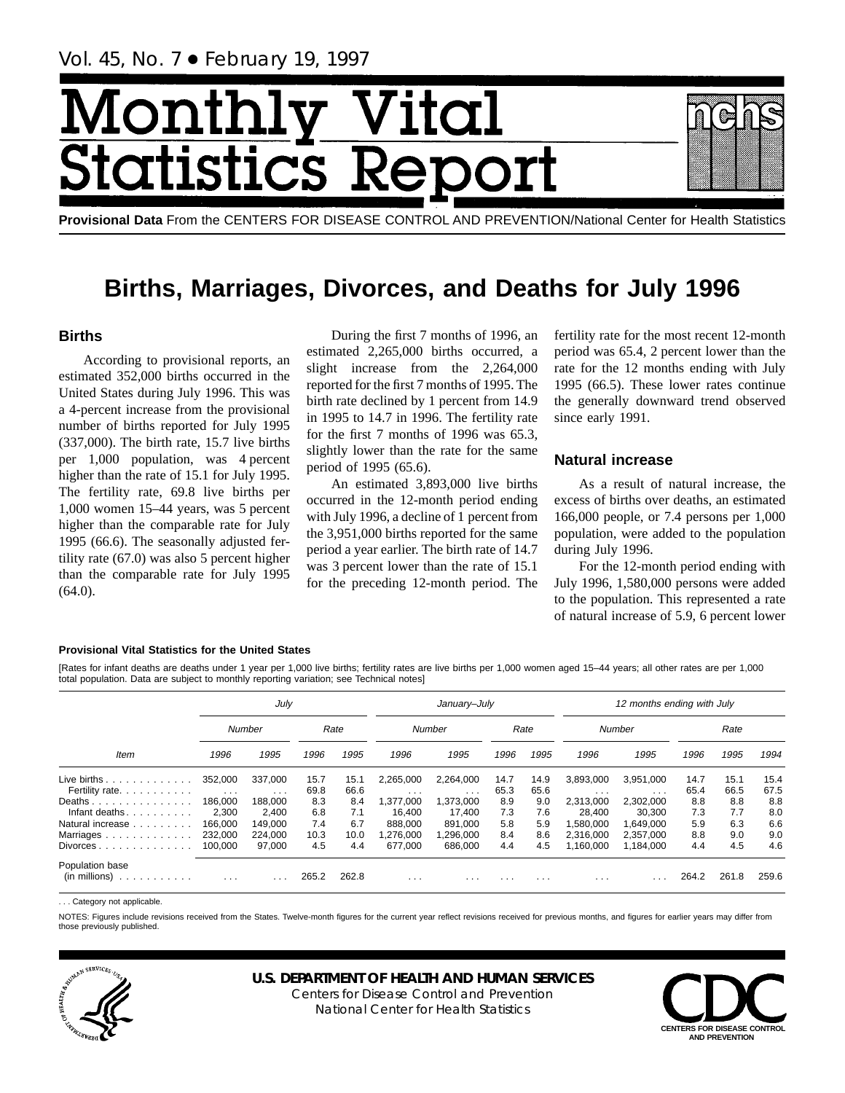# Month Vital tics R tatist

**Provisional Data** From the CENTERS FOR DISEASE CONTROL AND PREVENTION/National Center for Health Statistics

## **Births, Marriages, Divorces, and Deaths for July 1996**

## **Births**

According to provisional reports, an estimated 352,000 births occurred in the United States during July 1996. This was a 4-percent increase from the provisional number of births reported for July 1995 (337,000). The birth rate, 15.7 live births per 1,000 population, was 4 percent higher than the rate of 15.1 for July 1995. The fertility rate, 69.8 live births per 1,000 women 15–44 years, was 5 percent higher than the comparable rate for July 1995 (66.6). The seasonally adjusted fertility rate (67.0) was also 5 percent higher than the comparable rate for July 1995 (64.0).

During the first 7 months of 1996, an estimated 2,265,000 births occurred, a slight increase from the 2,264,000 reported for the first 7 months of 1995. The birth rate declined by 1 percent from 14.9 in 1995 to 14.7 in 1996. The fertility rate for the first 7 months of 1996 was 65.3, slightly lower than the rate for the same period of 1995 (65.6).

An estimated 3,893,000 live births occurred in the 12-month period ending with July 1996, a decline of 1 percent from the 3,951,000 births reported for the same period a year earlier. The birth rate of 14.7 was 3 percent lower than the rate of 15.1 for the preceding 12-month period. The

fertility rate for the most recent 12-month period was 65.4, 2 percent lower than the rate for the 12 months ending with July 1995 (66.5). These lower rates continue the generally downward trend observed since early 1991.

## **Natural increase**

As a result of natural increase, the excess of births over deaths, an estimated 166,000 people, or 7.4 persons per 1,000 population, were added to the population during July 1996.

For the 12-month period ending with July 1996, 1,580,000 persons were added to the population. This represented a rate of natural increase of 5.9, 6 percent lower

#### **Provisional Vital Statistics for the United States**

[Rates for infant deaths are deaths under 1 year per 1,000 live births; fertility rates are live births per 1,000 women aged 15–44 years; all other rates are per 1,000 total population. Data are subject to monthly reporting variation; see [Technical notes\]](#page-16-0)

|                                          |                         | July                    |       |       |                         | January-July |      |                         |           | 12 months ending with July |       |       |       |
|------------------------------------------|-------------------------|-------------------------|-------|-------|-------------------------|--------------|------|-------------------------|-----------|----------------------------|-------|-------|-------|
|                                          |                         | Number                  |       | Rate  |                         | Number       |      | Rate                    |           | Number                     |       | Rate  |       |
| Item                                     | 1996                    | 1995                    | 1996  | 1995  | 1996                    | 1995         | 1996 | 1995                    | 1996      | 1995                       | 1996  | 1995  | 1994  |
| Live births $\ldots$                     | 352,000                 | 337.000                 | 15.7  | 15.1  | 2,265,000               | 2,264,000    | 14.7 | 14.9                    | 3,893,000 | 3.951.000                  | 14.7  | 15.1  | 15.4  |
| Fertility rate.                          | $\sim$ $\sim$ $\sim$    | $\cdots$                | 69.8  | 66.6  | $\cdots$                | $\cdots$     | 65.3 | 65.6                    | $\cdots$  | $\cdots$                   | 65.4  | 66.5  | 67.5  |
| Deaths                                   | 186.000                 | 188.000                 | 8.3   | 8.4   | 1.377.000               | 1,373,000    | 8.9  | 9.0                     | 2.313.000 | 2.302.000                  | 8.8   | 8.8   | 8.8   |
| Infant deaths                            | 2,300                   | 2.400                   | 6.8   | 7.1   | 16.400                  | 17.400       | 7.3  | 7.6                     | 28.400    | 30.300                     | 7.3   | 7.7   | 8.0   |
| Natural increase                         | 166.000                 | 149.000                 | 7.4   | 6.7   | 888.000                 | 891.000      | 5.8  | 5.9                     | ,580,000  | 1,649,000                  | 5.9   | 6.3   | 6.6   |
| Marriages                                | 232.000                 | 224,000                 | 10.3  | 10.0  | .276.000                | 1,296,000    | 8.4  | 8.6                     | 2.316.000 | 2.357.000                  | 8.8   | 9.0   | 9.0   |
| $Divorces \dots \dots \dots \dots \dots$ | 100.000                 | 97,000                  | 4.5   | 4.4   | 677.000                 | 686,000      | 4.4  | 4.5                     | ,160,000  | 1,184,000                  | 4.4   | 4.5   | 4.6   |
| Population base<br>(in millions)<br>.    | $\cdot$ $\cdot$ $\cdot$ | $\cdot$ $\cdot$ $\cdot$ | 265.2 | 262.8 | $\cdot$ $\cdot$ $\cdot$ | .            | .    | $\cdot$ $\cdot$ $\cdot$ | .         |                            | 264.2 | 261.8 | 259.6 |

.. Category not applicable

NOTES: Figures include revisions received from the States. Twelve-month figures for the current year reflect revisions received for previous months, and figures for earlier years may differ from those previously published.



## **U.S. DEPARTMENT OF HEALTH AND HUMAN SERVICES**

Centers for Disease Control and Prevention National Center for Health Statistics

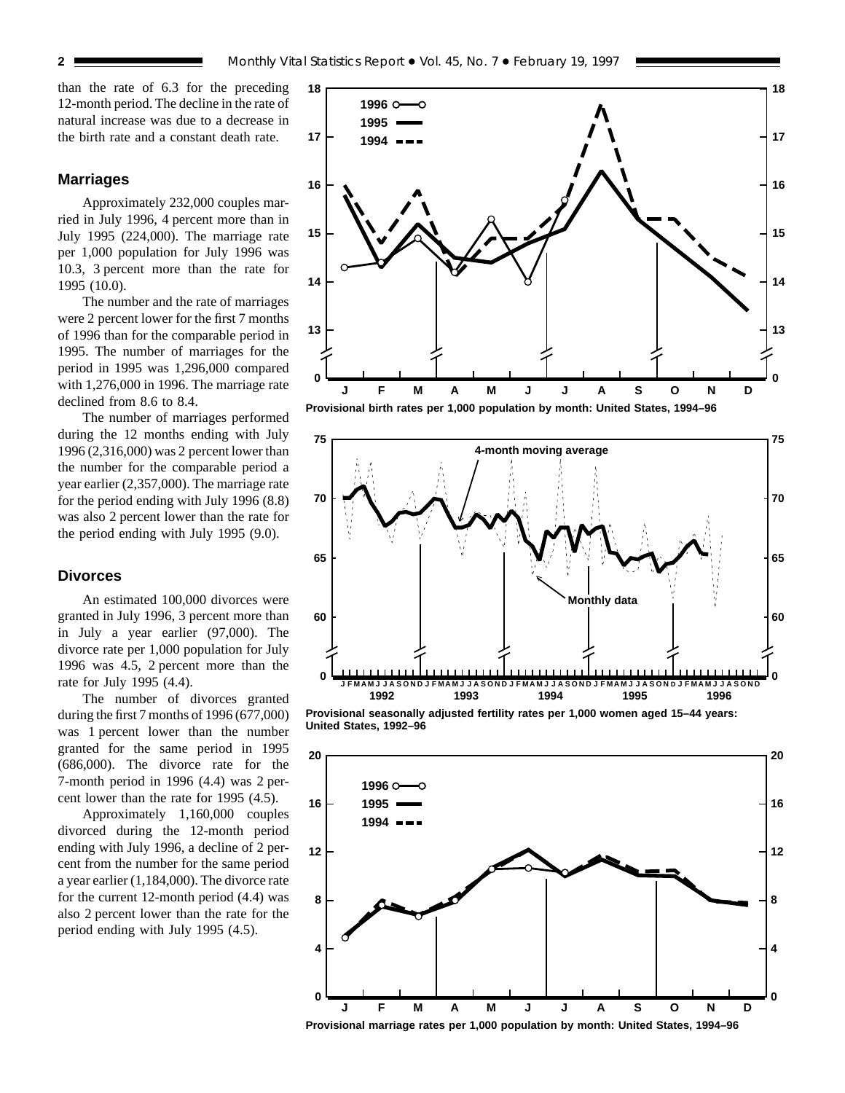than the rate of 6.3 for the preceding 12-month period. The decline in the rate of natural increase was due to a decrease in the birth rate and a constant death rate.

## **Marriages**

Approximately 232,000 couples married in July 1996, 4 percent more than in July 1995 (224,000). The marriage rate per 1,000 population for July 1996 was 10.3, 3 percent more than the rate for 1995 (10.0).

The number and the rate of marriages were 2 percent lower for the first 7 months of 1996 than for the comparable period in 1995. The number of marriages for the period in 1995 was 1,296,000 compared with 1,276,000 in 1996. The marriage rate declined from 8.6 to 8.4.

The number of marriages performed during the 12 months ending with July 1996 (2,316,000) was 2 percent lower than the number for the comparable period a year earlier (2,357,000). The marriage rate for the period ending with July 1996 (8.8) was also 2 percent lower than the rate for the period ending with July 1995 (9.0).

## **Divorces**

An estimated 100,000 divorces were granted in July 1996, 3 percent more than in July a year earlier (97,000). The divorce rate per 1,000 population for July 1996 was 4.5, 2 percent more than the rate for July 1995 (4.4).

The number of divorces granted during the first 7 months of 1996 (677,000) was 1 percent lower than the number granted for the same period in 1995 (686,000). The divorce rate for the 7-month period in 1996 (4.4) was 2 percent lower than the rate for 1995 (4.5).

Approximately 1,160,000 couples divorced during the 12-month period ending with July 1996, a decline of 2 percent from the number for the same period a year earlier (1,184,000). The divorce rate for the current 12-month period (4.4) was also 2 percent lower than the rate for the period ending with July 1995 (4.5).





**Provisional seasonally adjusted fertility rates per 1,000 women aged 15–44 years: United States, 1992–96**



**Provisional marriage rates per 1,000 population by month: United States, 1994–96**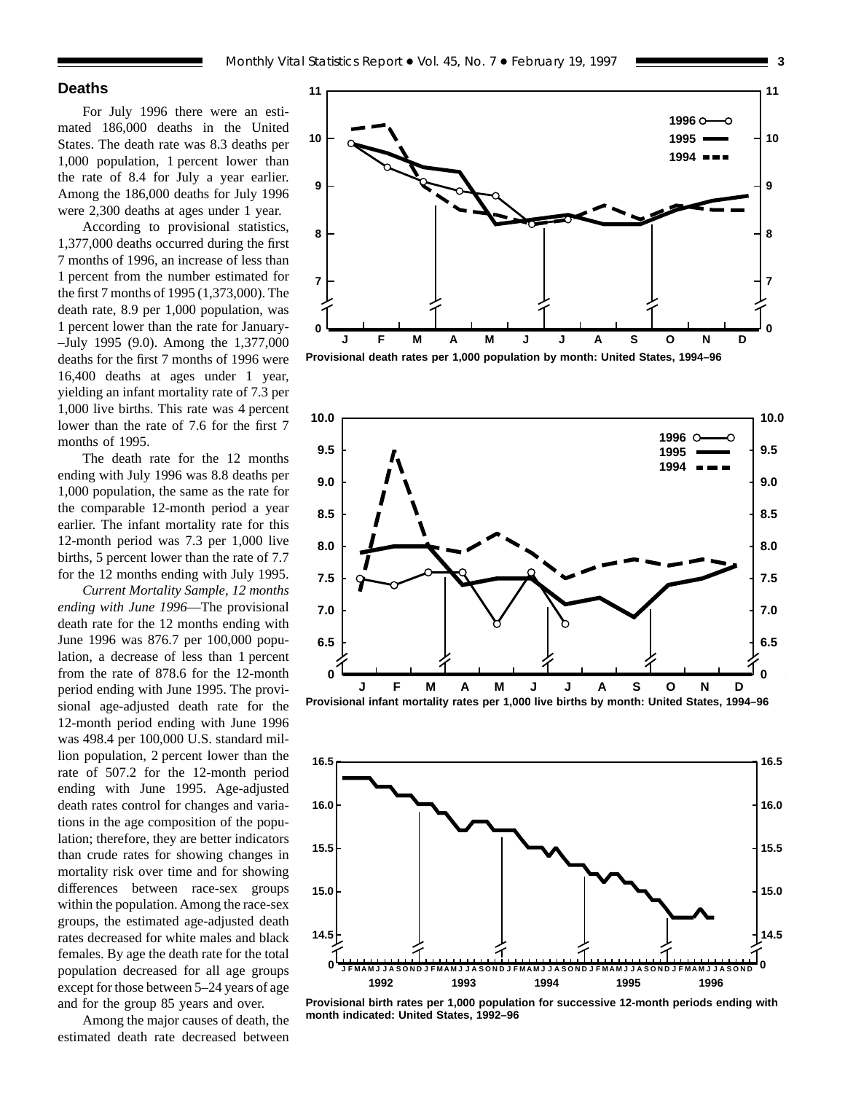## **Deaths**

For July 1996 there were an estimated 186,000 deaths in the United States. The death rate was 8.3 deaths per 1,000 population, 1 percent lower than the rate of 8.4 for July a year earlier. Among the 186,000 deaths for July 1996 were 2,300 deaths at ages under 1 year.

According to provisional statistics, 1,377,000 deaths occurred during the first 7 months of 1996, an increase of less than 1 percent from the number estimated for the first 7 months of 1995 (1,373,000). The death rate, 8.9 per 1,000 population, was 1 percent lower than the rate for January- –July 1995 (9.0). Among the 1,377,000 deaths for the first 7 months of 1996 were 16,400 deaths at ages under 1 year, yielding an infant mortality rate of 7.3 per 1,000 live births. This rate was 4 percent lower than the rate of 7.6 for the first 7 months of 1995.

The death rate for the 12 months ending with July 1996 was 8.8 deaths per 1,000 population, the same as the rate for the comparable 12-month period a year earlier. The infant mortality rate for this 12-month period was 7.3 per 1,000 live births, 5 percent lower than the rate of 7.7 for the 12 months ending with July 1995.

*Current Mortality Sample, 12 months ending with June 1996*—The provisional death rate for the 12 months ending with June 1996 was 876.7 per 100,000 population, a decrease of less than 1 percent from the rate of 878.6 for the 12-month period ending with June 1995. The provisional age-adjusted death rate for the 12-month period ending with June 1996 was 498.4 per 100,000 U.S. standard million population, 2 percent lower than the rate of 507.2 for the 12-month period ending with June 1995. Age-adjusted death rates control for changes and variations in the age composition of the population; therefore, they are better indicators than crude rates for showing changes in mortality risk over time and for showing differences between race-sex groups within the population. Among the race-sex groups, the estimated age-adjusted death rates decreased for white males and black females. By age the death rate for the total population decreased for all age groups except for those between 5–24 years of age and for the group 85 years and over.

Among the major causes of death, the estimated death rate decreased between









**Provisional birth rates per 1,000 population for successive 12-month periods ending with month indicated: United States, 1992–96**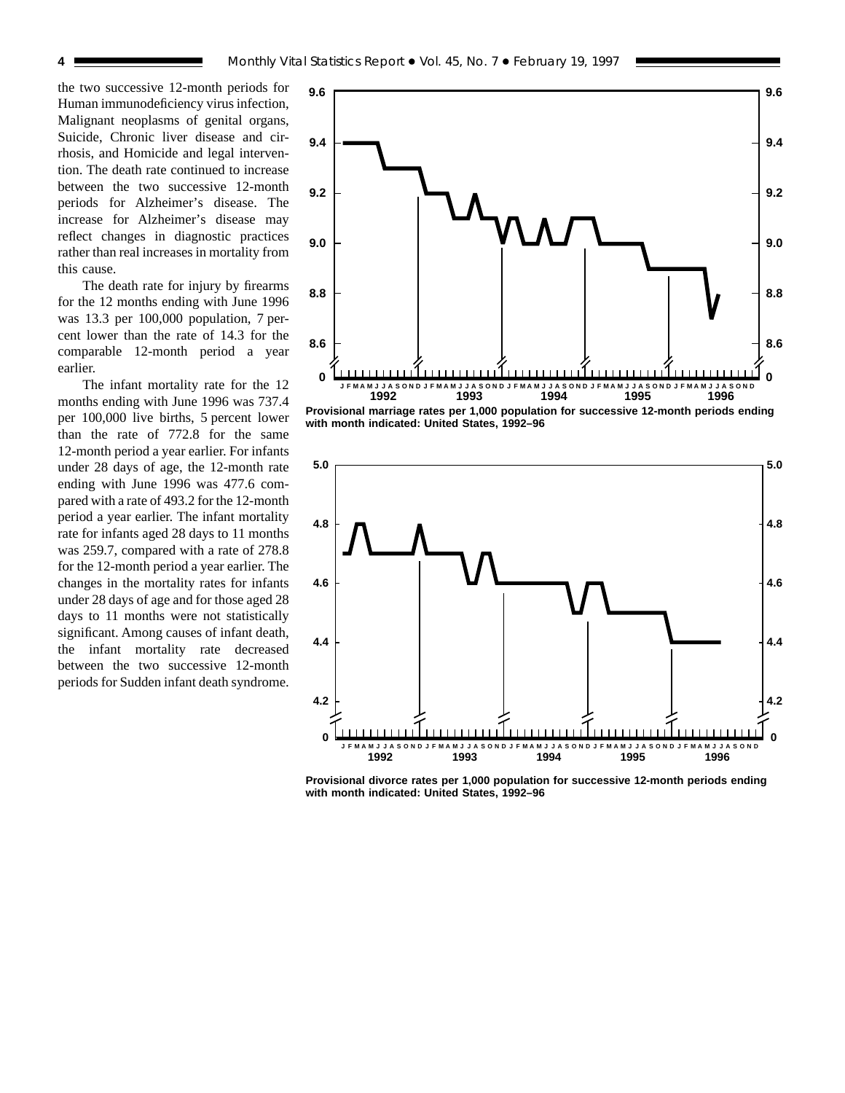the two successive 12-month periods for Human immunodeficiency virus infection, Malignant neoplasms of genital organs, Suicide, Chronic liver disease and cirrhosis, and Homicide and legal intervention. The death rate continued to increase between the two successive 12-month periods for Alzheimer's disease. The increase for Alzheimer's disease may reflect changes in diagnostic practices rather than real increases in mortality from this cause.

The death rate for injury by firearms for the 12 months ending with June 1996 was 13.3 per 100,000 population, 7 percent lower than the rate of 14.3 for the comparable 12-month period a year earlier.

The infant mortality rate for the 12 months ending with June 1996 was 737.4 per 100,000 live births, 5 percent lower than the rate of 772.8 for the same 12-month period a year earlier. For infants under 28 days of age, the 12-month rate ending with June 1996 was 477.6 compared with a rate of 493.2 for the 12-month period a year earlier. The infant mortality rate for infants aged 28 days to 11 months was 259.7, compared with a rate of 278.8 for the 12-month period a year earlier. The changes in the mortality rates for infants under 28 days of age and for those aged 28 days to 11 months were not statistically significant. Among causes of infant death, the infant mortality rate decreased between the two successive 12-month periods for Sudden infant death syndrome.



**Provisional marriage rates per 1,000 population for successive 12-month periods ending with month indicated: United States, 1992–96**



**Provisional divorce rates per 1,000 population for successive 12-month periods ending with month indicated: United States, 1992–96**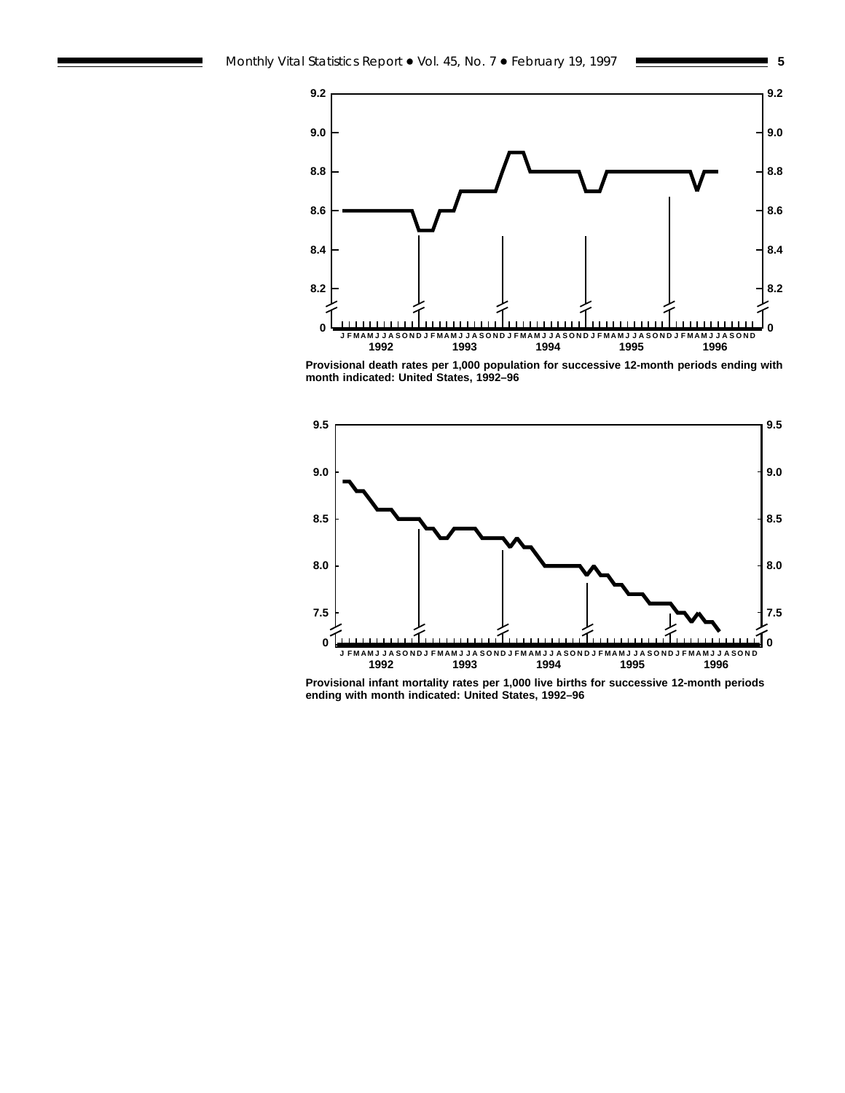

**Provisional death rates per 1,000 population for successive 12-month periods ending with month indicated: United States, 1992–96**



**Provisional infant mortality rates per 1,000 live births for successive 12-month periods ending with month indicated: United States, 1992–96**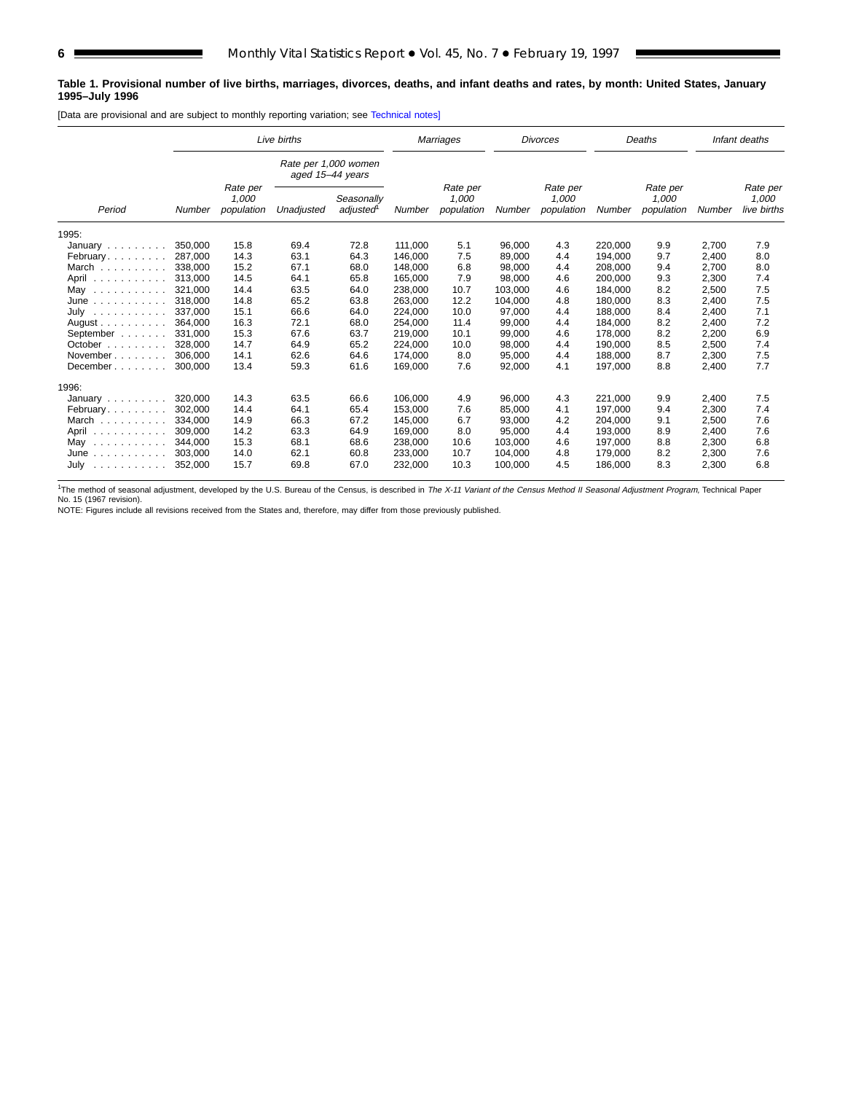#### **Table 1. Provisional number of live births, marriages, divorces, deaths, and infant deaths and rates, by month: United States, January 1995–July 1996**

[Data are provisional and are subject to monthly reporting variation; see [Technical notes\]](#page-16-0)

|                                                                                                   |         |                                 | Live births                              |                        |         | Marriages                       |         | <b>Divorces</b>                 |         | Deaths                          |        | Infant deaths                    |
|---------------------------------------------------------------------------------------------------|---------|---------------------------------|------------------------------------------|------------------------|---------|---------------------------------|---------|---------------------------------|---------|---------------------------------|--------|----------------------------------|
|                                                                                                   |         |                                 | Rate per 1,000 women<br>aged 15-44 years |                        |         |                                 |         |                                 |         |                                 |        |                                  |
| Period                                                                                            | Number  | Rate per<br>1,000<br>population | Unadjusted                               | Seasonally<br>adjusted | Number  | Rate per<br>1,000<br>population | Number  | Rate per<br>1,000<br>population | Number  | Rate per<br>1,000<br>population | Number | Rate per<br>1,000<br>live births |
| 1995:                                                                                             |         |                                 |                                          |                        |         |                                 |         |                                 |         |                                 |        |                                  |
| January                                                                                           | 350,000 | 15.8                            | 69.4                                     | 72.8                   | 111.000 | 5.1                             | 96,000  | 4.3                             | 220,000 | 9.9                             | 2.700  | 7.9                              |
| February                                                                                          | 287,000 | 14.3                            | 63.1                                     | 64.3                   | 146,000 | 7.5                             | 89,000  | 4.4                             | 194,000 | 9.7                             | 2,400  | 8.0                              |
| March                                                                                             | 338,000 | 15.2                            | 67.1                                     | 68.0                   | 148.000 | 6.8                             | 98,000  | 4.4                             | 208.000 | 9.4                             | 2,700  | 8.0                              |
| April                                                                                             | 313,000 | 14.5                            | 64.1                                     | 65.8                   | 165,000 | 7.9                             | 98,000  | 4.6                             | 200,000 | 9.3                             | 2,300  | 7.4                              |
| May<br>.                                                                                          | 321.000 | 14.4                            | 63.5                                     | 64.0                   | 238,000 | 10.7                            | 103.000 | 4.6                             | 184.000 | 8.2                             | 2,500  | 7.5                              |
| June                                                                                              | 318,000 | 14.8                            | 65.2                                     | 63.8                   | 263,000 | 12.2                            | 104,000 | 4.8                             | 180.000 | 8.3                             | 2,400  | 7.5                              |
| July<br>$\begin{array}{cccccccccccccc} . & . & . & . & . & . & . & . & . & . & . & . \end{array}$ | 337.000 | 15.1                            | 66.6                                     | 64.0                   | 224,000 | 10.0                            | 97,000  | 4.4                             | 188.000 | 8.4                             | 2,400  | 7.1                              |
| August                                                                                            | 364.000 | 16.3                            | 72.1                                     | 68.0                   | 254,000 | 11.4                            | 99,000  | 4.4                             | 184,000 | 8.2                             | 2,400  | 7.2                              |
| September                                                                                         | 331.000 | 15.3                            | 67.6                                     | 63.7                   | 219.000 | 10.1                            | 99.000  | 4.6                             | 178.000 | 8.2                             | 2.200  | 6.9                              |
| October $\ldots$                                                                                  | 328.000 | 14.7                            | 64.9                                     | 65.2                   | 224.000 | 10.0                            | 98.000  | 4.4                             | 190.000 | 8.5                             | 2,500  | 7.4                              |
| November                                                                                          | 306.000 | 14.1                            | 62.6                                     | 64.6                   | 174,000 | 8.0                             | 95.000  | 4.4                             | 188.000 | 8.7                             | 2,300  | 7.5                              |
| December                                                                                          | 300,000 | 13.4                            | 59.3                                     | 61.6                   | 169,000 | 7.6                             | 92,000  | 4.1                             | 197,000 | 8.8                             | 2,400  | 7.7                              |
| 1996:                                                                                             |         |                                 |                                          |                        |         |                                 |         |                                 |         |                                 |        |                                  |
| January $\ldots$ , $\ldots$                                                                       | 320,000 | 14.3                            | 63.5                                     | 66.6                   | 106,000 | 4.9                             | 96,000  | 4.3                             | 221,000 | 9.9                             | 2,400  | 7.5                              |
| February                                                                                          | 302,000 | 14.4                            | 64.1                                     | 65.4                   | 153,000 | 7.6                             | 85,000  | 4.1                             | 197.000 | 9.4                             | 2,300  | 7.4                              |
| March                                                                                             | 334.000 | 14.9                            | 66.3                                     | 67.2                   | 145.000 | 6.7                             | 93,000  | 4.2                             | 204.000 | 9.1                             | 2,500  | 7.6                              |
| April                                                                                             | 309,000 | 14.2                            | 63.3                                     | 64.9                   | 169,000 | 8.0                             | 95,000  | 4.4                             | 193,000 | 8.9                             | 2,400  | 7.6                              |
| May<br>.                                                                                          | 344.000 | 15.3                            | 68.1                                     | 68.6                   | 238,000 | 10.6                            | 103,000 | 4.6                             | 197,000 | 8.8                             | 2,300  | 6.8                              |
| June<br>.                                                                                         | 303,000 | 14.0                            | 62.1                                     | 60.8                   | 233,000 | 10.7                            | 104,000 | 4.8                             | 179,000 | 8.2                             | 2,300  | 7.6                              |
| July<br>$\mathcal{A}$ . The set of the set of the set of the $\mathcal{A}$                        | 352,000 | 15.7                            | 69.8                                     | 67.0                   | 232,000 | 10.3                            | 100,000 | 4.5                             | 186,000 | 8.3                             | 2,300  | 6.8                              |

<sup>1</sup>The method of seasonal adjustment, developed by the U.S. Bureau of the Census, is described in *The X-11 Variant of the Census Method II Seasonal Adjustment Program,* Technical Paper<br>No. 15 (1967 revision).

NOTE: Figures include all revisions received from the States and, therefore, may differ from those previously published.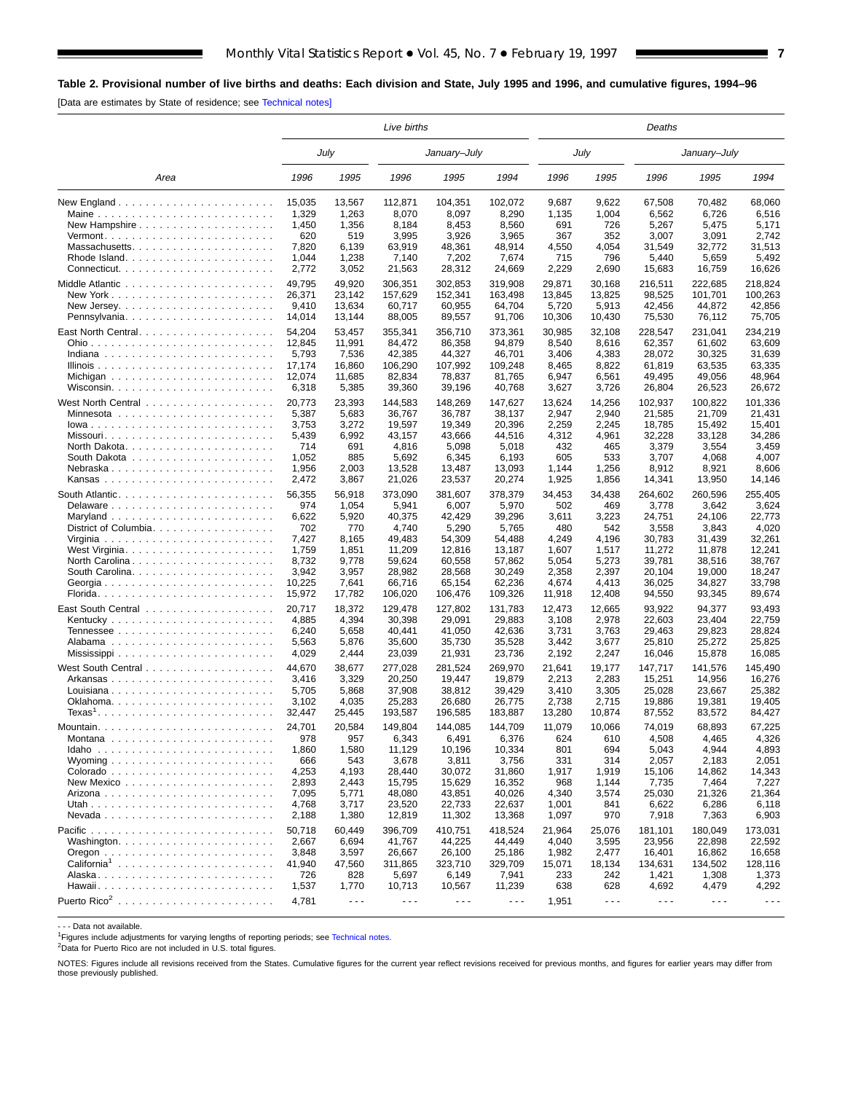<span id="page-6-0"></span>[Data are estimates by State of residence; see [Technical notes\]](#page-16-0)

|                                                     | Live births<br>July |                      |                      |                      |                      |        |                      | Deaths               |                      |                      |
|-----------------------------------------------------|---------------------|----------------------|----------------------|----------------------|----------------------|--------|----------------------|----------------------|----------------------|----------------------|
|                                                     |                     |                      |                      | January-July         |                      |        | July                 |                      | January-July         |                      |
| Area                                                | 1996                | 1995                 | 1996                 | 1995                 | 1994                 | 1996   | 1995                 | 1996                 | 1995                 | 1994                 |
|                                                     | 15,035              | 13,567               | 112,871              | 104,351              | 102,072              | 9,687  | 9,622                | 67,508               | 70,482               | 68,060               |
|                                                     | 1,329               | 1,263                | 8,070                | 8,097                | 8,290                | 1,135  | 1,004                | 6,562                | 6,726                | 6,516                |
| New Hampshire                                       | 1,450               | 1,356                | 8,184                | 8,453                | 8,560                | 691    | 726                  | 5,267                | 5,475                | 5,171                |
|                                                     | 620                 | 519                  | 3,995                | 3,926                | 3,965                | 367    | 352                  | 3,007                | 3,091                | 2,742                |
| Massachusetts                                       | 7,820               | 6,139                | 63,919               | 48,361               | 48,914               | 4,550  | 4,054                | 31,549               | 32,772               | 31,513               |
|                                                     | 1,044               | 1,238                | 7,140                | 7,202                | 7,674                | 715    | 796                  | 5,440                | 5,659                | 5,492                |
|                                                     | 2,772               | 3,052                | 21,563               | 28,312               | 24,669               | 2,229  | 2,690                | 15,683               | 16,759               | 16,626               |
|                                                     | 49,795              | 49,920               | 306,351              | 302,853              | 319,908              | 29,871 | 30,168               | 216,511              | 222,685              | 218,824              |
|                                                     | 26,371              | 23,142               | 157,629              | 152,341              | 163,498              | 13,845 | 13,825               | 98,525               | 101,701              | 100,263              |
|                                                     | 9,410               | 13,634               | 60,717               | 60,955               | 64,704               | 5,720  | 5,913                | 42.456               | 44,872               | 42,856               |
|                                                     | 14,014              | 13,144               | 88,005               | 89,557               | 91,706               | 10,306 | 10,430               | 75,530               | 76,112               | 75,705               |
|                                                     | 54,204              | 53,457               | 355,341              | 356,710              | 373,361              | 30,985 | 32,108               | 228,547              | 231,041              | 234,219              |
|                                                     | 12,845              | 11,991               | 84,472               | 86,358               | 94,879               | 8,540  | 8,616                | 62,357               | 61,602               | 63,609               |
|                                                     | 5,793               | 7,536                | 42,385               | 44,327               | 46,701               | 3,406  | 4,383                | 28,072               | 30,325               | 31,639               |
|                                                     | 17,174              | 16,860               | 106,290              | 107,992              | 109,248              | 8,465  | 8,822                | 61,819               | 63,535               | 63,335               |
|                                                     | 12,074              | 11,685               | 82,834               | 78,837               | 81,765               | 6,947  | 6,561                | 49,495               | 49,056               | 48,964               |
|                                                     | 6,318               | 5,385                | 39,360               | 39,196               | 40,768               | 3,627  | 3,726                | 26,804               | 26,523               | 26,672               |
|                                                     | 20,773              | 23,393               | 144,583              | 148,269              | 147,627              | 13,624 | 14,256               | 102,937              | 100,822              | 101,336              |
|                                                     | 5,387               | 5,683                | 36,767               | 36,787               | 38,137               | 2,947  | 2,940                | 21,585               | 21,709               | 21,431               |
|                                                     | 3,753               | 3,272                | 19,597               | 19,349               | 20,396               | 2,259  | 2,245                | 18,785               | 15,492               | 15,401               |
| Missouri                                            | 5,439               | 6,992                | 43,157               | 43.666               | 44,516               | 4,312  | 4,961                | 32,228               | 33,128               | 34,286               |
|                                                     | 714                 | 691                  | 4,816                | 5,098                | 5,018                | 432    | 465                  | 3,379                | 3,554                | 3,459                |
|                                                     | 1,052               | 885                  | 5,692                | 6,345                | 6,193                | 605    | 533                  | 3,707                | 4,068                | 4,007                |
| Nebraska                                            | 1,956               | 2,003                | 13,528               | 13,487               | 13,093               | 1,144  | 1,256                | 8,912                | 8,921                | 8,606                |
|                                                     | 2,472               | 3,867                | 21,026               | 23,537               | 20,274               | 1,925  | 1,856                | 14,341               | 13,950               | 14,146               |
|                                                     | 56,355              | 56,918               | 373,090              | 381,607              | 378,379              | 34,453 | 34.438               | 264,602              | 260,596              | 255,405              |
| Delaware                                            | 974                 | 1,054                | 5,941                | 6,007                | 5,970                | 502    | 469                  | 3,778                | 3,642                | 3,624                |
|                                                     | 6,622               | 5,920                | 40,375               | 42,429               | 39,296               | 3,611  | 3,223                | 24,751               | 24,106               | 22,773               |
| District of Columbia                                | 702                 | 770                  | 4,740                | 5,290                | 5,765                | 480    | 542                  | 3,558                | 3,843                | 4,020                |
|                                                     | 7,427               | 8,165                | 49,483               | 54,309               | 54,488               | 4,249  | 4,196                | 30,783               | 31,439               | 32,261               |
|                                                     | 1,759               | 1,851                | 11,209               | 12,816               | 13,187               | 1,607  | 1,517                | 11,272               | 11,878               | 12,241               |
| North Carolina                                      | 8,732               | 9,778                | 59,624               | 60,558               | 57,862               | 5,054  | 5,273                | 39,781               | 38,516               | 38,767               |
|                                                     | 3,942               | 3,957                | 28,982               | 28,568               | 30,249               | 2,358  | 2,397                | 20,104               | 19,000               | 18,247               |
| Georgia                                             | 10,225              | 7,641                | 66,716               | 65,154               | 62,236               | 4,674  | 4,413                | 36,025               | 34,827               | 33,798               |
|                                                     | 15,972              | 17,782               | 106,020              | 106,476              | 109,326              | 11,918 | 12,408               | 94,550               | 93,345               | 89,674               |
|                                                     | 20,717              | 18,372               | 129,478              | 127,802              | 131,783              | 12,473 | 12,665               | 93,922               | 94,377               | 93,493               |
|                                                     | 4,885               | 4,394                | 30,398               | 29,091               | 29,883               | 3,108  | 2,978                | 22,603               | 23,404               | 22,759               |
|                                                     | 6,240               | 5,658                | 40,441               | 41,050               | 42,636               | 3,731  | 3,763                | 29,463               | 29,823               | 28,824               |
|                                                     | 5,563               | 5,876                | 35,600               | 35,730               | 35,528               | 3,442  | 3,677                | 25,810               | 25,272               | 25,825               |
|                                                     | 4,029               | 2,444                | 23,039               | 21,931               | 23,736               | 2,192  | 2,247                | 16,046               | 15,878               | 16,085               |
|                                                     | 44,670              | 38,677               | 277,028              | 281,524              | 269.970              | 21,641 | 19,177               | 147,717              | 141,576              | 145,490              |
|                                                     | 3,416               | 3,329                | 20,250               | 19,447               | 19,879               | 2,213  | 2,283                | 15,251               | 14,956               | 16.276               |
|                                                     | 5,705               | 5,868                | 37,908               | 38,812               | 39,429               | 3,410  | 3,305                | 25,028               | 23,667               | 25,382               |
|                                                     | 3,102               | 4,035                | 25,283               | 26,680               | 26,775               | 2,738  | 2,715                | 19,886               | 19,381               | 19,405               |
|                                                     | 32,447              | 25,445               | 193,587              | 196,585              | 183,887              | 13,280 | 10,874               | 87,552               | 83,572               | 84,427               |
|                                                     | 24,701              | 20,584               | 149,804              | 144,085              | 144,709              | 11,079 | 10,066               | 74,019               | 68,893               | 67,225               |
| Montana                                             | 978                 | 957                  | 6,343                | 6,491                | 6,376                | 624    | 610                  | 4,508                | 4,465                | 4,326                |
|                                                     | 1,860               | 1,580                | 11,129               | 10,196               | 10,334               | 801    | 694                  | 5,043                | 4,944                | 4,893                |
| Wyoming $\ldots \ldots \ldots \ldots \ldots \ldots$ | 666                 | 543                  | 3,678                | 3,811                | 3,756                | 331    | 314                  | 2,057                | 2,183                | 2,051                |
|                                                     | 4,253               | 4,193                | 28,440               | 30,072               | 31,860               | 1,917  | 1,919                | 15,106               | 14,862               | 14,343               |
| New Mexico                                          | 2,893               | 2,443                | 15,795               | 15,629               | 16,352               | 968    | 1,144                | 7,735                | 7,464                | 7,227                |
|                                                     | 7,095               | 5,771                | 48,080               | 43,851               | 40,026               | 4,340  | 3,574                | 25,030               | 21,326               | 21,364               |
|                                                     | 4,768               | 3,717                | 23,520               | 22,733               | 22,637               | 1,001  | 841                  | 6,622                | 6,286                | 6,118                |
|                                                     | 2,188               | 1,380                | 12,819               | 11,302               | 13,368               | 1,097  | 970                  | 7,918                | 7,363                | 6,903                |
|                                                     | 50,718              | 60,449               | 396,709              | 410,751              | 418,524              | 21,964 | 25,076               | 181,101              | 180,049              | 173,031              |
|                                                     | 2,667               | 6,694                | 41,767               | 44,225               | 44,449               | 4,040  | 3,595                | 23.956               | 22,898               | 22,592               |
|                                                     | 3,848               | 3,597                | 26,667               | 26,100               | 25,186               | 1,982  | 2,477                | 16,401               | 16,862               | 16,658               |
|                                                     | 41,940              | 47,560               | 311,865              | 323,710              | 329,709              | 15,071 | 18,134               | 134,631              | 134,502              | 128,116              |
|                                                     | 726                 | 828                  | 5,697                | 6,149                | 7,941                | 233    | 242                  | 1,421                | 1,308                | 1,373                |
|                                                     | 1,537               | 1,770                | 10,713               | 10,567               | 11,239               | 638    | 628                  | 4,692                | 4,479                | 4,292                |
|                                                     | 4,781               | $\sim$ $\sim$ $\sim$ | $\sim$ $\sim$ $\sim$ | $\sim$ $\sim$ $\sim$ | $\sim$ $\sim$ $\sim$ | 1,951  | $\sim$ $\sim$ $\sim$ | $\sim$ $\sim$ $\sim$ | $\sim$ $\sim$ $\sim$ | $\sim$ $\sim$ $\sim$ |
|                                                     |                     |                      |                      |                      |                      |        |                      |                      |                      |                      |

- - - Data not available.

<sup>1</sup>Figures include adjustments for varying lengths of reporting periods; see [Technical notes.](#page-16-0)

2Data for Puerto Rico are not included in U.S. total figures.

NOTES: Figures include all revisions received from the States. Cumulative figures for the current year reflect revisions received for previous months, and figures for earlier years may differ from those previously published.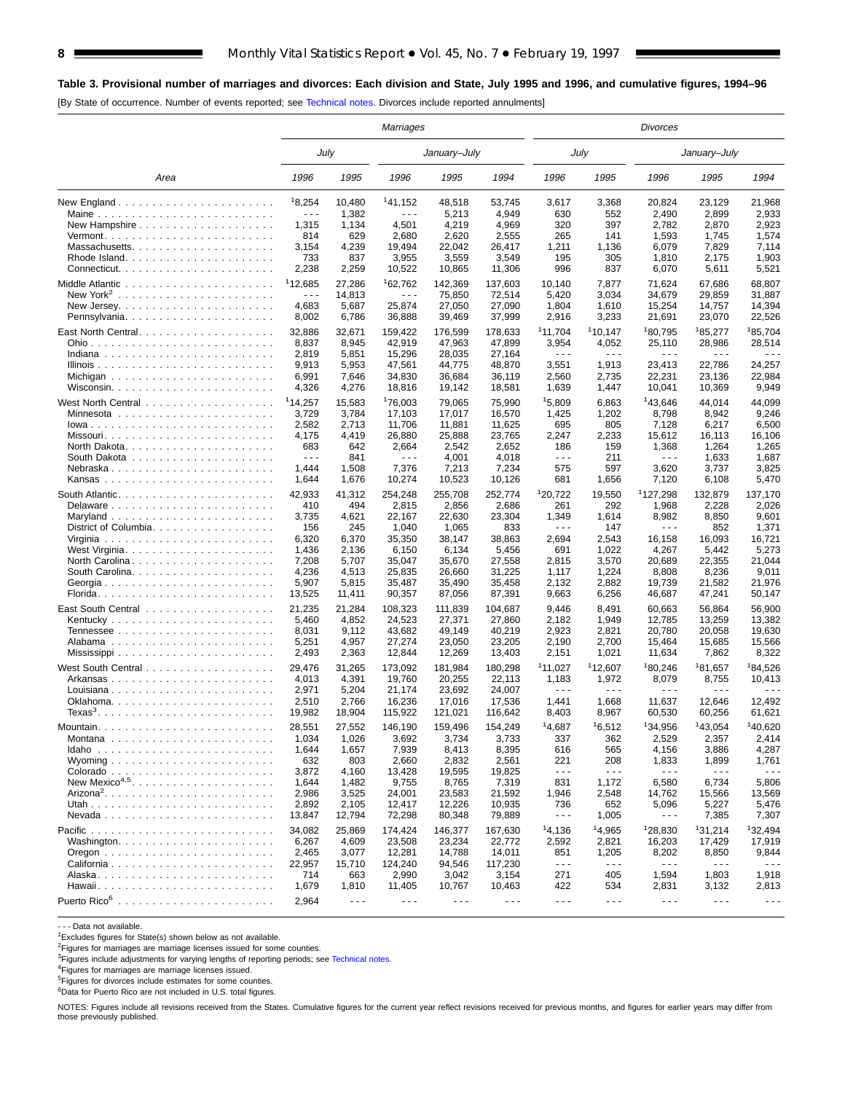#### **Table 3. Provisional number of marriages and divorces: Each division and State, July 1995 and 1996, and cumulative figures, 1994–96**

[By State of occurrence. Number of events reported; see [Technical notes.](#page-16-0) Divorces include reported annulments]

| July<br>January-July<br>January-July<br>July<br>1996<br>1995<br>1996<br>1995<br>1994<br>1996<br>1995<br>1996<br>1995<br>1994<br>Area<br>18,254<br>141,152<br>10,480<br>48,518<br>53,745<br>3,617<br>3,368<br>20,824<br>23,129<br>21,968<br>1,382<br>5,213<br>4,949<br>630<br>552<br>2,490<br>2,899<br>2,933<br>$\sim$ $\sim$ $\sim$<br>$\sim$ $\sim$ $\sim$<br>1,315<br>4,501<br>4,219<br>320<br>397<br>2,782<br>2,870<br>2,923<br>New Hampshire<br>1,134<br>4,969<br>814<br>629<br>2,680<br>2,620<br>2,555<br>265<br>141<br>1,593<br>1,745<br>1,574<br>4,239<br>22,042<br>6,079<br>7,829<br>7,114<br>3,154<br>19,494<br>26,417<br>1,211<br>1,136<br>Massachusetts<br>733<br>837<br>3,955<br>3,559<br>3,549<br>305<br>2,175<br>1,903<br>195<br>1,810<br>2,238<br>2,259<br>10,522<br>10,865<br>11,306<br>996<br>837<br>6,070<br>5,611<br>5,521<br>112,685<br>162,762<br>142,369<br>137,603<br>71,624<br>68,807<br>27,286<br>10.140<br>7,877<br>67,686<br>14,813<br>75,850<br>72,514<br>3,034<br>34,679<br>31,887<br>$\sim$ $\sim$ $\sim$<br>$\sim$ $\sim$ $\sim$<br>5,420<br>29,859<br>4,683<br>25,874<br>14,394<br>5,687<br>27,050<br>27,090<br>1,804<br>1,610<br>15,254<br>14,757<br>37,999<br>2,916<br>22,526<br>Pennsylvania<br>8,002<br>6,786<br>36,888<br>39,469<br>3,233<br>21,691<br>23,070<br>111,704<br>110.147<br><sup>1</sup> 80.795<br>185,277<br>185,704<br>32,886<br>32,671<br>176,599<br>178,633<br>159,422<br>8,837<br>8,945<br>42,919<br>47,963<br>47,899<br>3,954<br>4,052<br>25,110<br>28,986<br>28,514<br>2,819<br>5,851<br>15,296<br>28,035<br>27,164<br>$\sim$ $\sim$ $\sim$<br>$\sim$ $\sim$ $\sim$<br>$\sim$ $\sim$ $\sim$<br>$\sim$ $\sim$ $\sim$<br>$\sim$ $\sim$ $\sim$<br>9,913<br>5,953<br>47,561<br>44,775<br>3,551<br>1,913<br>23,413<br>22,786<br>24,257<br>48,870<br>22,984<br>6,991<br>7,646<br>34,830<br>36,684<br>36,119<br>2,560<br>2,735<br>22,231<br>23,136<br>9,949<br>4,326<br>4,276<br>18,816<br>19,142<br>18,581<br>1,639<br>1,447<br>10,041<br>10,369<br>114,257<br>15,583<br>176,003<br>79,065<br>75,990<br>15,809<br>6,863<br>143,646<br>44,014<br>44,099<br>3,729<br>3,784<br>17,103<br>17,017<br>16,570<br>1,425<br>1,202<br>8,798<br>8,942<br>9,246<br>805<br>2,582<br>2,713<br>11,706<br>11,881<br>11,625<br>695<br>7,128<br>6,217<br>6,500<br>25,888<br>2,233<br>15.612<br>16,106<br>4,175<br>4,419<br>26,880<br>23,765<br>2,247<br>16,113<br>683<br>642<br>2,664<br>2,542<br>2,652<br>186<br>159<br>1,368<br>1,264<br>1,265<br>North Dakota. $\ldots \ldots \ldots \ldots \ldots \ldots$<br>841<br>4,001<br>4,018<br>211<br>1,687<br>$\sim$ $\sim$ $\sim$<br>$\sim$ $\sim$ $\sim$<br>$\sim$ $\sim$ $\sim$<br>- - -<br>1,633<br>7,376<br>7,213<br>7,234<br>597<br>3,620<br>3,825<br>1,444<br>1,508<br>575<br>3,737<br>Nebraska<br>5,470<br>1,644<br>10,274<br>10,523<br>10,126<br>681<br>1,656<br>7,120<br>6,108<br>1,676<br>120,722<br>1127,298<br>42,933<br>41,312<br>255,708<br>252.774<br>137,170<br>254,248<br>19,550<br>132,879<br>410<br>494<br>2,815<br>2,856<br>261<br>292<br>1,968<br>2,228<br>2,026<br>2,686<br>3,735<br>4,621<br>22,167<br>22,630<br>23,304<br>1,349<br>1,614<br>8,982<br>8,850<br>9,601<br>1,065<br>156<br>245<br>1,040<br>833<br>$\sim$ $\sim$ $\sim$<br>147<br>$\sim$ $\sim$ $\sim$<br>852<br>1,371<br>District of Columbia<br>6,320<br>6,370<br>35,350<br>38,147<br>2,694<br>2,543<br>16,158<br>16,093<br>38,863<br>16,721<br>1,022<br>1,436<br>2,136<br>6,134<br>5,456<br>691<br>4,267<br>5,442<br>5,273<br>6,150<br>21,044<br>7,208<br>5,707<br>35,047<br>35,670<br>27,558<br>2,815<br>3,570<br>20,689<br>22,355<br>North Carolina<br>4,236<br>4,513<br>26,660<br>31,225<br>1,224<br>8,236<br>9,011<br>25,835<br>1,117<br>8,808<br>35,490<br>2,882<br>21,976<br>5,907<br>5,815<br>35,487<br>35,458<br>2,132<br>19,739<br>21,582<br>Georgia<br>13,525<br>11,411<br>90,357<br>87,056<br>87,391<br>9,663<br>6,256<br>46,687<br>47,241<br>50,147<br>21,235<br>21,284<br>9,446<br>56,900<br>108,323<br>111,839<br>104,687<br>8,491<br>60,663<br>56,864<br>1,949<br>13,382<br>5,460<br>4,852<br>24,523<br>27,371<br>27,860<br>2,182<br>12,785<br>13,259<br>19,630<br>8,031<br>9,112<br>43,682<br>49,149<br>40,219<br>2,923<br>2,821<br>20,780<br>20,058<br>15,566<br>5,251<br>4,957<br>27,274<br>23,050<br>23,205<br>2,190<br>2,700<br>15,464<br>15,685<br>2,493<br>2,363<br>12,844<br>12,269<br>13,403<br>2,151<br>1,021<br>11,634<br>7,862<br>8,322<br>11,027<br>112,607<br>180,246<br>181,657<br>184,526<br>29,476<br>31,265<br>180,298<br>173,092<br>181,984<br>20,255<br>10,413<br>Arkansas<br>4,013<br>4,391<br>19,760<br>22,113<br>1,183<br>1,972<br>8,079<br>8,755<br>2,971<br>5,204<br>21,174<br>23,692<br>24.007<br>$  -$<br>$  -$<br>- - -<br>- - -<br>2,510<br>2,766<br>16,236<br>17,016<br>17,536<br>1,441<br>1,668<br>11,637<br>12,646<br>12.492<br>$Texas3$<br>19,982<br>18,904<br>115,922<br>121,021<br>116,642<br>8,403<br>8,967<br>60,530<br>60,256<br>61,621<br>14,687<br>143,054<br>140,620<br>28,551<br>27,552<br>146,190<br>159,496<br>154,249<br>16,512<br>134.956<br>1,034<br>1,026<br>3,692<br>3,734<br>3,733<br>337<br>362<br>2,529<br>2,357<br>2,414<br>8,413<br>8,395<br>565<br>4,156<br>1,644<br>1,657<br>7,939<br>616<br>3,886<br>4,287<br>632<br>803<br>2,832<br>2,561<br>208<br>1,899<br>1,761<br>Wyoming $\ldots \ldots \ldots \ldots \ldots \ldots$<br>2,660<br>221<br>1,833<br>19,595<br>3,872<br>4,160<br>19,825<br>$\sim$ $\sim$ $\sim$<br>$\sim$ $\sim$ $\sim$<br>13,428<br>$- - -$<br>$ -$<br>$\sim$ $\sim$ $\sim$<br>New Mexico <sup>4,5</sup><br>8,765<br>7,319<br>831<br>1,644<br>1,482<br>9,755<br>1,172<br>6,580<br>6,734<br>5,806<br>2,986<br>23,583<br>3,525<br>24,001<br>21,592<br>1,946<br>2,548<br>14,762<br>13,569<br>15,566<br>12,226<br>2,892<br>2,105<br>10,935<br>652<br>5,096<br>5,227<br>5,476<br>12,417<br>736<br>12,794<br>13,847<br>72,298<br>80,348<br>79,889<br>$\sim$ $\sim$ $\sim$<br>1,005<br>$- - -$<br>7,385<br>7,307<br>14,136<br>128,830<br>132,494<br>34,082<br>167,630<br><sup>1</sup> 4,965<br>131.214<br>25,869<br>174,424<br>146,377<br>2,821<br>17,919<br>6,267<br>4,609<br>23,508<br>23,234<br>22,772<br>2,592<br>16,203<br>17,429<br>2,465<br>3,077<br>12,281<br>14,788<br>14,011<br>851<br>1,205<br>8,202<br>8,850<br>9,844<br>22,957<br>94,546<br>117,230<br>15,710<br>124,240<br>$\sim$ $\sim$ $\sim$<br>$- - -$<br>$\frac{1}{2} \frac{1}{2} \frac{1}{2} \frac{1}{2} \frac{1}{2} \frac{1}{2} \frac{1}{2} \frac{1}{2} \frac{1}{2} \frac{1}{2} \frac{1}{2} \frac{1}{2} \frac{1}{2} \frac{1}{2} \frac{1}{2} \frac{1}{2} \frac{1}{2} \frac{1}{2} \frac{1}{2} \frac{1}{2} \frac{1}{2} \frac{1}{2} \frac{1}{2} \frac{1}{2} \frac{1}{2} \frac{1}{2} \frac{1}{2} \frac{1}{2} \frac{1}{2} \frac{1}{2} \frac{1}{2} \frac{$<br>$- - -$<br>$\sim$ $\sim$ $\sim$<br>714<br>271<br>405<br>1,594<br>1,803<br>1,918<br>663<br>2,990<br>3,042<br>3,154<br>1,679<br>1,810<br>11,405<br>10,767<br>10,463<br>422<br>534<br>2,831<br>3,132<br>2,813<br>2,964<br>$\sim$ $\sim$ $\sim$<br>$\sim$ $\sim$ $\sim$<br>$\sim$ $\sim$ $\sim$<br>$\sim$ $\sim$ $\sim$<br>$\sim$ $\sim$ $\sim$<br>$\sim$ $\sim$ $\sim$<br>$\sim$ $\sim$ $\sim$<br>$\sim$ $\sim$ $\sim$<br>$\sim$ $\sim$ $\sim$ | Marriages |  |  |  |  |  | <b>Divorces</b> |  |
|-------------------------------------------------------------------------------------------------------------------------------------------------------------------------------------------------------------------------------------------------------------------------------------------------------------------------------------------------------------------------------------------------------------------------------------------------------------------------------------------------------------------------------------------------------------------------------------------------------------------------------------------------------------------------------------------------------------------------------------------------------------------------------------------------------------------------------------------------------------------------------------------------------------------------------------------------------------------------------------------------------------------------------------------------------------------------------------------------------------------------------------------------------------------------------------------------------------------------------------------------------------------------------------------------------------------------------------------------------------------------------------------------------------------------------------------------------------------------------------------------------------------------------------------------------------------------------------------------------------------------------------------------------------------------------------------------------------------------------------------------------------------------------------------------------------------------------------------------------------------------------------------------------------------------------------------------------------------------------------------------------------------------------------------------------------------------------------------------------------------------------------------------------------------------------------------------------------------------------------------------------------------------------------------------------------------------------------------------------------------------------------------------------------------------------------------------------------------------------------------------------------------------------------------------------------------------------------------------------------------------------------------------------------------------------------------------------------------------------------------------------------------------------------------------------------------------------------------------------------------------------------------------------------------------------------------------------------------------------------------------------------------------------------------------------------------------------------------------------------------------------------------------------------------------------------------------------------------------------------------------------------------------------------------------------------------------------------------------------------------------------------------------------------------------------------------------------------------------------------------------------------------------------------------------------------------------------------------------------------------------------------------------------------------------------------------------------------------------------------------------------------------------------------------------------------------------------------------------------------------------------------------------------------------------------------------------------------------------------------------------------------------------------------------------------------------------------------------------------------------------------------------------------------------------------------------------------------------------------------------------------------------------------------------------------------------------------------------------------------------------------------------------------------------------------------------------------------------------------------------------------------------------------------------------------------------------------------------------------------------------------------------------------------------------------------------------------------------------------------------------------------------------------------------------------------------------------------------------------------------------------------------------------------------------------------------------------------------------------------------------------------------------------------------------------------------------------------------------------------------------------------------------------------------------------------------------------------------------------------------------------------------------------------------------------------------------------------------------------------------------------------------------------------------------------------------------------------------------------------------------------------------------------------------------------------------------------------------------------------------------------------------------------------------------------------------------------------------------------------------------------------------------------------------------------------------------------------------------------------------------------------------------------------------------------------------------------------------------------------------------------------------------------------------------------------------------------------------------------------------------------------------------------------------------------------------------------------------------------------------------------------------------------------------------------------------------------------------------------------------------------------------------------------------------------------------------------------------------------------------------------------------------------------------------------------------------------------------------------------------------------------------------------------------------------------------------------------------------------------------------------------------------------------------------------------------------------------------------------------------------------------------------------------------------------------------------------------------------------------------------------------------------------------------------------------------------------------------------------------------------------------------------------------------------------------------------------------------------------|-----------|--|--|--|--|--|-----------------|--|
|                                                                                                                                                                                                                                                                                                                                                                                                                                                                                                                                                                                                                                                                                                                                                                                                                                                                                                                                                                                                                                                                                                                                                                                                                                                                                                                                                                                                                                                                                                                                                                                                                                                                                                                                                                                                                                                                                                                                                                                                                                                                                                                                                                                                                                                                                                                                                                                                                                                                                                                                                                                                                                                                                                                                                                                                                                                                                                                                                                                                                                                                                                                                                                                                                                                                                                                                                                                                                                                                                                                                                                                                                                                                                                                                                                                                                                                                                                                                                                                                                                                                                                                                                                                                                                                                                                                                                                                                                                                                                                                                                                                                                                                                                                                                                                                                                                                                                                                                                                                                                                                                                                                                                                                                                                                                                                                                                                                                                                                                                                                                                                                                                                                                                                                                                                                                                                                                                                                                                                                                                                                                                                                                                                                                                                                                                                                                                                                                                                                                                                                                                                                                                                                                                                                                                                                                                                                                                                                                                                                                                                                                                                                                                                                                                               |           |  |  |  |  |  |                 |  |
|                                                                                                                                                                                                                                                                                                                                                                                                                                                                                                                                                                                                                                                                                                                                                                                                                                                                                                                                                                                                                                                                                                                                                                                                                                                                                                                                                                                                                                                                                                                                                                                                                                                                                                                                                                                                                                                                                                                                                                                                                                                                                                                                                                                                                                                                                                                                                                                                                                                                                                                                                                                                                                                                                                                                                                                                                                                                                                                                                                                                                                                                                                                                                                                                                                                                                                                                                                                                                                                                                                                                                                                                                                                                                                                                                                                                                                                                                                                                                                                                                                                                                                                                                                                                                                                                                                                                                                                                                                                                                                                                                                                                                                                                                                                                                                                                                                                                                                                                                                                                                                                                                                                                                                                                                                                                                                                                                                                                                                                                                                                                                                                                                                                                                                                                                                                                                                                                                                                                                                                                                                                                                                                                                                                                                                                                                                                                                                                                                                                                                                                                                                                                                                                                                                                                                                                                                                                                                                                                                                                                                                                                                                                                                                                                                               |           |  |  |  |  |  |                 |  |
|                                                                                                                                                                                                                                                                                                                                                                                                                                                                                                                                                                                                                                                                                                                                                                                                                                                                                                                                                                                                                                                                                                                                                                                                                                                                                                                                                                                                                                                                                                                                                                                                                                                                                                                                                                                                                                                                                                                                                                                                                                                                                                                                                                                                                                                                                                                                                                                                                                                                                                                                                                                                                                                                                                                                                                                                                                                                                                                                                                                                                                                                                                                                                                                                                                                                                                                                                                                                                                                                                                                                                                                                                                                                                                                                                                                                                                                                                                                                                                                                                                                                                                                                                                                                                                                                                                                                                                                                                                                                                                                                                                                                                                                                                                                                                                                                                                                                                                                                                                                                                                                                                                                                                                                                                                                                                                                                                                                                                                                                                                                                                                                                                                                                                                                                                                                                                                                                                                                                                                                                                                                                                                                                                                                                                                                                                                                                                                                                                                                                                                                                                                                                                                                                                                                                                                                                                                                                                                                                                                                                                                                                                                                                                                                                                               |           |  |  |  |  |  |                 |  |
|                                                                                                                                                                                                                                                                                                                                                                                                                                                                                                                                                                                                                                                                                                                                                                                                                                                                                                                                                                                                                                                                                                                                                                                                                                                                                                                                                                                                                                                                                                                                                                                                                                                                                                                                                                                                                                                                                                                                                                                                                                                                                                                                                                                                                                                                                                                                                                                                                                                                                                                                                                                                                                                                                                                                                                                                                                                                                                                                                                                                                                                                                                                                                                                                                                                                                                                                                                                                                                                                                                                                                                                                                                                                                                                                                                                                                                                                                                                                                                                                                                                                                                                                                                                                                                                                                                                                                                                                                                                                                                                                                                                                                                                                                                                                                                                                                                                                                                                                                                                                                                                                                                                                                                                                                                                                                                                                                                                                                                                                                                                                                                                                                                                                                                                                                                                                                                                                                                                                                                                                                                                                                                                                                                                                                                                                                                                                                                                                                                                                                                                                                                                                                                                                                                                                                                                                                                                                                                                                                                                                                                                                                                                                                                                                                               |           |  |  |  |  |  |                 |  |
|                                                                                                                                                                                                                                                                                                                                                                                                                                                                                                                                                                                                                                                                                                                                                                                                                                                                                                                                                                                                                                                                                                                                                                                                                                                                                                                                                                                                                                                                                                                                                                                                                                                                                                                                                                                                                                                                                                                                                                                                                                                                                                                                                                                                                                                                                                                                                                                                                                                                                                                                                                                                                                                                                                                                                                                                                                                                                                                                                                                                                                                                                                                                                                                                                                                                                                                                                                                                                                                                                                                                                                                                                                                                                                                                                                                                                                                                                                                                                                                                                                                                                                                                                                                                                                                                                                                                                                                                                                                                                                                                                                                                                                                                                                                                                                                                                                                                                                                                                                                                                                                                                                                                                                                                                                                                                                                                                                                                                                                                                                                                                                                                                                                                                                                                                                                                                                                                                                                                                                                                                                                                                                                                                                                                                                                                                                                                                                                                                                                                                                                                                                                                                                                                                                                                                                                                                                                                                                                                                                                                                                                                                                                                                                                                                               |           |  |  |  |  |  |                 |  |
|                                                                                                                                                                                                                                                                                                                                                                                                                                                                                                                                                                                                                                                                                                                                                                                                                                                                                                                                                                                                                                                                                                                                                                                                                                                                                                                                                                                                                                                                                                                                                                                                                                                                                                                                                                                                                                                                                                                                                                                                                                                                                                                                                                                                                                                                                                                                                                                                                                                                                                                                                                                                                                                                                                                                                                                                                                                                                                                                                                                                                                                                                                                                                                                                                                                                                                                                                                                                                                                                                                                                                                                                                                                                                                                                                                                                                                                                                                                                                                                                                                                                                                                                                                                                                                                                                                                                                                                                                                                                                                                                                                                                                                                                                                                                                                                                                                                                                                                                                                                                                                                                                                                                                                                                                                                                                                                                                                                                                                                                                                                                                                                                                                                                                                                                                                                                                                                                                                                                                                                                                                                                                                                                                                                                                                                                                                                                                                                                                                                                                                                                                                                                                                                                                                                                                                                                                                                                                                                                                                                                                                                                                                                                                                                                                               |           |  |  |  |  |  |                 |  |
|                                                                                                                                                                                                                                                                                                                                                                                                                                                                                                                                                                                                                                                                                                                                                                                                                                                                                                                                                                                                                                                                                                                                                                                                                                                                                                                                                                                                                                                                                                                                                                                                                                                                                                                                                                                                                                                                                                                                                                                                                                                                                                                                                                                                                                                                                                                                                                                                                                                                                                                                                                                                                                                                                                                                                                                                                                                                                                                                                                                                                                                                                                                                                                                                                                                                                                                                                                                                                                                                                                                                                                                                                                                                                                                                                                                                                                                                                                                                                                                                                                                                                                                                                                                                                                                                                                                                                                                                                                                                                                                                                                                                                                                                                                                                                                                                                                                                                                                                                                                                                                                                                                                                                                                                                                                                                                                                                                                                                                                                                                                                                                                                                                                                                                                                                                                                                                                                                                                                                                                                                                                                                                                                                                                                                                                                                                                                                                                                                                                                                                                                                                                                                                                                                                                                                                                                                                                                                                                                                                                                                                                                                                                                                                                                                               |           |  |  |  |  |  |                 |  |
|                                                                                                                                                                                                                                                                                                                                                                                                                                                                                                                                                                                                                                                                                                                                                                                                                                                                                                                                                                                                                                                                                                                                                                                                                                                                                                                                                                                                                                                                                                                                                                                                                                                                                                                                                                                                                                                                                                                                                                                                                                                                                                                                                                                                                                                                                                                                                                                                                                                                                                                                                                                                                                                                                                                                                                                                                                                                                                                                                                                                                                                                                                                                                                                                                                                                                                                                                                                                                                                                                                                                                                                                                                                                                                                                                                                                                                                                                                                                                                                                                                                                                                                                                                                                                                                                                                                                                                                                                                                                                                                                                                                                                                                                                                                                                                                                                                                                                                                                                                                                                                                                                                                                                                                                                                                                                                                                                                                                                                                                                                                                                                                                                                                                                                                                                                                                                                                                                                                                                                                                                                                                                                                                                                                                                                                                                                                                                                                                                                                                                                                                                                                                                                                                                                                                                                                                                                                                                                                                                                                                                                                                                                                                                                                                                               |           |  |  |  |  |  |                 |  |
|                                                                                                                                                                                                                                                                                                                                                                                                                                                                                                                                                                                                                                                                                                                                                                                                                                                                                                                                                                                                                                                                                                                                                                                                                                                                                                                                                                                                                                                                                                                                                                                                                                                                                                                                                                                                                                                                                                                                                                                                                                                                                                                                                                                                                                                                                                                                                                                                                                                                                                                                                                                                                                                                                                                                                                                                                                                                                                                                                                                                                                                                                                                                                                                                                                                                                                                                                                                                                                                                                                                                                                                                                                                                                                                                                                                                                                                                                                                                                                                                                                                                                                                                                                                                                                                                                                                                                                                                                                                                                                                                                                                                                                                                                                                                                                                                                                                                                                                                                                                                                                                                                                                                                                                                                                                                                                                                                                                                                                                                                                                                                                                                                                                                                                                                                                                                                                                                                                                                                                                                                                                                                                                                                                                                                                                                                                                                                                                                                                                                                                                                                                                                                                                                                                                                                                                                                                                                                                                                                                                                                                                                                                                                                                                                                               |           |  |  |  |  |  |                 |  |
|                                                                                                                                                                                                                                                                                                                                                                                                                                                                                                                                                                                                                                                                                                                                                                                                                                                                                                                                                                                                                                                                                                                                                                                                                                                                                                                                                                                                                                                                                                                                                                                                                                                                                                                                                                                                                                                                                                                                                                                                                                                                                                                                                                                                                                                                                                                                                                                                                                                                                                                                                                                                                                                                                                                                                                                                                                                                                                                                                                                                                                                                                                                                                                                                                                                                                                                                                                                                                                                                                                                                                                                                                                                                                                                                                                                                                                                                                                                                                                                                                                                                                                                                                                                                                                                                                                                                                                                                                                                                                                                                                                                                                                                                                                                                                                                                                                                                                                                                                                                                                                                                                                                                                                                                                                                                                                                                                                                                                                                                                                                                                                                                                                                                                                                                                                                                                                                                                                                                                                                                                                                                                                                                                                                                                                                                                                                                                                                                                                                                                                                                                                                                                                                                                                                                                                                                                                                                                                                                                                                                                                                                                                                                                                                                                               |           |  |  |  |  |  |                 |  |
|                                                                                                                                                                                                                                                                                                                                                                                                                                                                                                                                                                                                                                                                                                                                                                                                                                                                                                                                                                                                                                                                                                                                                                                                                                                                                                                                                                                                                                                                                                                                                                                                                                                                                                                                                                                                                                                                                                                                                                                                                                                                                                                                                                                                                                                                                                                                                                                                                                                                                                                                                                                                                                                                                                                                                                                                                                                                                                                                                                                                                                                                                                                                                                                                                                                                                                                                                                                                                                                                                                                                                                                                                                                                                                                                                                                                                                                                                                                                                                                                                                                                                                                                                                                                                                                                                                                                                                                                                                                                                                                                                                                                                                                                                                                                                                                                                                                                                                                                                                                                                                                                                                                                                                                                                                                                                                                                                                                                                                                                                                                                                                                                                                                                                                                                                                                                                                                                                                                                                                                                                                                                                                                                                                                                                                                                                                                                                                                                                                                                                                                                                                                                                                                                                                                                                                                                                                                                                                                                                                                                                                                                                                                                                                                                                               |           |  |  |  |  |  |                 |  |
|                                                                                                                                                                                                                                                                                                                                                                                                                                                                                                                                                                                                                                                                                                                                                                                                                                                                                                                                                                                                                                                                                                                                                                                                                                                                                                                                                                                                                                                                                                                                                                                                                                                                                                                                                                                                                                                                                                                                                                                                                                                                                                                                                                                                                                                                                                                                                                                                                                                                                                                                                                                                                                                                                                                                                                                                                                                                                                                                                                                                                                                                                                                                                                                                                                                                                                                                                                                                                                                                                                                                                                                                                                                                                                                                                                                                                                                                                                                                                                                                                                                                                                                                                                                                                                                                                                                                                                                                                                                                                                                                                                                                                                                                                                                                                                                                                                                                                                                                                                                                                                                                                                                                                                                                                                                                                                                                                                                                                                                                                                                                                                                                                                                                                                                                                                                                                                                                                                                                                                                                                                                                                                                                                                                                                                                                                                                                                                                                                                                                                                                                                                                                                                                                                                                                                                                                                                                                                                                                                                                                                                                                                                                                                                                                                               |           |  |  |  |  |  |                 |  |
|                                                                                                                                                                                                                                                                                                                                                                                                                                                                                                                                                                                                                                                                                                                                                                                                                                                                                                                                                                                                                                                                                                                                                                                                                                                                                                                                                                                                                                                                                                                                                                                                                                                                                                                                                                                                                                                                                                                                                                                                                                                                                                                                                                                                                                                                                                                                                                                                                                                                                                                                                                                                                                                                                                                                                                                                                                                                                                                                                                                                                                                                                                                                                                                                                                                                                                                                                                                                                                                                                                                                                                                                                                                                                                                                                                                                                                                                                                                                                                                                                                                                                                                                                                                                                                                                                                                                                                                                                                                                                                                                                                                                                                                                                                                                                                                                                                                                                                                                                                                                                                                                                                                                                                                                                                                                                                                                                                                                                                                                                                                                                                                                                                                                                                                                                                                                                                                                                                                                                                                                                                                                                                                                                                                                                                                                                                                                                                                                                                                                                                                                                                                                                                                                                                                                                                                                                                                                                                                                                                                                                                                                                                                                                                                                                               |           |  |  |  |  |  |                 |  |
|                                                                                                                                                                                                                                                                                                                                                                                                                                                                                                                                                                                                                                                                                                                                                                                                                                                                                                                                                                                                                                                                                                                                                                                                                                                                                                                                                                                                                                                                                                                                                                                                                                                                                                                                                                                                                                                                                                                                                                                                                                                                                                                                                                                                                                                                                                                                                                                                                                                                                                                                                                                                                                                                                                                                                                                                                                                                                                                                                                                                                                                                                                                                                                                                                                                                                                                                                                                                                                                                                                                                                                                                                                                                                                                                                                                                                                                                                                                                                                                                                                                                                                                                                                                                                                                                                                                                                                                                                                                                                                                                                                                                                                                                                                                                                                                                                                                                                                                                                                                                                                                                                                                                                                                                                                                                                                                                                                                                                                                                                                                                                                                                                                                                                                                                                                                                                                                                                                                                                                                                                                                                                                                                                                                                                                                                                                                                                                                                                                                                                                                                                                                                                                                                                                                                                                                                                                                                                                                                                                                                                                                                                                                                                                                                                               |           |  |  |  |  |  |                 |  |
|                                                                                                                                                                                                                                                                                                                                                                                                                                                                                                                                                                                                                                                                                                                                                                                                                                                                                                                                                                                                                                                                                                                                                                                                                                                                                                                                                                                                                                                                                                                                                                                                                                                                                                                                                                                                                                                                                                                                                                                                                                                                                                                                                                                                                                                                                                                                                                                                                                                                                                                                                                                                                                                                                                                                                                                                                                                                                                                                                                                                                                                                                                                                                                                                                                                                                                                                                                                                                                                                                                                                                                                                                                                                                                                                                                                                                                                                                                                                                                                                                                                                                                                                                                                                                                                                                                                                                                                                                                                                                                                                                                                                                                                                                                                                                                                                                                                                                                                                                                                                                                                                                                                                                                                                                                                                                                                                                                                                                                                                                                                                                                                                                                                                                                                                                                                                                                                                                                                                                                                                                                                                                                                                                                                                                                                                                                                                                                                                                                                                                                                                                                                                                                                                                                                                                                                                                                                                                                                                                                                                                                                                                                                                                                                                                               |           |  |  |  |  |  |                 |  |
|                                                                                                                                                                                                                                                                                                                                                                                                                                                                                                                                                                                                                                                                                                                                                                                                                                                                                                                                                                                                                                                                                                                                                                                                                                                                                                                                                                                                                                                                                                                                                                                                                                                                                                                                                                                                                                                                                                                                                                                                                                                                                                                                                                                                                                                                                                                                                                                                                                                                                                                                                                                                                                                                                                                                                                                                                                                                                                                                                                                                                                                                                                                                                                                                                                                                                                                                                                                                                                                                                                                                                                                                                                                                                                                                                                                                                                                                                                                                                                                                                                                                                                                                                                                                                                                                                                                                                                                                                                                                                                                                                                                                                                                                                                                                                                                                                                                                                                                                                                                                                                                                                                                                                                                                                                                                                                                                                                                                                                                                                                                                                                                                                                                                                                                                                                                                                                                                                                                                                                                                                                                                                                                                                                                                                                                                                                                                                                                                                                                                                                                                                                                                                                                                                                                                                                                                                                                                                                                                                                                                                                                                                                                                                                                                                               |           |  |  |  |  |  |                 |  |
|                                                                                                                                                                                                                                                                                                                                                                                                                                                                                                                                                                                                                                                                                                                                                                                                                                                                                                                                                                                                                                                                                                                                                                                                                                                                                                                                                                                                                                                                                                                                                                                                                                                                                                                                                                                                                                                                                                                                                                                                                                                                                                                                                                                                                                                                                                                                                                                                                                                                                                                                                                                                                                                                                                                                                                                                                                                                                                                                                                                                                                                                                                                                                                                                                                                                                                                                                                                                                                                                                                                                                                                                                                                                                                                                                                                                                                                                                                                                                                                                                                                                                                                                                                                                                                                                                                                                                                                                                                                                                                                                                                                                                                                                                                                                                                                                                                                                                                                                                                                                                                                                                                                                                                                                                                                                                                                                                                                                                                                                                                                                                                                                                                                                                                                                                                                                                                                                                                                                                                                                                                                                                                                                                                                                                                                                                                                                                                                                                                                                                                                                                                                                                                                                                                                                                                                                                                                                                                                                                                                                                                                                                                                                                                                                                               |           |  |  |  |  |  |                 |  |
|                                                                                                                                                                                                                                                                                                                                                                                                                                                                                                                                                                                                                                                                                                                                                                                                                                                                                                                                                                                                                                                                                                                                                                                                                                                                                                                                                                                                                                                                                                                                                                                                                                                                                                                                                                                                                                                                                                                                                                                                                                                                                                                                                                                                                                                                                                                                                                                                                                                                                                                                                                                                                                                                                                                                                                                                                                                                                                                                                                                                                                                                                                                                                                                                                                                                                                                                                                                                                                                                                                                                                                                                                                                                                                                                                                                                                                                                                                                                                                                                                                                                                                                                                                                                                                                                                                                                                                                                                                                                                                                                                                                                                                                                                                                                                                                                                                                                                                                                                                                                                                                                                                                                                                                                                                                                                                                                                                                                                                                                                                                                                                                                                                                                                                                                                                                                                                                                                                                                                                                                                                                                                                                                                                                                                                                                                                                                                                                                                                                                                                                                                                                                                                                                                                                                                                                                                                                                                                                                                                                                                                                                                                                                                                                                                               |           |  |  |  |  |  |                 |  |
|                                                                                                                                                                                                                                                                                                                                                                                                                                                                                                                                                                                                                                                                                                                                                                                                                                                                                                                                                                                                                                                                                                                                                                                                                                                                                                                                                                                                                                                                                                                                                                                                                                                                                                                                                                                                                                                                                                                                                                                                                                                                                                                                                                                                                                                                                                                                                                                                                                                                                                                                                                                                                                                                                                                                                                                                                                                                                                                                                                                                                                                                                                                                                                                                                                                                                                                                                                                                                                                                                                                                                                                                                                                                                                                                                                                                                                                                                                                                                                                                                                                                                                                                                                                                                                                                                                                                                                                                                                                                                                                                                                                                                                                                                                                                                                                                                                                                                                                                                                                                                                                                                                                                                                                                                                                                                                                                                                                                                                                                                                                                                                                                                                                                                                                                                                                                                                                                                                                                                                                                                                                                                                                                                                                                                                                                                                                                                                                                                                                                                                                                                                                                                                                                                                                                                                                                                                                                                                                                                                                                                                                                                                                                                                                                                               |           |  |  |  |  |  |                 |  |
|                                                                                                                                                                                                                                                                                                                                                                                                                                                                                                                                                                                                                                                                                                                                                                                                                                                                                                                                                                                                                                                                                                                                                                                                                                                                                                                                                                                                                                                                                                                                                                                                                                                                                                                                                                                                                                                                                                                                                                                                                                                                                                                                                                                                                                                                                                                                                                                                                                                                                                                                                                                                                                                                                                                                                                                                                                                                                                                                                                                                                                                                                                                                                                                                                                                                                                                                                                                                                                                                                                                                                                                                                                                                                                                                                                                                                                                                                                                                                                                                                                                                                                                                                                                                                                                                                                                                                                                                                                                                                                                                                                                                                                                                                                                                                                                                                                                                                                                                                                                                                                                                                                                                                                                                                                                                                                                                                                                                                                                                                                                                                                                                                                                                                                                                                                                                                                                                                                                                                                                                                                                                                                                                                                                                                                                                                                                                                                                                                                                                                                                                                                                                                                                                                                                                                                                                                                                                                                                                                                                                                                                                                                                                                                                                                               |           |  |  |  |  |  |                 |  |
|                                                                                                                                                                                                                                                                                                                                                                                                                                                                                                                                                                                                                                                                                                                                                                                                                                                                                                                                                                                                                                                                                                                                                                                                                                                                                                                                                                                                                                                                                                                                                                                                                                                                                                                                                                                                                                                                                                                                                                                                                                                                                                                                                                                                                                                                                                                                                                                                                                                                                                                                                                                                                                                                                                                                                                                                                                                                                                                                                                                                                                                                                                                                                                                                                                                                                                                                                                                                                                                                                                                                                                                                                                                                                                                                                                                                                                                                                                                                                                                                                                                                                                                                                                                                                                                                                                                                                                                                                                                                                                                                                                                                                                                                                                                                                                                                                                                                                                                                                                                                                                                                                                                                                                                                                                                                                                                                                                                                                                                                                                                                                                                                                                                                                                                                                                                                                                                                                                                                                                                                                                                                                                                                                                                                                                                                                                                                                                                                                                                                                                                                                                                                                                                                                                                                                                                                                                                                                                                                                                                                                                                                                                                                                                                                                               |           |  |  |  |  |  |                 |  |
|                                                                                                                                                                                                                                                                                                                                                                                                                                                                                                                                                                                                                                                                                                                                                                                                                                                                                                                                                                                                                                                                                                                                                                                                                                                                                                                                                                                                                                                                                                                                                                                                                                                                                                                                                                                                                                                                                                                                                                                                                                                                                                                                                                                                                                                                                                                                                                                                                                                                                                                                                                                                                                                                                                                                                                                                                                                                                                                                                                                                                                                                                                                                                                                                                                                                                                                                                                                                                                                                                                                                                                                                                                                                                                                                                                                                                                                                                                                                                                                                                                                                                                                                                                                                                                                                                                                                                                                                                                                                                                                                                                                                                                                                                                                                                                                                                                                                                                                                                                                                                                                                                                                                                                                                                                                                                                                                                                                                                                                                                                                                                                                                                                                                                                                                                                                                                                                                                                                                                                                                                                                                                                                                                                                                                                                                                                                                                                                                                                                                                                                                                                                                                                                                                                                                                                                                                                                                                                                                                                                                                                                                                                                                                                                                                               |           |  |  |  |  |  |                 |  |
|                                                                                                                                                                                                                                                                                                                                                                                                                                                                                                                                                                                                                                                                                                                                                                                                                                                                                                                                                                                                                                                                                                                                                                                                                                                                                                                                                                                                                                                                                                                                                                                                                                                                                                                                                                                                                                                                                                                                                                                                                                                                                                                                                                                                                                                                                                                                                                                                                                                                                                                                                                                                                                                                                                                                                                                                                                                                                                                                                                                                                                                                                                                                                                                                                                                                                                                                                                                                                                                                                                                                                                                                                                                                                                                                                                                                                                                                                                                                                                                                                                                                                                                                                                                                                                                                                                                                                                                                                                                                                                                                                                                                                                                                                                                                                                                                                                                                                                                                                                                                                                                                                                                                                                                                                                                                                                                                                                                                                                                                                                                                                                                                                                                                                                                                                                                                                                                                                                                                                                                                                                                                                                                                                                                                                                                                                                                                                                                                                                                                                                                                                                                                                                                                                                                                                                                                                                                                                                                                                                                                                                                                                                                                                                                                                               |           |  |  |  |  |  |                 |  |
|                                                                                                                                                                                                                                                                                                                                                                                                                                                                                                                                                                                                                                                                                                                                                                                                                                                                                                                                                                                                                                                                                                                                                                                                                                                                                                                                                                                                                                                                                                                                                                                                                                                                                                                                                                                                                                                                                                                                                                                                                                                                                                                                                                                                                                                                                                                                                                                                                                                                                                                                                                                                                                                                                                                                                                                                                                                                                                                                                                                                                                                                                                                                                                                                                                                                                                                                                                                                                                                                                                                                                                                                                                                                                                                                                                                                                                                                                                                                                                                                                                                                                                                                                                                                                                                                                                                                                                                                                                                                                                                                                                                                                                                                                                                                                                                                                                                                                                                                                                                                                                                                                                                                                                                                                                                                                                                                                                                                                                                                                                                                                                                                                                                                                                                                                                                                                                                                                                                                                                                                                                                                                                                                                                                                                                                                                                                                                                                                                                                                                                                                                                                                                                                                                                                                                                                                                                                                                                                                                                                                                                                                                                                                                                                                                               |           |  |  |  |  |  |                 |  |
|                                                                                                                                                                                                                                                                                                                                                                                                                                                                                                                                                                                                                                                                                                                                                                                                                                                                                                                                                                                                                                                                                                                                                                                                                                                                                                                                                                                                                                                                                                                                                                                                                                                                                                                                                                                                                                                                                                                                                                                                                                                                                                                                                                                                                                                                                                                                                                                                                                                                                                                                                                                                                                                                                                                                                                                                                                                                                                                                                                                                                                                                                                                                                                                                                                                                                                                                                                                                                                                                                                                                                                                                                                                                                                                                                                                                                                                                                                                                                                                                                                                                                                                                                                                                                                                                                                                                                                                                                                                                                                                                                                                                                                                                                                                                                                                                                                                                                                                                                                                                                                                                                                                                                                                                                                                                                                                                                                                                                                                                                                                                                                                                                                                                                                                                                                                                                                                                                                                                                                                                                                                                                                                                                                                                                                                                                                                                                                                                                                                                                                                                                                                                                                                                                                                                                                                                                                                                                                                                                                                                                                                                                                                                                                                                                               |           |  |  |  |  |  |                 |  |
|                                                                                                                                                                                                                                                                                                                                                                                                                                                                                                                                                                                                                                                                                                                                                                                                                                                                                                                                                                                                                                                                                                                                                                                                                                                                                                                                                                                                                                                                                                                                                                                                                                                                                                                                                                                                                                                                                                                                                                                                                                                                                                                                                                                                                                                                                                                                                                                                                                                                                                                                                                                                                                                                                                                                                                                                                                                                                                                                                                                                                                                                                                                                                                                                                                                                                                                                                                                                                                                                                                                                                                                                                                                                                                                                                                                                                                                                                                                                                                                                                                                                                                                                                                                                                                                                                                                                                                                                                                                                                                                                                                                                                                                                                                                                                                                                                                                                                                                                                                                                                                                                                                                                                                                                                                                                                                                                                                                                                                                                                                                                                                                                                                                                                                                                                                                                                                                                                                                                                                                                                                                                                                                                                                                                                                                                                                                                                                                                                                                                                                                                                                                                                                                                                                                                                                                                                                                                                                                                                                                                                                                                                                                                                                                                                               |           |  |  |  |  |  |                 |  |
|                                                                                                                                                                                                                                                                                                                                                                                                                                                                                                                                                                                                                                                                                                                                                                                                                                                                                                                                                                                                                                                                                                                                                                                                                                                                                                                                                                                                                                                                                                                                                                                                                                                                                                                                                                                                                                                                                                                                                                                                                                                                                                                                                                                                                                                                                                                                                                                                                                                                                                                                                                                                                                                                                                                                                                                                                                                                                                                                                                                                                                                                                                                                                                                                                                                                                                                                                                                                                                                                                                                                                                                                                                                                                                                                                                                                                                                                                                                                                                                                                                                                                                                                                                                                                                                                                                                                                                                                                                                                                                                                                                                                                                                                                                                                                                                                                                                                                                                                                                                                                                                                                                                                                                                                                                                                                                                                                                                                                                                                                                                                                                                                                                                                                                                                                                                                                                                                                                                                                                                                                                                                                                                                                                                                                                                                                                                                                                                                                                                                                                                                                                                                                                                                                                                                                                                                                                                                                                                                                                                                                                                                                                                                                                                                                               |           |  |  |  |  |  |                 |  |
|                                                                                                                                                                                                                                                                                                                                                                                                                                                                                                                                                                                                                                                                                                                                                                                                                                                                                                                                                                                                                                                                                                                                                                                                                                                                                                                                                                                                                                                                                                                                                                                                                                                                                                                                                                                                                                                                                                                                                                                                                                                                                                                                                                                                                                                                                                                                                                                                                                                                                                                                                                                                                                                                                                                                                                                                                                                                                                                                                                                                                                                                                                                                                                                                                                                                                                                                                                                                                                                                                                                                                                                                                                                                                                                                                                                                                                                                                                                                                                                                                                                                                                                                                                                                                                                                                                                                                                                                                                                                                                                                                                                                                                                                                                                                                                                                                                                                                                                                                                                                                                                                                                                                                                                                                                                                                                                                                                                                                                                                                                                                                                                                                                                                                                                                                                                                                                                                                                                                                                                                                                                                                                                                                                                                                                                                                                                                                                                                                                                                                                                                                                                                                                                                                                                                                                                                                                                                                                                                                                                                                                                                                                                                                                                                                               |           |  |  |  |  |  |                 |  |
|                                                                                                                                                                                                                                                                                                                                                                                                                                                                                                                                                                                                                                                                                                                                                                                                                                                                                                                                                                                                                                                                                                                                                                                                                                                                                                                                                                                                                                                                                                                                                                                                                                                                                                                                                                                                                                                                                                                                                                                                                                                                                                                                                                                                                                                                                                                                                                                                                                                                                                                                                                                                                                                                                                                                                                                                                                                                                                                                                                                                                                                                                                                                                                                                                                                                                                                                                                                                                                                                                                                                                                                                                                                                                                                                                                                                                                                                                                                                                                                                                                                                                                                                                                                                                                                                                                                                                                                                                                                                                                                                                                                                                                                                                                                                                                                                                                                                                                                                                                                                                                                                                                                                                                                                                                                                                                                                                                                                                                                                                                                                                                                                                                                                                                                                                                                                                                                                                                                                                                                                                                                                                                                                                                                                                                                                                                                                                                                                                                                                                                                                                                                                                                                                                                                                                                                                                                                                                                                                                                                                                                                                                                                                                                                                                               |           |  |  |  |  |  |                 |  |
|                                                                                                                                                                                                                                                                                                                                                                                                                                                                                                                                                                                                                                                                                                                                                                                                                                                                                                                                                                                                                                                                                                                                                                                                                                                                                                                                                                                                                                                                                                                                                                                                                                                                                                                                                                                                                                                                                                                                                                                                                                                                                                                                                                                                                                                                                                                                                                                                                                                                                                                                                                                                                                                                                                                                                                                                                                                                                                                                                                                                                                                                                                                                                                                                                                                                                                                                                                                                                                                                                                                                                                                                                                                                                                                                                                                                                                                                                                                                                                                                                                                                                                                                                                                                                                                                                                                                                                                                                                                                                                                                                                                                                                                                                                                                                                                                                                                                                                                                                                                                                                                                                                                                                                                                                                                                                                                                                                                                                                                                                                                                                                                                                                                                                                                                                                                                                                                                                                                                                                                                                                                                                                                                                                                                                                                                                                                                                                                                                                                                                                                                                                                                                                                                                                                                                                                                                                                                                                                                                                                                                                                                                                                                                                                                                               |           |  |  |  |  |  |                 |  |
|                                                                                                                                                                                                                                                                                                                                                                                                                                                                                                                                                                                                                                                                                                                                                                                                                                                                                                                                                                                                                                                                                                                                                                                                                                                                                                                                                                                                                                                                                                                                                                                                                                                                                                                                                                                                                                                                                                                                                                                                                                                                                                                                                                                                                                                                                                                                                                                                                                                                                                                                                                                                                                                                                                                                                                                                                                                                                                                                                                                                                                                                                                                                                                                                                                                                                                                                                                                                                                                                                                                                                                                                                                                                                                                                                                                                                                                                                                                                                                                                                                                                                                                                                                                                                                                                                                                                                                                                                                                                                                                                                                                                                                                                                                                                                                                                                                                                                                                                                                                                                                                                                                                                                                                                                                                                                                                                                                                                                                                                                                                                                                                                                                                                                                                                                                                                                                                                                                                                                                                                                                                                                                                                                                                                                                                                                                                                                                                                                                                                                                                                                                                                                                                                                                                                                                                                                                                                                                                                                                                                                                                                                                                                                                                                                               |           |  |  |  |  |  |                 |  |
|                                                                                                                                                                                                                                                                                                                                                                                                                                                                                                                                                                                                                                                                                                                                                                                                                                                                                                                                                                                                                                                                                                                                                                                                                                                                                                                                                                                                                                                                                                                                                                                                                                                                                                                                                                                                                                                                                                                                                                                                                                                                                                                                                                                                                                                                                                                                                                                                                                                                                                                                                                                                                                                                                                                                                                                                                                                                                                                                                                                                                                                                                                                                                                                                                                                                                                                                                                                                                                                                                                                                                                                                                                                                                                                                                                                                                                                                                                                                                                                                                                                                                                                                                                                                                                                                                                                                                                                                                                                                                                                                                                                                                                                                                                                                                                                                                                                                                                                                                                                                                                                                                                                                                                                                                                                                                                                                                                                                                                                                                                                                                                                                                                                                                                                                                                                                                                                                                                                                                                                                                                                                                                                                                                                                                                                                                                                                                                                                                                                                                                                                                                                                                                                                                                                                                                                                                                                                                                                                                                                                                                                                                                                                                                                                                               |           |  |  |  |  |  |                 |  |
|                                                                                                                                                                                                                                                                                                                                                                                                                                                                                                                                                                                                                                                                                                                                                                                                                                                                                                                                                                                                                                                                                                                                                                                                                                                                                                                                                                                                                                                                                                                                                                                                                                                                                                                                                                                                                                                                                                                                                                                                                                                                                                                                                                                                                                                                                                                                                                                                                                                                                                                                                                                                                                                                                                                                                                                                                                                                                                                                                                                                                                                                                                                                                                                                                                                                                                                                                                                                                                                                                                                                                                                                                                                                                                                                                                                                                                                                                                                                                                                                                                                                                                                                                                                                                                                                                                                                                                                                                                                                                                                                                                                                                                                                                                                                                                                                                                                                                                                                                                                                                                                                                                                                                                                                                                                                                                                                                                                                                                                                                                                                                                                                                                                                                                                                                                                                                                                                                                                                                                                                                                                                                                                                                                                                                                                                                                                                                                                                                                                                                                                                                                                                                                                                                                                                                                                                                                                                                                                                                                                                                                                                                                                                                                                                                               |           |  |  |  |  |  |                 |  |
|                                                                                                                                                                                                                                                                                                                                                                                                                                                                                                                                                                                                                                                                                                                                                                                                                                                                                                                                                                                                                                                                                                                                                                                                                                                                                                                                                                                                                                                                                                                                                                                                                                                                                                                                                                                                                                                                                                                                                                                                                                                                                                                                                                                                                                                                                                                                                                                                                                                                                                                                                                                                                                                                                                                                                                                                                                                                                                                                                                                                                                                                                                                                                                                                                                                                                                                                                                                                                                                                                                                                                                                                                                                                                                                                                                                                                                                                                                                                                                                                                                                                                                                                                                                                                                                                                                                                                                                                                                                                                                                                                                                                                                                                                                                                                                                                                                                                                                                                                                                                                                                                                                                                                                                                                                                                                                                                                                                                                                                                                                                                                                                                                                                                                                                                                                                                                                                                                                                                                                                                                                                                                                                                                                                                                                                                                                                                                                                                                                                                                                                                                                                                                                                                                                                                                                                                                                                                                                                                                                                                                                                                                                                                                                                                                               |           |  |  |  |  |  |                 |  |
|                                                                                                                                                                                                                                                                                                                                                                                                                                                                                                                                                                                                                                                                                                                                                                                                                                                                                                                                                                                                                                                                                                                                                                                                                                                                                                                                                                                                                                                                                                                                                                                                                                                                                                                                                                                                                                                                                                                                                                                                                                                                                                                                                                                                                                                                                                                                                                                                                                                                                                                                                                                                                                                                                                                                                                                                                                                                                                                                                                                                                                                                                                                                                                                                                                                                                                                                                                                                                                                                                                                                                                                                                                                                                                                                                                                                                                                                                                                                                                                                                                                                                                                                                                                                                                                                                                                                                                                                                                                                                                                                                                                                                                                                                                                                                                                                                                                                                                                                                                                                                                                                                                                                                                                                                                                                                                                                                                                                                                                                                                                                                                                                                                                                                                                                                                                                                                                                                                                                                                                                                                                                                                                                                                                                                                                                                                                                                                                                                                                                                                                                                                                                                                                                                                                                                                                                                                                                                                                                                                                                                                                                                                                                                                                                                               |           |  |  |  |  |  |                 |  |
|                                                                                                                                                                                                                                                                                                                                                                                                                                                                                                                                                                                                                                                                                                                                                                                                                                                                                                                                                                                                                                                                                                                                                                                                                                                                                                                                                                                                                                                                                                                                                                                                                                                                                                                                                                                                                                                                                                                                                                                                                                                                                                                                                                                                                                                                                                                                                                                                                                                                                                                                                                                                                                                                                                                                                                                                                                                                                                                                                                                                                                                                                                                                                                                                                                                                                                                                                                                                                                                                                                                                                                                                                                                                                                                                                                                                                                                                                                                                                                                                                                                                                                                                                                                                                                                                                                                                                                                                                                                                                                                                                                                                                                                                                                                                                                                                                                                                                                                                                                                                                                                                                                                                                                                                                                                                                                                                                                                                                                                                                                                                                                                                                                                                                                                                                                                                                                                                                                                                                                                                                                                                                                                                                                                                                                                                                                                                                                                                                                                                                                                                                                                                                                                                                                                                                                                                                                                                                                                                                                                                                                                                                                                                                                                                                               |           |  |  |  |  |  |                 |  |
|                                                                                                                                                                                                                                                                                                                                                                                                                                                                                                                                                                                                                                                                                                                                                                                                                                                                                                                                                                                                                                                                                                                                                                                                                                                                                                                                                                                                                                                                                                                                                                                                                                                                                                                                                                                                                                                                                                                                                                                                                                                                                                                                                                                                                                                                                                                                                                                                                                                                                                                                                                                                                                                                                                                                                                                                                                                                                                                                                                                                                                                                                                                                                                                                                                                                                                                                                                                                                                                                                                                                                                                                                                                                                                                                                                                                                                                                                                                                                                                                                                                                                                                                                                                                                                                                                                                                                                                                                                                                                                                                                                                                                                                                                                                                                                                                                                                                                                                                                                                                                                                                                                                                                                                                                                                                                                                                                                                                                                                                                                                                                                                                                                                                                                                                                                                                                                                                                                                                                                                                                                                                                                                                                                                                                                                                                                                                                                                                                                                                                                                                                                                                                                                                                                                                                                                                                                                                                                                                                                                                                                                                                                                                                                                                                               |           |  |  |  |  |  |                 |  |
|                                                                                                                                                                                                                                                                                                                                                                                                                                                                                                                                                                                                                                                                                                                                                                                                                                                                                                                                                                                                                                                                                                                                                                                                                                                                                                                                                                                                                                                                                                                                                                                                                                                                                                                                                                                                                                                                                                                                                                                                                                                                                                                                                                                                                                                                                                                                                                                                                                                                                                                                                                                                                                                                                                                                                                                                                                                                                                                                                                                                                                                                                                                                                                                                                                                                                                                                                                                                                                                                                                                                                                                                                                                                                                                                                                                                                                                                                                                                                                                                                                                                                                                                                                                                                                                                                                                                                                                                                                                                                                                                                                                                                                                                                                                                                                                                                                                                                                                                                                                                                                                                                                                                                                                                                                                                                                                                                                                                                                                                                                                                                                                                                                                                                                                                                                                                                                                                                                                                                                                                                                                                                                                                                                                                                                                                                                                                                                                                                                                                                                                                                                                                                                                                                                                                                                                                                                                                                                                                                                                                                                                                                                                                                                                                                               |           |  |  |  |  |  |                 |  |
|                                                                                                                                                                                                                                                                                                                                                                                                                                                                                                                                                                                                                                                                                                                                                                                                                                                                                                                                                                                                                                                                                                                                                                                                                                                                                                                                                                                                                                                                                                                                                                                                                                                                                                                                                                                                                                                                                                                                                                                                                                                                                                                                                                                                                                                                                                                                                                                                                                                                                                                                                                                                                                                                                                                                                                                                                                                                                                                                                                                                                                                                                                                                                                                                                                                                                                                                                                                                                                                                                                                                                                                                                                                                                                                                                                                                                                                                                                                                                                                                                                                                                                                                                                                                                                                                                                                                                                                                                                                                                                                                                                                                                                                                                                                                                                                                                                                                                                                                                                                                                                                                                                                                                                                                                                                                                                                                                                                                                                                                                                                                                                                                                                                                                                                                                                                                                                                                                                                                                                                                                                                                                                                                                                                                                                                                                                                                                                                                                                                                                                                                                                                                                                                                                                                                                                                                                                                                                                                                                                                                                                                                                                                                                                                                                               |           |  |  |  |  |  |                 |  |
|                                                                                                                                                                                                                                                                                                                                                                                                                                                                                                                                                                                                                                                                                                                                                                                                                                                                                                                                                                                                                                                                                                                                                                                                                                                                                                                                                                                                                                                                                                                                                                                                                                                                                                                                                                                                                                                                                                                                                                                                                                                                                                                                                                                                                                                                                                                                                                                                                                                                                                                                                                                                                                                                                                                                                                                                                                                                                                                                                                                                                                                                                                                                                                                                                                                                                                                                                                                                                                                                                                                                                                                                                                                                                                                                                                                                                                                                                                                                                                                                                                                                                                                                                                                                                                                                                                                                                                                                                                                                                                                                                                                                                                                                                                                                                                                                                                                                                                                                                                                                                                                                                                                                                                                                                                                                                                                                                                                                                                                                                                                                                                                                                                                                                                                                                                                                                                                                                                                                                                                                                                                                                                                                                                                                                                                                                                                                                                                                                                                                                                                                                                                                                                                                                                                                                                                                                                                                                                                                                                                                                                                                                                                                                                                                                               |           |  |  |  |  |  |                 |  |
|                                                                                                                                                                                                                                                                                                                                                                                                                                                                                                                                                                                                                                                                                                                                                                                                                                                                                                                                                                                                                                                                                                                                                                                                                                                                                                                                                                                                                                                                                                                                                                                                                                                                                                                                                                                                                                                                                                                                                                                                                                                                                                                                                                                                                                                                                                                                                                                                                                                                                                                                                                                                                                                                                                                                                                                                                                                                                                                                                                                                                                                                                                                                                                                                                                                                                                                                                                                                                                                                                                                                                                                                                                                                                                                                                                                                                                                                                                                                                                                                                                                                                                                                                                                                                                                                                                                                                                                                                                                                                                                                                                                                                                                                                                                                                                                                                                                                                                                                                                                                                                                                                                                                                                                                                                                                                                                                                                                                                                                                                                                                                                                                                                                                                                                                                                                                                                                                                                                                                                                                                                                                                                                                                                                                                                                                                                                                                                                                                                                                                                                                                                                                                                                                                                                                                                                                                                                                                                                                                                                                                                                                                                                                                                                                                               |           |  |  |  |  |  |                 |  |
|                                                                                                                                                                                                                                                                                                                                                                                                                                                                                                                                                                                                                                                                                                                                                                                                                                                                                                                                                                                                                                                                                                                                                                                                                                                                                                                                                                                                                                                                                                                                                                                                                                                                                                                                                                                                                                                                                                                                                                                                                                                                                                                                                                                                                                                                                                                                                                                                                                                                                                                                                                                                                                                                                                                                                                                                                                                                                                                                                                                                                                                                                                                                                                                                                                                                                                                                                                                                                                                                                                                                                                                                                                                                                                                                                                                                                                                                                                                                                                                                                                                                                                                                                                                                                                                                                                                                                                                                                                                                                                                                                                                                                                                                                                                                                                                                                                                                                                                                                                                                                                                                                                                                                                                                                                                                                                                                                                                                                                                                                                                                                                                                                                                                                                                                                                                                                                                                                                                                                                                                                                                                                                                                                                                                                                                                                                                                                                                                                                                                                                                                                                                                                                                                                                                                                                                                                                                                                                                                                                                                                                                                                                                                                                                                                               |           |  |  |  |  |  |                 |  |
|                                                                                                                                                                                                                                                                                                                                                                                                                                                                                                                                                                                                                                                                                                                                                                                                                                                                                                                                                                                                                                                                                                                                                                                                                                                                                                                                                                                                                                                                                                                                                                                                                                                                                                                                                                                                                                                                                                                                                                                                                                                                                                                                                                                                                                                                                                                                                                                                                                                                                                                                                                                                                                                                                                                                                                                                                                                                                                                                                                                                                                                                                                                                                                                                                                                                                                                                                                                                                                                                                                                                                                                                                                                                                                                                                                                                                                                                                                                                                                                                                                                                                                                                                                                                                                                                                                                                                                                                                                                                                                                                                                                                                                                                                                                                                                                                                                                                                                                                                                                                                                                                                                                                                                                                                                                                                                                                                                                                                                                                                                                                                                                                                                                                                                                                                                                                                                                                                                                                                                                                                                                                                                                                                                                                                                                                                                                                                                                                                                                                                                                                                                                                                                                                                                                                                                                                                                                                                                                                                                                                                                                                                                                                                                                                                               |           |  |  |  |  |  |                 |  |
|                                                                                                                                                                                                                                                                                                                                                                                                                                                                                                                                                                                                                                                                                                                                                                                                                                                                                                                                                                                                                                                                                                                                                                                                                                                                                                                                                                                                                                                                                                                                                                                                                                                                                                                                                                                                                                                                                                                                                                                                                                                                                                                                                                                                                                                                                                                                                                                                                                                                                                                                                                                                                                                                                                                                                                                                                                                                                                                                                                                                                                                                                                                                                                                                                                                                                                                                                                                                                                                                                                                                                                                                                                                                                                                                                                                                                                                                                                                                                                                                                                                                                                                                                                                                                                                                                                                                                                                                                                                                                                                                                                                                                                                                                                                                                                                                                                                                                                                                                                                                                                                                                                                                                                                                                                                                                                                                                                                                                                                                                                                                                                                                                                                                                                                                                                                                                                                                                                                                                                                                                                                                                                                                                                                                                                                                                                                                                                                                                                                                                                                                                                                                                                                                                                                                                                                                                                                                                                                                                                                                                                                                                                                                                                                                                               |           |  |  |  |  |  |                 |  |
|                                                                                                                                                                                                                                                                                                                                                                                                                                                                                                                                                                                                                                                                                                                                                                                                                                                                                                                                                                                                                                                                                                                                                                                                                                                                                                                                                                                                                                                                                                                                                                                                                                                                                                                                                                                                                                                                                                                                                                                                                                                                                                                                                                                                                                                                                                                                                                                                                                                                                                                                                                                                                                                                                                                                                                                                                                                                                                                                                                                                                                                                                                                                                                                                                                                                                                                                                                                                                                                                                                                                                                                                                                                                                                                                                                                                                                                                                                                                                                                                                                                                                                                                                                                                                                                                                                                                                                                                                                                                                                                                                                                                                                                                                                                                                                                                                                                                                                                                                                                                                                                                                                                                                                                                                                                                                                                                                                                                                                                                                                                                                                                                                                                                                                                                                                                                                                                                                                                                                                                                                                                                                                                                                                                                                                                                                                                                                                                                                                                                                                                                                                                                                                                                                                                                                                                                                                                                                                                                                                                                                                                                                                                                                                                                                               |           |  |  |  |  |  |                 |  |
|                                                                                                                                                                                                                                                                                                                                                                                                                                                                                                                                                                                                                                                                                                                                                                                                                                                                                                                                                                                                                                                                                                                                                                                                                                                                                                                                                                                                                                                                                                                                                                                                                                                                                                                                                                                                                                                                                                                                                                                                                                                                                                                                                                                                                                                                                                                                                                                                                                                                                                                                                                                                                                                                                                                                                                                                                                                                                                                                                                                                                                                                                                                                                                                                                                                                                                                                                                                                                                                                                                                                                                                                                                                                                                                                                                                                                                                                                                                                                                                                                                                                                                                                                                                                                                                                                                                                                                                                                                                                                                                                                                                                                                                                                                                                                                                                                                                                                                                                                                                                                                                                                                                                                                                                                                                                                                                                                                                                                                                                                                                                                                                                                                                                                                                                                                                                                                                                                                                                                                                                                                                                                                                                                                                                                                                                                                                                                                                                                                                                                                                                                                                                                                                                                                                                                                                                                                                                                                                                                                                                                                                                                                                                                                                                                               |           |  |  |  |  |  |                 |  |
|                                                                                                                                                                                                                                                                                                                                                                                                                                                                                                                                                                                                                                                                                                                                                                                                                                                                                                                                                                                                                                                                                                                                                                                                                                                                                                                                                                                                                                                                                                                                                                                                                                                                                                                                                                                                                                                                                                                                                                                                                                                                                                                                                                                                                                                                                                                                                                                                                                                                                                                                                                                                                                                                                                                                                                                                                                                                                                                                                                                                                                                                                                                                                                                                                                                                                                                                                                                                                                                                                                                                                                                                                                                                                                                                                                                                                                                                                                                                                                                                                                                                                                                                                                                                                                                                                                                                                                                                                                                                                                                                                                                                                                                                                                                                                                                                                                                                                                                                                                                                                                                                                                                                                                                                                                                                                                                                                                                                                                                                                                                                                                                                                                                                                                                                                                                                                                                                                                                                                                                                                                                                                                                                                                                                                                                                                                                                                                                                                                                                                                                                                                                                                                                                                                                                                                                                                                                                                                                                                                                                                                                                                                                                                                                                                               |           |  |  |  |  |  |                 |  |
|                                                                                                                                                                                                                                                                                                                                                                                                                                                                                                                                                                                                                                                                                                                                                                                                                                                                                                                                                                                                                                                                                                                                                                                                                                                                                                                                                                                                                                                                                                                                                                                                                                                                                                                                                                                                                                                                                                                                                                                                                                                                                                                                                                                                                                                                                                                                                                                                                                                                                                                                                                                                                                                                                                                                                                                                                                                                                                                                                                                                                                                                                                                                                                                                                                                                                                                                                                                                                                                                                                                                                                                                                                                                                                                                                                                                                                                                                                                                                                                                                                                                                                                                                                                                                                                                                                                                                                                                                                                                                                                                                                                                                                                                                                                                                                                                                                                                                                                                                                                                                                                                                                                                                                                                                                                                                                                                                                                                                                                                                                                                                                                                                                                                                                                                                                                                                                                                                                                                                                                                                                                                                                                                                                                                                                                                                                                                                                                                                                                                                                                                                                                                                                                                                                                                                                                                                                                                                                                                                                                                                                                                                                                                                                                                                               |           |  |  |  |  |  |                 |  |
|                                                                                                                                                                                                                                                                                                                                                                                                                                                                                                                                                                                                                                                                                                                                                                                                                                                                                                                                                                                                                                                                                                                                                                                                                                                                                                                                                                                                                                                                                                                                                                                                                                                                                                                                                                                                                                                                                                                                                                                                                                                                                                                                                                                                                                                                                                                                                                                                                                                                                                                                                                                                                                                                                                                                                                                                                                                                                                                                                                                                                                                                                                                                                                                                                                                                                                                                                                                                                                                                                                                                                                                                                                                                                                                                                                                                                                                                                                                                                                                                                                                                                                                                                                                                                                                                                                                                                                                                                                                                                                                                                                                                                                                                                                                                                                                                                                                                                                                                                                                                                                                                                                                                                                                                                                                                                                                                                                                                                                                                                                                                                                                                                                                                                                                                                                                                                                                                                                                                                                                                                                                                                                                                                                                                                                                                                                                                                                                                                                                                                                                                                                                                                                                                                                                                                                                                                                                                                                                                                                                                                                                                                                                                                                                                                               |           |  |  |  |  |  |                 |  |
|                                                                                                                                                                                                                                                                                                                                                                                                                                                                                                                                                                                                                                                                                                                                                                                                                                                                                                                                                                                                                                                                                                                                                                                                                                                                                                                                                                                                                                                                                                                                                                                                                                                                                                                                                                                                                                                                                                                                                                                                                                                                                                                                                                                                                                                                                                                                                                                                                                                                                                                                                                                                                                                                                                                                                                                                                                                                                                                                                                                                                                                                                                                                                                                                                                                                                                                                                                                                                                                                                                                                                                                                                                                                                                                                                                                                                                                                                                                                                                                                                                                                                                                                                                                                                                                                                                                                                                                                                                                                                                                                                                                                                                                                                                                                                                                                                                                                                                                                                                                                                                                                                                                                                                                                                                                                                                                                                                                                                                                                                                                                                                                                                                                                                                                                                                                                                                                                                                                                                                                                                                                                                                                                                                                                                                                                                                                                                                                                                                                                                                                                                                                                                                                                                                                                                                                                                                                                                                                                                                                                                                                                                                                                                                                                                               |           |  |  |  |  |  |                 |  |
|                                                                                                                                                                                                                                                                                                                                                                                                                                                                                                                                                                                                                                                                                                                                                                                                                                                                                                                                                                                                                                                                                                                                                                                                                                                                                                                                                                                                                                                                                                                                                                                                                                                                                                                                                                                                                                                                                                                                                                                                                                                                                                                                                                                                                                                                                                                                                                                                                                                                                                                                                                                                                                                                                                                                                                                                                                                                                                                                                                                                                                                                                                                                                                                                                                                                                                                                                                                                                                                                                                                                                                                                                                                                                                                                                                                                                                                                                                                                                                                                                                                                                                                                                                                                                                                                                                                                                                                                                                                                                                                                                                                                                                                                                                                                                                                                                                                                                                                                                                                                                                                                                                                                                                                                                                                                                                                                                                                                                                                                                                                                                                                                                                                                                                                                                                                                                                                                                                                                                                                                                                                                                                                                                                                                                                                                                                                                                                                                                                                                                                                                                                                                                                                                                                                                                                                                                                                                                                                                                                                                                                                                                                                                                                                                                               |           |  |  |  |  |  |                 |  |
|                                                                                                                                                                                                                                                                                                                                                                                                                                                                                                                                                                                                                                                                                                                                                                                                                                                                                                                                                                                                                                                                                                                                                                                                                                                                                                                                                                                                                                                                                                                                                                                                                                                                                                                                                                                                                                                                                                                                                                                                                                                                                                                                                                                                                                                                                                                                                                                                                                                                                                                                                                                                                                                                                                                                                                                                                                                                                                                                                                                                                                                                                                                                                                                                                                                                                                                                                                                                                                                                                                                                                                                                                                                                                                                                                                                                                                                                                                                                                                                                                                                                                                                                                                                                                                                                                                                                                                                                                                                                                                                                                                                                                                                                                                                                                                                                                                                                                                                                                                                                                                                                                                                                                                                                                                                                                                                                                                                                                                                                                                                                                                                                                                                                                                                                                                                                                                                                                                                                                                                                                                                                                                                                                                                                                                                                                                                                                                                                                                                                                                                                                                                                                                                                                                                                                                                                                                                                                                                                                                                                                                                                                                                                                                                                                               |           |  |  |  |  |  |                 |  |
|                                                                                                                                                                                                                                                                                                                                                                                                                                                                                                                                                                                                                                                                                                                                                                                                                                                                                                                                                                                                                                                                                                                                                                                                                                                                                                                                                                                                                                                                                                                                                                                                                                                                                                                                                                                                                                                                                                                                                                                                                                                                                                                                                                                                                                                                                                                                                                                                                                                                                                                                                                                                                                                                                                                                                                                                                                                                                                                                                                                                                                                                                                                                                                                                                                                                                                                                                                                                                                                                                                                                                                                                                                                                                                                                                                                                                                                                                                                                                                                                                                                                                                                                                                                                                                                                                                                                                                                                                                                                                                                                                                                                                                                                                                                                                                                                                                                                                                                                                                                                                                                                                                                                                                                                                                                                                                                                                                                                                                                                                                                                                                                                                                                                                                                                                                                                                                                                                                                                                                                                                                                                                                                                                                                                                                                                                                                                                                                                                                                                                                                                                                                                                                                                                                                                                                                                                                                                                                                                                                                                                                                                                                                                                                                                                               |           |  |  |  |  |  |                 |  |
|                                                                                                                                                                                                                                                                                                                                                                                                                                                                                                                                                                                                                                                                                                                                                                                                                                                                                                                                                                                                                                                                                                                                                                                                                                                                                                                                                                                                                                                                                                                                                                                                                                                                                                                                                                                                                                                                                                                                                                                                                                                                                                                                                                                                                                                                                                                                                                                                                                                                                                                                                                                                                                                                                                                                                                                                                                                                                                                                                                                                                                                                                                                                                                                                                                                                                                                                                                                                                                                                                                                                                                                                                                                                                                                                                                                                                                                                                                                                                                                                                                                                                                                                                                                                                                                                                                                                                                                                                                                                                                                                                                                                                                                                                                                                                                                                                                                                                                                                                                                                                                                                                                                                                                                                                                                                                                                                                                                                                                                                                                                                                                                                                                                                                                                                                                                                                                                                                                                                                                                                                                                                                                                                                                                                                                                                                                                                                                                                                                                                                                                                                                                                                                                                                                                                                                                                                                                                                                                                                                                                                                                                                                                                                                                                                               |           |  |  |  |  |  |                 |  |
|                                                                                                                                                                                                                                                                                                                                                                                                                                                                                                                                                                                                                                                                                                                                                                                                                                                                                                                                                                                                                                                                                                                                                                                                                                                                                                                                                                                                                                                                                                                                                                                                                                                                                                                                                                                                                                                                                                                                                                                                                                                                                                                                                                                                                                                                                                                                                                                                                                                                                                                                                                                                                                                                                                                                                                                                                                                                                                                                                                                                                                                                                                                                                                                                                                                                                                                                                                                                                                                                                                                                                                                                                                                                                                                                                                                                                                                                                                                                                                                                                                                                                                                                                                                                                                                                                                                                                                                                                                                                                                                                                                                                                                                                                                                                                                                                                                                                                                                                                                                                                                                                                                                                                                                                                                                                                                                                                                                                                                                                                                                                                                                                                                                                                                                                                                                                                                                                                                                                                                                                                                                                                                                                                                                                                                                                                                                                                                                                                                                                                                                                                                                                                                                                                                                                                                                                                                                                                                                                                                                                                                                                                                                                                                                                                               |           |  |  |  |  |  |                 |  |
|                                                                                                                                                                                                                                                                                                                                                                                                                                                                                                                                                                                                                                                                                                                                                                                                                                                                                                                                                                                                                                                                                                                                                                                                                                                                                                                                                                                                                                                                                                                                                                                                                                                                                                                                                                                                                                                                                                                                                                                                                                                                                                                                                                                                                                                                                                                                                                                                                                                                                                                                                                                                                                                                                                                                                                                                                                                                                                                                                                                                                                                                                                                                                                                                                                                                                                                                                                                                                                                                                                                                                                                                                                                                                                                                                                                                                                                                                                                                                                                                                                                                                                                                                                                                                                                                                                                                                                                                                                                                                                                                                                                                                                                                                                                                                                                                                                                                                                                                                                                                                                                                                                                                                                                                                                                                                                                                                                                                                                                                                                                                                                                                                                                                                                                                                                                                                                                                                                                                                                                                                                                                                                                                                                                                                                                                                                                                                                                                                                                                                                                                                                                                                                                                                                                                                                                                                                                                                                                                                                                                                                                                                                                                                                                                                               |           |  |  |  |  |  |                 |  |
|                                                                                                                                                                                                                                                                                                                                                                                                                                                                                                                                                                                                                                                                                                                                                                                                                                                                                                                                                                                                                                                                                                                                                                                                                                                                                                                                                                                                                                                                                                                                                                                                                                                                                                                                                                                                                                                                                                                                                                                                                                                                                                                                                                                                                                                                                                                                                                                                                                                                                                                                                                                                                                                                                                                                                                                                                                                                                                                                                                                                                                                                                                                                                                                                                                                                                                                                                                                                                                                                                                                                                                                                                                                                                                                                                                                                                                                                                                                                                                                                                                                                                                                                                                                                                                                                                                                                                                                                                                                                                                                                                                                                                                                                                                                                                                                                                                                                                                                                                                                                                                                                                                                                                                                                                                                                                                                                                                                                                                                                                                                                                                                                                                                                                                                                                                                                                                                                                                                                                                                                                                                                                                                                                                                                                                                                                                                                                                                                                                                                                                                                                                                                                                                                                                                                                                                                                                                                                                                                                                                                                                                                                                                                                                                                                               |           |  |  |  |  |  |                 |  |
|                                                                                                                                                                                                                                                                                                                                                                                                                                                                                                                                                                                                                                                                                                                                                                                                                                                                                                                                                                                                                                                                                                                                                                                                                                                                                                                                                                                                                                                                                                                                                                                                                                                                                                                                                                                                                                                                                                                                                                                                                                                                                                                                                                                                                                                                                                                                                                                                                                                                                                                                                                                                                                                                                                                                                                                                                                                                                                                                                                                                                                                                                                                                                                                                                                                                                                                                                                                                                                                                                                                                                                                                                                                                                                                                                                                                                                                                                                                                                                                                                                                                                                                                                                                                                                                                                                                                                                                                                                                                                                                                                                                                                                                                                                                                                                                                                                                                                                                                                                                                                                                                                                                                                                                                                                                                                                                                                                                                                                                                                                                                                                                                                                                                                                                                                                                                                                                                                                                                                                                                                                                                                                                                                                                                                                                                                                                                                                                                                                                                                                                                                                                                                                                                                                                                                                                                                                                                                                                                                                                                                                                                                                                                                                                                                               |           |  |  |  |  |  |                 |  |
|                                                                                                                                                                                                                                                                                                                                                                                                                                                                                                                                                                                                                                                                                                                                                                                                                                                                                                                                                                                                                                                                                                                                                                                                                                                                                                                                                                                                                                                                                                                                                                                                                                                                                                                                                                                                                                                                                                                                                                                                                                                                                                                                                                                                                                                                                                                                                                                                                                                                                                                                                                                                                                                                                                                                                                                                                                                                                                                                                                                                                                                                                                                                                                                                                                                                                                                                                                                                                                                                                                                                                                                                                                                                                                                                                                                                                                                                                                                                                                                                                                                                                                                                                                                                                                                                                                                                                                                                                                                                                                                                                                                                                                                                                                                                                                                                                                                                                                                                                                                                                                                                                                                                                                                                                                                                                                                                                                                                                                                                                                                                                                                                                                                                                                                                                                                                                                                                                                                                                                                                                                                                                                                                                                                                                                                                                                                                                                                                                                                                                                                                                                                                                                                                                                                                                                                                                                                                                                                                                                                                                                                                                                                                                                                                                               |           |  |  |  |  |  |                 |  |
|                                                                                                                                                                                                                                                                                                                                                                                                                                                                                                                                                                                                                                                                                                                                                                                                                                                                                                                                                                                                                                                                                                                                                                                                                                                                                                                                                                                                                                                                                                                                                                                                                                                                                                                                                                                                                                                                                                                                                                                                                                                                                                                                                                                                                                                                                                                                                                                                                                                                                                                                                                                                                                                                                                                                                                                                                                                                                                                                                                                                                                                                                                                                                                                                                                                                                                                                                                                                                                                                                                                                                                                                                                                                                                                                                                                                                                                                                                                                                                                                                                                                                                                                                                                                                                                                                                                                                                                                                                                                                                                                                                                                                                                                                                                                                                                                                                                                                                                                                                                                                                                                                                                                                                                                                                                                                                                                                                                                                                                                                                                                                                                                                                                                                                                                                                                                                                                                                                                                                                                                                                                                                                                                                                                                                                                                                                                                                                                                                                                                                                                                                                                                                                                                                                                                                                                                                                                                                                                                                                                                                                                                                                                                                                                                                               |           |  |  |  |  |  |                 |  |
|                                                                                                                                                                                                                                                                                                                                                                                                                                                                                                                                                                                                                                                                                                                                                                                                                                                                                                                                                                                                                                                                                                                                                                                                                                                                                                                                                                                                                                                                                                                                                                                                                                                                                                                                                                                                                                                                                                                                                                                                                                                                                                                                                                                                                                                                                                                                                                                                                                                                                                                                                                                                                                                                                                                                                                                                                                                                                                                                                                                                                                                                                                                                                                                                                                                                                                                                                                                                                                                                                                                                                                                                                                                                                                                                                                                                                                                                                                                                                                                                                                                                                                                                                                                                                                                                                                                                                                                                                                                                                                                                                                                                                                                                                                                                                                                                                                                                                                                                                                                                                                                                                                                                                                                                                                                                                                                                                                                                                                                                                                                                                                                                                                                                                                                                                                                                                                                                                                                                                                                                                                                                                                                                                                                                                                                                                                                                                                                                                                                                                                                                                                                                                                                                                                                                                                                                                                                                                                                                                                                                                                                                                                                                                                                                                               |           |  |  |  |  |  |                 |  |
|                                                                                                                                                                                                                                                                                                                                                                                                                                                                                                                                                                                                                                                                                                                                                                                                                                                                                                                                                                                                                                                                                                                                                                                                                                                                                                                                                                                                                                                                                                                                                                                                                                                                                                                                                                                                                                                                                                                                                                                                                                                                                                                                                                                                                                                                                                                                                                                                                                                                                                                                                                                                                                                                                                                                                                                                                                                                                                                                                                                                                                                                                                                                                                                                                                                                                                                                                                                                                                                                                                                                                                                                                                                                                                                                                                                                                                                                                                                                                                                                                                                                                                                                                                                                                                                                                                                                                                                                                                                                                                                                                                                                                                                                                                                                                                                                                                                                                                                                                                                                                                                                                                                                                                                                                                                                                                                                                                                                                                                                                                                                                                                                                                                                                                                                                                                                                                                                                                                                                                                                                                                                                                                                                                                                                                                                                                                                                                                                                                                                                                                                                                                                                                                                                                                                                                                                                                                                                                                                                                                                                                                                                                                                                                                                                               |           |  |  |  |  |  |                 |  |
|                                                                                                                                                                                                                                                                                                                                                                                                                                                                                                                                                                                                                                                                                                                                                                                                                                                                                                                                                                                                                                                                                                                                                                                                                                                                                                                                                                                                                                                                                                                                                                                                                                                                                                                                                                                                                                                                                                                                                                                                                                                                                                                                                                                                                                                                                                                                                                                                                                                                                                                                                                                                                                                                                                                                                                                                                                                                                                                                                                                                                                                                                                                                                                                                                                                                                                                                                                                                                                                                                                                                                                                                                                                                                                                                                                                                                                                                                                                                                                                                                                                                                                                                                                                                                                                                                                                                                                                                                                                                                                                                                                                                                                                                                                                                                                                                                                                                                                                                                                                                                                                                                                                                                                                                                                                                                                                                                                                                                                                                                                                                                                                                                                                                                                                                                                                                                                                                                                                                                                                                                                                                                                                                                                                                                                                                                                                                                                                                                                                                                                                                                                                                                                                                                                                                                                                                                                                                                                                                                                                                                                                                                                                                                                                                                               |           |  |  |  |  |  |                 |  |
|                                                                                                                                                                                                                                                                                                                                                                                                                                                                                                                                                                                                                                                                                                                                                                                                                                                                                                                                                                                                                                                                                                                                                                                                                                                                                                                                                                                                                                                                                                                                                                                                                                                                                                                                                                                                                                                                                                                                                                                                                                                                                                                                                                                                                                                                                                                                                                                                                                                                                                                                                                                                                                                                                                                                                                                                                                                                                                                                                                                                                                                                                                                                                                                                                                                                                                                                                                                                                                                                                                                                                                                                                                                                                                                                                                                                                                                                                                                                                                                                                                                                                                                                                                                                                                                                                                                                                                                                                                                                                                                                                                                                                                                                                                                                                                                                                                                                                                                                                                                                                                                                                                                                                                                                                                                                                                                                                                                                                                                                                                                                                                                                                                                                                                                                                                                                                                                                                                                                                                                                                                                                                                                                                                                                                                                                                                                                                                                                                                                                                                                                                                                                                                                                                                                                                                                                                                                                                                                                                                                                                                                                                                                                                                                                                               |           |  |  |  |  |  |                 |  |
|                                                                                                                                                                                                                                                                                                                                                                                                                                                                                                                                                                                                                                                                                                                                                                                                                                                                                                                                                                                                                                                                                                                                                                                                                                                                                                                                                                                                                                                                                                                                                                                                                                                                                                                                                                                                                                                                                                                                                                                                                                                                                                                                                                                                                                                                                                                                                                                                                                                                                                                                                                                                                                                                                                                                                                                                                                                                                                                                                                                                                                                                                                                                                                                                                                                                                                                                                                                                                                                                                                                                                                                                                                                                                                                                                                                                                                                                                                                                                                                                                                                                                                                                                                                                                                                                                                                                                                                                                                                                                                                                                                                                                                                                                                                                                                                                                                                                                                                                                                                                                                                                                                                                                                                                                                                                                                                                                                                                                                                                                                                                                                                                                                                                                                                                                                                                                                                                                                                                                                                                                                                                                                                                                                                                                                                                                                                                                                                                                                                                                                                                                                                                                                                                                                                                                                                                                                                                                                                                                                                                                                                                                                                                                                                                                               |           |  |  |  |  |  |                 |  |

- - - Data not available.

<sup>1</sup>Excludes figures for State(s) shown below as not available.

<sup>2</sup>Figures for marriages are marriage licenses issued for some counties.

<sup>3</sup>Figures include adjustments for varying lengths of reporting periods; see [Technical notes.](#page-16-0)<br><sup>4</sup>Figures for marriages are marriage licenses issued.

5Figures for divorces include estimates for some counties.

 $6D$ ata for Puerto Rico are not included in U.S. total figures.

NOTES: Figures include all revisions received from the States. Cumulative figures for the current year reflect revisions received for previous months, and figures for earlier years may differ from those previously published.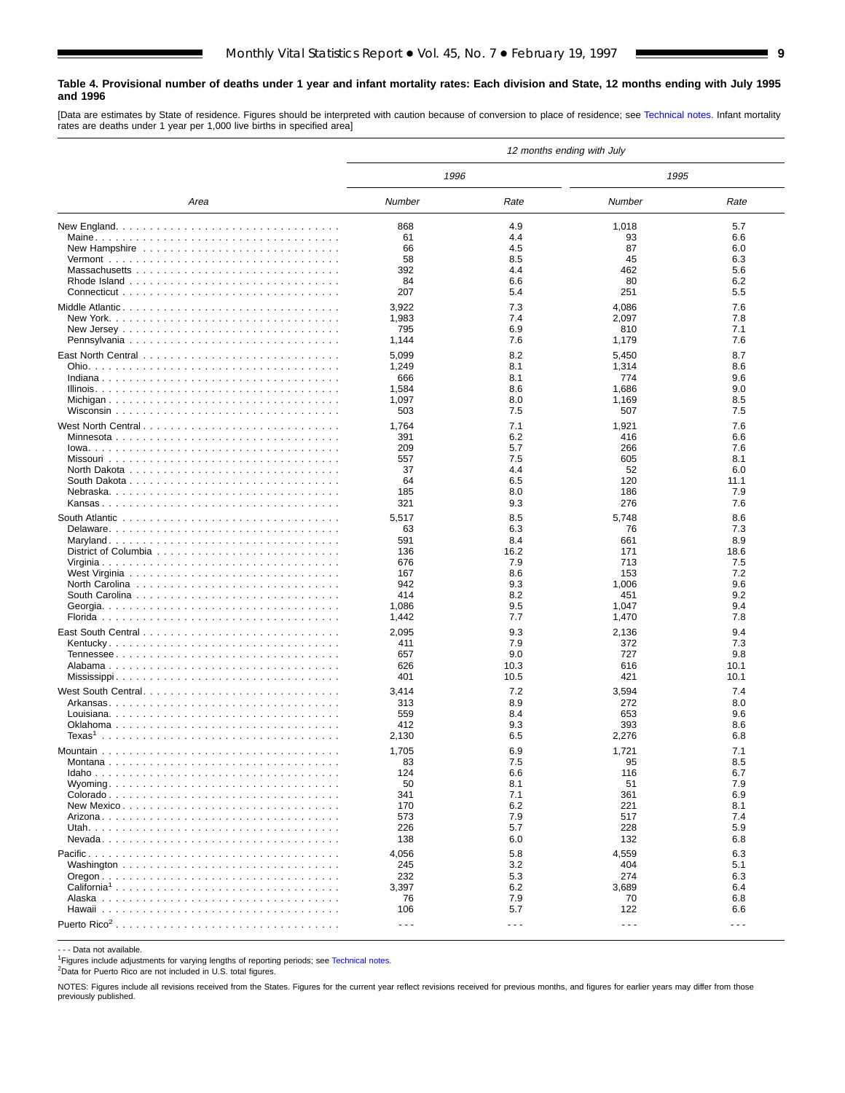#### <span id="page-8-0"></span>**Table 4. Provisional number of deaths under 1 year and infant mortality rates: Each division and State, 12 months ending with July 1995 and 1996**

[Data are estimates by State of residence. Figures should be interpreted with caution because of conversion to place of residence; see [Technical notes.](#page-16-0) Infant mortality rates are deaths under 1 year per 1,000 live births in specified area]

|                                                                                               |                      |                      | 12 months ending with July |            |
|-----------------------------------------------------------------------------------------------|----------------------|----------------------|----------------------------|------------|
|                                                                                               | 1996                 |                      | 1995                       |            |
| Area                                                                                          | Number               | Rate                 | Number                     | Rate       |
|                                                                                               | 868                  | 4.9                  | 1,018                      | 5.7        |
|                                                                                               | 61                   | 4.4                  | 93                         | 6.6        |
|                                                                                               | 66                   | 4.5                  | 87                         | 6.0        |
|                                                                                               | 58                   | 8.5                  | 45                         | 6.3        |
|                                                                                               | 392                  | 4.4                  | 462                        | 5.6        |
|                                                                                               | 84                   | 6.6                  | 80                         | 6.2        |
|                                                                                               | 207                  | 5.4                  | 251                        | 5.5        |
| Middle Atlantic                                                                               | 3,922                | 7.3                  | 4,086                      | 7.6        |
|                                                                                               | 1,983                | 7.4                  | 2,097                      | 7.8        |
|                                                                                               | 795                  | 6.9                  | 810                        | 7.1        |
|                                                                                               | 1,144                | 7.6                  | 1,179                      | 7.6        |
|                                                                                               | 5,099                | 8.2                  | 5,450                      | 8.7        |
|                                                                                               | 1,249                | 8.1                  | 1,314                      | 8.6        |
|                                                                                               | 666                  | 8.1                  | 774                        | 9.6        |
|                                                                                               | 1,584                | 8.6                  | 1,686                      | 9.0        |
|                                                                                               | 1,097<br>503         | 8.0<br>7.5           | 1,169<br>507               | 8.5<br>7.5 |
|                                                                                               |                      |                      |                            |            |
| West North Central                                                                            | 1,764                | 7.1                  | 1,921                      | 7.6        |
|                                                                                               | 391                  | 6.2                  | 416                        | 6.6        |
|                                                                                               | 209<br>557           | 5.7<br>7.5           | 266<br>605                 | 7.6<br>8.1 |
|                                                                                               | 37                   | 4.4                  | 52                         | 6.0        |
|                                                                                               | 64                   | 6.5                  | 120                        | 11.1       |
|                                                                                               | 185                  | 8.0                  | 186                        | 7.9        |
|                                                                                               | 321                  | 9.3                  | 276                        | 7.6        |
| South Atlantic $\ldots \ldots \ldots \ldots \ldots \ldots \ldots \ldots \ldots \ldots \ldots$ | 5,517                | 8.5                  | 5,748                      | 8.6        |
|                                                                                               | 63                   | 6.3                  | 76                         | 7.3        |
|                                                                                               | 591                  | 8.4                  | 661                        | 8.9        |
|                                                                                               | 136                  | 16.2                 | 171                        | 18.6       |
|                                                                                               | 676                  | 7.9                  | 713                        | 7.5        |
|                                                                                               | 167                  | 8.6                  | 153                        | 7.2        |
|                                                                                               | 942                  | 9.3                  | 1,006                      | 9.6        |
|                                                                                               | 414                  | 8.2                  | 451                        | 9.2        |
|                                                                                               | 1,086                | 9.5                  | 1,047                      | 9.4        |
|                                                                                               | 1,442                | 7.7                  | 1,470                      | 7.8        |
|                                                                                               | 2,095                | 9.3                  | 2,136                      | 9.4        |
|                                                                                               | 411                  | 7.9                  | 372                        | 7.3        |
|                                                                                               | 657                  | 9.0                  | 727                        | 9.8        |
|                                                                                               | 626                  | 10.3                 | 616                        | 10.1       |
|                                                                                               | 401                  | 10.5                 | 421                        | 10.1       |
| West South Central                                                                            | 3,414                | 7.2                  | 3,594                      | 7.4        |
|                                                                                               | 313                  | 8.9                  | 272                        | 8.0        |
|                                                                                               | 559                  | 8.4                  | 653                        | 9.6        |
|                                                                                               | 412                  | 9.3<br>6.5           | 393                        | 8.6<br>6.8 |
|                                                                                               | 2,130                |                      | 2,276                      |            |
|                                                                                               | 1,705                | 6.9                  | 1,721                      | 7.1        |
|                                                                                               | 83                   | 7.5                  | 95                         | 8.5        |
|                                                                                               | 124<br>50            | 6.6<br>8.1           | 116                        | 6.7<br>7.9 |
|                                                                                               | 341                  | 7.1                  | 51<br>361                  | 6.9        |
|                                                                                               | 170                  | 6.2                  | 221                        | 8.1        |
|                                                                                               | 573                  | 7.9                  | 517                        | 7.4        |
|                                                                                               | 226                  | 5.7                  | 228                        | 5.9        |
|                                                                                               | 138                  | 6.0                  | 132                        | 6.8        |
|                                                                                               | 4,056                | 5.8                  | 4,559                      | 6.3        |
|                                                                                               | 245                  | 3.2                  | 404                        | 5.1        |
|                                                                                               | 232                  | 5.3                  | 274                        | 6.3        |
| California <sup>1</sup>                                                                       | 3,397                | 6.2                  | 3,689                      | 6.4        |
|                                                                                               | 76                   | 7.9                  | 70                         | 6.8        |
|                                                                                               | 106                  | 5.7                  | 122                        | 6.6        |
| Puerto Rico <sup>2</sup>                                                                      | $\sim$ $\sim$ $\sim$ | $\sim$ $\sim$ $\sim$ | $\sim$ $\sim$ $\sim$       | $- - -$    |

- - - Data not available.

<sup>1</sup>Figures include adjustments for varying lengths of reporting periods; see [Technical notes.](#page-16-0)

2Data for Puerto Rico are not included in U.S. total figures.

NOTES: Figures include all revisions received from the States. Figures for the current year reflect revisions received for previous months, and figures for earlier years may differ from those previously published.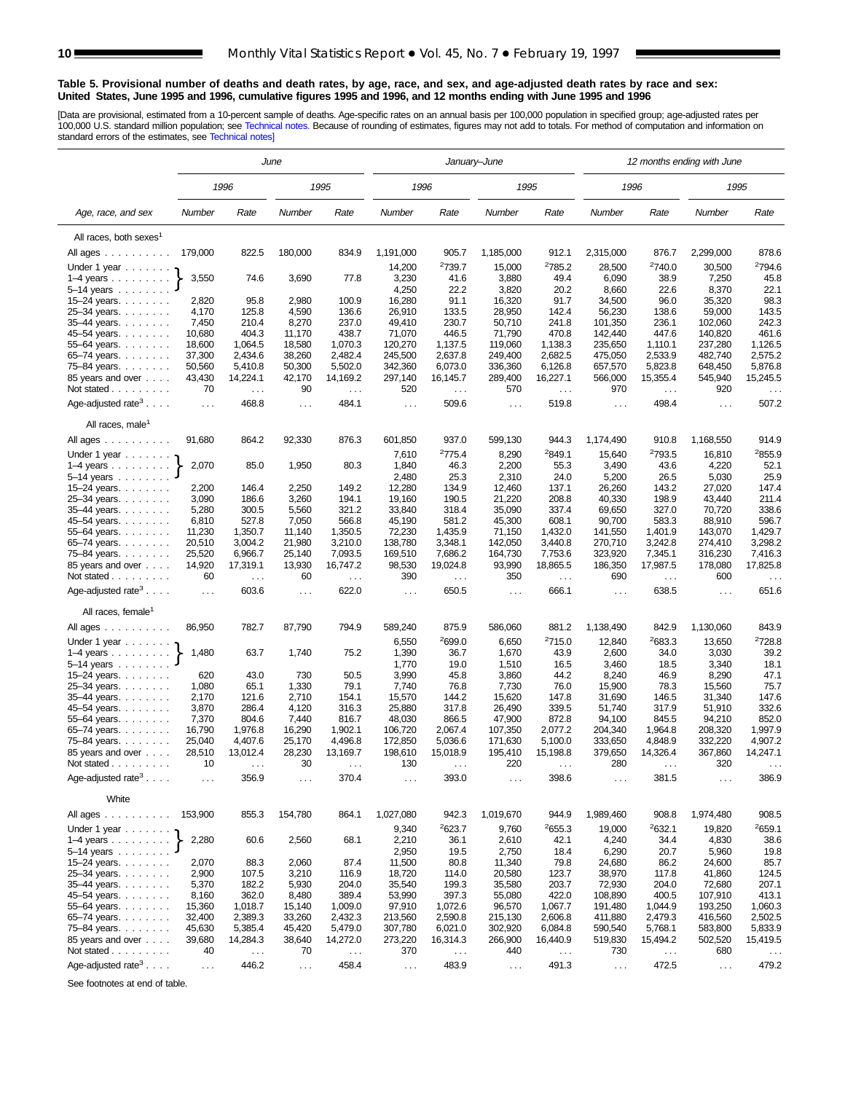#### <span id="page-9-0"></span>**Table 5. Provisional number of deaths and death rates, by age, race, and sex, and age-adjusted death rates by race and sex: United States, June 1995 and 1996, cumulative figures 1995 and 1996, and 12 months ending with June 1995 and 1996**

[Data are provisional, estimated from a 10-percent sample of deaths. Age-specific rates on an annual basis per 100,000 population in specified group; age-adjusted rates per<br>100,000 U.S. standard million population; see Tec

|                                           |                  |                     | June             |                     |                    |                           | January-June         |                      |                     |                             | 12 months ending with June |                             |
|-------------------------------------------|------------------|---------------------|------------------|---------------------|--------------------|---------------------------|----------------------|----------------------|---------------------|-----------------------------|----------------------------|-----------------------------|
|                                           |                  | 1996                |                  | 1995                | 1996               |                           | 1995                 |                      | 1996                |                             | 1995                       |                             |
| Age, race, and sex                        | Number           | Rate                | Number           | Rate                | Number             | Rate                      | Number               | Rate                 | Number              | Rate                        | Number                     | Rate                        |
| All races, both sexes <sup>1</sup>        |                  |                     |                  |                     |                    |                           |                      |                      |                     |                             |                            |                             |
| All ages                                  | 179,000          | 822.5               | 180,000          | 834.9               | 1,191,000          | 905.7                     | 1,185,000            | 912.1                | 2,315,000           | 876.7                       | 2,299,000                  | 878.6                       |
| Under 1 year $\ldots \ldots$              |                  |                     |                  |                     | 14,200             | <sup>2</sup> 739.7        | 15,000               | <sup>2</sup> 785.2   | 28,500              | 2740.0                      | 30,500                     | 2794.6                      |
| $1-4$ years $\ldots$ $\ldots$ .           | 3,550            | 74.6                | 3,690            | 77.8                | 3,230              | 41.6                      | 3,880                | 49.4                 | 6,090               | 38.9                        | 7,250                      | 45.8                        |
| $5 - 14$ years                            |                  |                     |                  |                     | 4,250              | 22.2                      | 3,820                | 20.2                 | 8,660               | 22.6                        | 8,370                      | 22.1                        |
| $15 - 24$ years.                          | 2,820            | 95.8                | 2,980            | 100.9               | 16,280             | 91.1                      | 16,320               | 91.7                 | 34,500              | 96.0                        | 35,320                     | 98.3                        |
| 25-34 years.                              | 4,170            | 125.8               | 4,590            | 136.6               | 26,910             | 133.5                     | 28,950               | 142.4                | 56,230              | 138.6                       | 59,000                     | 143.5                       |
| 35-44 years.<br>45–54 years.              | 7,450<br>10,680  | 210.4<br>404.3      | 8,270<br>11,170  | 237.0<br>438.7      | 49,410<br>71,070   | 230.7<br>446.5            | 50,710<br>71,790     | 241.8<br>470.8       | 101,350<br>142,440  | 236.1<br>447.6              | 102,060<br>140,820         | 242.3<br>461.6              |
| 55-64 years.                              | 18,600           | 1,064.5             | 18,580           | 1,070.3             | 120,270            | 1,137.5                   | 119,060              | 1,138.3              | 235,650             | 1,110.1                     | 237.280                    | 1.126.5                     |
| 65–74 years.                              | 37,300           | 2,434.6             | 38,260           | 2,482.4             | 245,500            | 2,637.8                   | 249,400              | 2,682.5              | 475,050             | 2,533.9                     | 482,740                    | 2,575.2                     |
| 75-84 years.                              | 50,560           | 5,410.8             | 50,300           | 5,502.0             | 342,360            | 6,073.0                   | 336,360              | 6,126.8              | 657,570             | 5,823.8                     | 648,450                    | 5,876.8                     |
| 85 years and over                         | 43,430           | 14,224.1            | 42,170           | 14,169.2            | 297,140            | 16,145.7                  | 289,400              | 16,227.1             | 566,000             | 15,355.4                    | 545,940                    | 15,245.5                    |
| Not stated                                | 70               | $\sim$ .            | 90               | $\sim$ $\sim$       | 520                | $\sim$ $\sim$             | 570                  | $\sim$ $\sim$        | 970                 | $\ldots$                    | 920                        | $\sim$ $\sim$               |
| Age-adjusted rate <sup>3</sup> $\ldots$ . | $\cdots$         | 468.8               | $\cdots$         | 484.1               | $\cdots$           | 509.6                     | $\sim$ $\sim$ $\sim$ | 519.8                | $\ldots$            | 498.4                       | $\cdots$                   | 507.2                       |
| All races, male <sup>1</sup>              |                  |                     |                  |                     |                    |                           |                      |                      |                     |                             |                            |                             |
| All ages $\dots \dots \dots$              | 91,680           | 864.2               | 92,330           | 876.3               | 601,850<br>7,610   | 937.0<br>2775.4           | 599,130<br>8,290     | 944.3<br>2849.1      | 1,174,490<br>15,640 | 910.8<br>2793.5             | 1,168,550<br>16,810        | 914.9<br>2855.9             |
| Under 1 year<br>$1-4$ years               | 2,070            | 85.0                | 1,950            | 80.3                | 1,840              | 46.3                      | 2,200                | 55.3                 | 3,490               | 43.6                        | 4,220                      | 52.1                        |
| $5 - 14$ years                            |                  |                     |                  |                     | 2,480              | 25.3                      | 2,310                | 24.0                 | 5,200               | 26.5                        | 5,030                      | 25.9                        |
| 15-24 years.                              | 2,200            | 146.4               | 2,250            | 149.2               | 12,280             | 134.9                     | 12,460               | 137.1                | 26,260              | 143.2                       | 27,020                     | 147.4                       |
| 25-34 years.                              | 3,090            | 186.6               | 3,260            | 194.1               | 19,160             | 190.5                     | 21,220               | 208.8                | 40,330              | 198.9                       | 43,440                     | 211.4                       |
| 35-44 years.                              | 5,280            | 300.5               | 5,560            | 321.2               | 33,840             | 318.4                     | 35,090               | 337.4                | 69,650              | 327.0                       | 70,720                     | 338.6                       |
| 45-54 years.                              | 6,810            | 527.8               | 7,050            | 566.8               | 45,190             | 581.2                     | 45,300               | 608.1                | 90,700              | 583.3                       | 88,910                     | 596.7                       |
| 55-64 years.                              | 11,230           | 1,350.7             | 11,140           | 1,350.5<br>3.210.0  | 72,230             | 1,435.9                   | 71,150               | 1,432.0              | 141,550             | 1,401.9                     | 143,070                    | 1,429.7                     |
| 65-74 years.<br>75-84 years.              | 20,510<br>25,520 | 3,004.2<br>6,966.7  | 21,980<br>25,140 | 7,093.5             | 138,780<br>169,510 | 3,348.1<br>7,686.2        | 142,050<br>164,730   | 3,440.8<br>7,753.6   | 270,710<br>323,920  | 3,242.8<br>7,345.1          | 274,410<br>316,230         | 3,298.2<br>7,416.3          |
| 85 years and over                         | 14,920           | 17,319.1            | 13,930           | 16,747.2            | 98,530             | 19,024.8                  | 93,990               | 18,865.5             | 186,350             | 17,987.5                    | 178,080                    | 17,825.8                    |
| Not stated $\ldots$                       | 60               | $\ldots$            | 60               | $\cdots$            | 390                | $\sim$ $\sim$ $\sim$      | 350                  | $\sim$ $\sim$ $\sim$ | 690                 | $\ldots$                    | 600                        | $\sim$ $\sim$               |
| Age-adjusted rate <sup>3</sup>            | $\sim$ .         | 603.6               | $\sim 10$        | 622.0               | $\cdots$           | 650.5                     | $\ldots$             | 666.1                | $\ldots$            | 638.5                       | $\sim$ $\sim$              | 651.6                       |
| All races, female <sup>1</sup>            |                  |                     |                  |                     |                    |                           |                      |                      |                     |                             |                            |                             |
| All ages                                  | 86,950           | 782.7               | 87,790           | 794.9               | 589,240            | 875.9                     | 586,060              | 881.2                | 1,138,490           | 842.9                       | 1,130,060                  | 843.9                       |
| Under 1 year                              |                  |                     |                  |                     | 6,550              | <sup>2</sup> 699.0        | 6,650                | 2715.0               | 12,840              | 2683.3                      | 13,650                     | <sup>2</sup> 728.8          |
| $1-4$ years                               | 1,480            | 63.7                | 1,740            | 75.2                | 1,390              | 36.7                      | 1,670                | 43.9                 | 2,600               | 34.0                        | 3,030                      | 39.2                        |
| $5-14$ years $\ldots$ .                   |                  |                     |                  |                     | 1,770              | 19.0                      | 1,510                | 16.5                 | 3,460               | 18.5                        | 3,340                      | 18.1                        |
| $15 - 24$ years.                          | 620              | 43.0                | 730              | 50.5                | 3,990              | 45.8                      | 3,860                | 44.2                 | 8,240               | 46.9                        | 8,290                      | 47.1                        |
| 25-34 years.                              | 1,080            | 65.1                | 1,330            | 79.1                | 7,740              | 76.8                      | 7,730                | 76.0                 | 15,900              | 78.3                        | 15,560                     | 75.7                        |
| 35-44 years.                              | 2,170            | 121.6               | 2,710            | 154.1               | 15,570             | 144.2                     | 15,620               | 147.8                | 31,690              | 146.5                       | 31,340                     | 147.6                       |
| 45-54 years.<br>55-64 years.              | 3,870<br>7,370   | 286.4<br>804.6      | 4,120<br>7,440   | 316.3<br>816.7      | 25,880<br>48,030   | 317.8<br>866.5            | 26,490<br>47,900     | 339.5<br>872.8       | 51,740<br>94,100    | 317.9<br>845.5              | 51,910<br>94,210           | 332.6<br>852.0              |
| 65-74 years.                              | 16,790           | 1,976.8             | 16,290           | 1,902.1             | 106,720            | 2.067.4                   | 107,350              | 2,077.2              | 204,340             | 1,964.8                     | 208,320                    | 1,997.9                     |
| 75-84 years.                              | 25,040           | 4,407.6             | 25,170           | 4,496.8             | 172,850            | 5,036.6                   | 171,630              | 5,100.0              | 333,650             | 4,848.9                     | 332,220                    | 4,907.2                     |
| 85 years and over                         | 28,510           | 13,012.4            | 28,230           | 13,169.7            | 198,610            | 15,018.9                  | 195,410              | 15,198.8             | 379,650             | 14,326.4                    | 367,860                    | 14,247.1                    |
| Not stated $\ldots$                       | 10               |                     | 30               |                     | 130                | .                         | 220                  |                      | 280                 |                             | 320                        |                             |
| Age-adjusted rate <sup>3</sup> $\ldots$ . | $\cdots$         | 356.9               | $\cdots$         | 370.4               | $\cdots$           | 393.0                     | $\cdots$             | 398.6                | $\cdots$            | 381.5                       | $\cdots$                   | 386.9                       |
| White                                     |                  |                     |                  |                     |                    |                           |                      |                      |                     |                             |                            |                             |
| All ages<br>Under 1 year $\ldots \ldots$  | 153,900          | 855.3               | 154,780          | 864.1               | 1,027,080<br>9,340 | 942.3<br>2623.7           | 1,019,670<br>9,760   | 944.9<br>2655.3      | 1,989,460<br>19,000 | 908.8<br><sup>2</sup> 632.1 | 1,974,480<br>19,820        | 908.5<br><sup>2</sup> 659.1 |
| $1-4$ years<br>$5 - 14$ years $\ldots$    | 2,280            | 60.6                | 2,560            | 68.1                | 2,210<br>2,950     | 36.1<br>19.5              | 2,610<br>2,750       | 42.1<br>18.4         | 4,240<br>6,290      | 34.4<br>20.7                | 4,830<br>5,960             | 38.6<br>19.8                |
| 15-24 years.                              | 2,070            | 88.3                | 2,060            | 87.4                | 11,500             | 80.8                      | 11,340               | 79.8                 | 24,680              | 86.2                        | 24,600                     | 85.7                        |
| 25–34 years                               | 2,900            | 107.5               | 3,210            | 116.9               | 18,720             | 114.0                     | 20,580               | 123.7                | 38,970              | 117.8                       | 41,860                     | 124.5                       |
| 35-44 years.                              | 5,370            | 182.2               | 5,930            | 204.0               | 35,540             | 199.3                     | 35,580               | 203.7                | 72,930              | 204.0                       | 72,680                     | 207.1                       |
| 45–54 years                               | 8,160            | 362.0               | 8,480            | 389.4               | 53,990             | 397.3                     | 55,080               | 422.0                | 108,890             | 400.5                       | 107,910                    | 413.1                       |
| 55–64 years                               | 15,360           | 1,018.7             | 15,140           | 1,009.0             | 97,910             | 1,072.6                   | 96,570               | 1,067.7              | 191,480             | 1,044.9                     | 193,250                    | 1,060.3                     |
| 65–74 years                               | 32,400           | 2,389.3             | 33,260           | 2,432.3             | 213,560            | 2,590.8                   | 215,130              | 2,606.8              | 411,880             | 2,479.3                     | 416,560                    | 2,502.5                     |
| 75-84 years.<br>85 years and over         | 45,630<br>39,680 | 5,385.4<br>14,284.3 | 45,420<br>38,640 | 5,479.0<br>14,272.0 | 307,780<br>273,220 | 6,021.0                   | 302,920<br>266,900   | 6,084.8<br>16,440.9  | 590,540<br>519,830  | 5,768.1<br>15,494.2         | 583,800<br>502,520         | 5,833.9<br>15,419.5         |
| Not stated                                | 40               | $\sim$              | 70               | $\sim$ $\sim$       | 370                | 16,314.3<br>$\sim$ $\sim$ | 440                  | $\ldots$             | 730                 | $\sim$ $\sim$               | 680                        | $\ldots$                    |
| Age-adjusted rate <sup>3</sup> $\ldots$ . |                  | 446.2               |                  | 458.4               |                    | 483.9                     |                      | 491.3                |                     | 472.5                       |                            | 479.2                       |
|                                           | $\sim$ $\sim$    |                     | $\sim$           |                     | $\sim$ $\sim$      |                           | $\sim$ $\sim$ $\sim$ |                      | $\sim$              |                             | $\sim$ $\sim$              |                             |

See footnotes at end of table.

 $\overline{a}$ 

 $\overline{a}$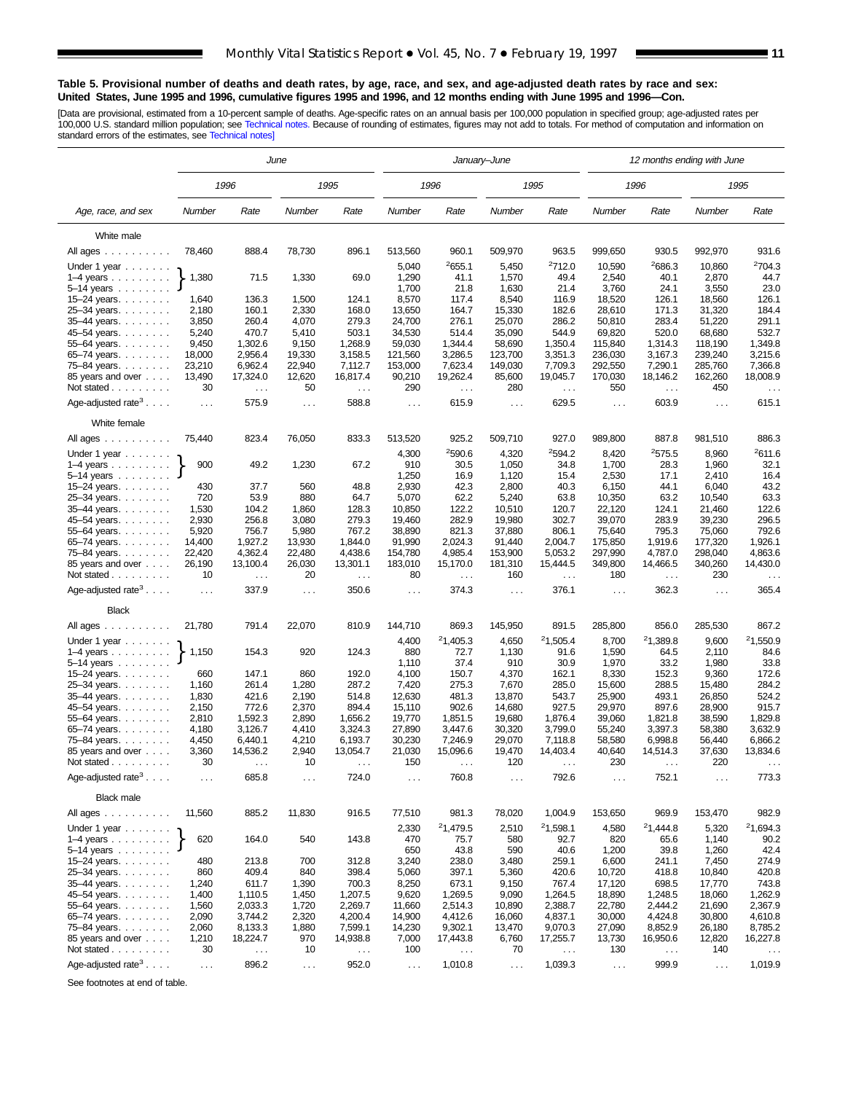#### **Table 5. Provisional number of deaths and death rates, by age, race, and sex, and age-adjusted death rates by race and sex: United States, June 1995 and 1996, cumulative figures 1995 and 1996, and 12 months ending with June 1995 and 1996—Con.**

[Data are provisional, estimated from a 10-percent sample of deaths. Age-specific rates on an annual basis per 100,000 population in specified group; age-adjusted rates per<br>100,000 U.S. standard million population; see Tec

|                                                |                |                  | June                          |                  |                  |                 | January–June                        |                      |                  | 12 months ending with June |                  |                             |
|------------------------------------------------|----------------|------------------|-------------------------------|------------------|------------------|-----------------|-------------------------------------|----------------------|------------------|----------------------------|------------------|-----------------------------|
|                                                |                | 1996             |                               | 1995             |                  | 1996            |                                     | 1995                 |                  | 1996                       |                  | 1995                        |
| Age, race, and sex                             | Number         | Rate             | Number                        | Rate             | Number           | Rate            | Number                              | Rate                 | Number           | Rate                       | Number           | Rate                        |
| White male                                     |                |                  |                               |                  |                  |                 |                                     |                      |                  |                            |                  |                             |
| All ages                                       | 78,460         | 888.4            | 78,730                        | 896.1            | 513,560          | 960.1           | 509,970                             | 963.5                | 999,650          | 930.5                      | 992,970          | 931.6                       |
| Under 1 year                                   |                |                  |                               |                  | 5,040            | 2655.1          | 5,450                               | 2712.0               | 10,590           | 2686.3                     | 10,860           | 2704.3                      |
| $1-4$ years $\ldots$                           | 1,380          | 71.5             | 1,330                         | 69.0             | 1,290            | 41.1            | 1,570                               | 49.4                 | 2,540            | 40.1                       | 2,870            | 44.7                        |
| $5-14$ years $\ldots$                          |                |                  |                               |                  | 1,700            | 21.8            | 1,630                               | 21.4                 | 3,760            | 24.1                       | 3,550            | 23.0                        |
| 15-24 years.                                   | 1,640          | 136.3            | 1,500                         | 124.1            | 8,570            | 117.4           | 8,540                               | 116.9                | 18,520           | 126.1                      | 18,560           | 126.1                       |
| 25-34 years.                                   | 2,180          | 160.1            | 2,330                         | 168.0            | 13,650           | 164.7           | 15,330                              | 182.6                | 28,610           | 171.3                      | 31,320           | 184.4                       |
| 35-44 years.                                   | 3,850          | 260.4            | 4,070                         | 279.3            | 24,700           | 276.1           | 25,070                              | 286.2                | 50,810           | 283.4                      | 51,220           | 291.1                       |
| 45-54 years.                                   | 5,240          | 470.7            | 5,410                         | 503.1            | 34,530           | 514.4           | 35,090                              | 544.9                | 69,820           | 520.0                      | 68,680           | 532.7                       |
| 55-64 years.                                   | 9,450          | 1,302.6          | 9,150                         | 1,268.9          | 59,030           | 1,344.4         | 58.690                              | 1,350.4              | 115,840          | 1,314.3                    | 118,190          | 1,349.8                     |
| 65-74 years.                                   | 18,000         | 2,956.4          | 19,330                        | 3,158.5          | 121,560          | 3,286.5         | 123,700                             | 3,351.3              | 236,030          | 3,167.3                    | 239,240          | 3,215.6                     |
| 75-84 years.                                   | 23,210         | 6,962.4          | 22,940                        | 7,112.7          | 153,000          | 7,623.4         | 149,030                             | 7,709.3              | 292,550          | 7,290.1                    | 285,760          | 7,366.8                     |
| 85 years and over                              | 13,490         | 17,324.0         | 12,620                        | 16,817.4         | 90,210           | 19,262.4        | 85,600                              | 19,045.7             | 170,030          | 18,146.2                   | 162,260          | 18,008.9                    |
| Not stated                                     | 30             | $\sim$ $\sim$    | 50                            | $\sim$ .         | 290              | $\sim$ .        | 280                                 | $\sim$ .             | 550              | $\sim$ $\sim$              | 450              | $\sim$ $\sim$               |
|                                                |                |                  |                               |                  |                  |                 |                                     |                      |                  |                            |                  |                             |
| Age-adjusted rate <sup>3</sup><br>White female | $\cdots$       | 575.9            | $\cdots$                      | 588.8            | $\ldots$ .       | 615.9           | $\ldots$                            | 629.5                | $\sim$ .         | 603.9                      | $\cdots$         | 615.1                       |
|                                                |                |                  |                               |                  |                  |                 |                                     |                      |                  |                            |                  |                             |
| All ages                                       | 75,440         | 823.4            | 76,050                        | 833.3            | 513,520<br>4,300 | 925.2<br>2590.6 | 927.0<br>509,710<br>2594.2<br>4,320 |                      | 989,800<br>8,420 | 887.8<br>2575.5            | 981,510<br>8,960 | 886.3<br><sup>2</sup> 611.6 |
| Under 1 year                                   | 900            | 49.2             | 1,230                         | 67.2             | 910              | 30.5            |                                     |                      | 1,700            | 28.3                       | 1,960            | 32.1                        |
| $1-4$ years<br>$5-14$ years                    |                |                  |                               |                  | 1,250            | 16.9            | 1,050<br>34.8<br>15.4               |                      | 2,530            | 17.1                       | 2,410            | 16.4                        |
|                                                | 430            | 37.7             | 560                           | 48.8             | 2,930            | 42.3            | 1,120                               |                      | 6,150            | 44.1                       | 6,040            | 43.2                        |
| 15–24 years. $\ldots$<br>25-34 years.          | 720            | 53.9             | 880                           | 64.7             | 5,070            | 62.2            | 2,800<br>40.3<br>5,240<br>63.8      |                      | 10,350           | 63.2                       | 10,540           | 63.3                        |
| 35-44 years.                                   | 1,530          | 104.2            | 1,860                         | 128.3            | 10,850           | 122.2           | 10,510                              | 120.7                | 22,120           | 124.1                      | 21,460           | 122.6                       |
| 45-54 years.                                   | 2,930          | 256.8            | 3,080                         | 279.3            | 19,460           | 282.9           | 19,980                              | 302.7                | 39,070           | 283.9                      | 39,230           | 296.5                       |
| 55–64 years.                                   | 5,920          | 756.7            | 5,980                         | 767.2            | 38,890           | 821.3           | 37,880                              | 806.1                | 75,640           | 795.3                      | 75,060           | 792.6                       |
| 65-74 years.                                   | 14.400         | 1,927.2          | 13,930                        | 1,844.0          | 91,990           | 2.024.3         | 91.440                              | 2,004.7              | 175,850          | 1.919.6                    | 177.320          | 1,926.1                     |
| 75–84 years                                    | 22,420         | 4,362.4          | 22,480                        | 4,438.6          | 154,780          | 4,985.4         | 153,900                             | 5,053.2              | 297,990          | 4,787.0                    | 298,040          | 4,863.6                     |
| 85 years and over                              | 26,190         | 13,100.4         | 26,030                        | 13,301.1         | 183,010          | 15,170.0        | 181,310                             | 15,444.5             | 349,800          | 14,466.5                   | 340,260          | 14,430.0                    |
| Not stated                                     | 10             | $\sim$ .         | 20                            | $\ldots$         | 80               | $\sim$ $\sim$   | 160                                 | $\sim$ $\sim$ $\sim$ | 180              | $\sim$ $\sim$              | 230              | $\sim$ $\sim$ $\sim$        |
| Age-adjusted rate <sup>3</sup> $\ldots$ .      | $\sim$ .       | 337.9            | $\cdots$                      | 350.6            | $\ldots$ .       | 374.3           | $\sim$ .                            | 376.1                | $\ldots$         | 362.3                      | $\cdots$         | 365.4                       |
| <b>Black</b>                                   |                |                  |                               |                  |                  |                 |                                     |                      |                  |                            |                  |                             |
| All ages                                       | 21,780         | 791.4            | 22,070                        | 810.9            | 144,710          | 869.3           | 145,950                             | 891.5                | 285,800          | 856.0                      | 285,530          | 867.2                       |
|                                                |                |                  |                               |                  | 4,400            | 21,405.3        | 4,650                               | 21,505.4             | 8,700            | 21,389.8                   | 9,600            | 21,550.9                    |
| Under 1 year                                   |                | 154.3            | 920                           | 124.3            | 880              | 72.7            |                                     | 91.6                 |                  | 64.5                       |                  |                             |
| $1-4$ years $\ldots$ $\ldots$ .                | 1,150          |                  |                               |                  | 1,110            | 37.4            | 1,130<br>910                        | 30.9                 | 1,590<br>1,970   | 33.2                       | 2,110<br>1,980   | 84.6<br>33.8                |
| $5-14$ years<br>15-24 years.                   | 660            | 147.1            | 860                           | 192.0            | 4,100            | 150.7           | 4,370                               | 162.1                | 8,330            | 152.3                      | 9,360            | 172.6                       |
| 25-34 years.                                   | 1,160          | 261.4            | 1,280                         | 287.2            | 7,420            | 275.3           | 7,670                               | 285.0                | 15,600           | 288.5                      | 15,480           | 284.2                       |
| 35-44 years.                                   | 1,830          | 421.6            | 2,190                         | 514.8            | 12,630           | 481.3           | 13,870                              | 543.7                | 25,900           | 493.1                      | 26,850           | 524.2                       |
| 45–54 years.                                   | 2,150          | 772.6            | 2,370                         | 894.4            | 15,110           | 902.6           | 14,680                              | 927.5                | 29,970           | 897.6                      | 28,900           | 915.7                       |
| 55-64 years.                                   | 2,810          | 1,592.3          | 2,890                         | 1,656.2          | 19,770           | 1,851.5         | 19,680                              | 1,876.4              | 39,060           | 1,821.8                    | 38,590           | 1,829.8                     |
| 65-74 years.                                   | 4,180          | 3,126.7          | 4,410                         | 3,324.3          | 27,890           | 3,447.6         | 30,320                              | 3,799.0              | 55,240           | 3,397.3                    | 58,380           | 3,632.9                     |
| 75–84 years                                    | 4,450          | 6,440.1          | 4,210                         | 6,193.7          | 30,230           | 7,246.9         | 29,070                              | 7,118.8              | 58,580           | 6,998.8                    | 56,440           | 6,866.2                     |
| 85 years and over                              | 3,360          | 14,536.2         | 2,940                         | 13,054.7         | 21,030           | 15,096.6        | 19,470                              | 14,403.4             | 40,640           | 14,514.3                   | 37,630           | 13,834.6                    |
| Not stated.<br>and a series and                | 30             |                  | 10                            |                  | 150              |                 | 120                                 |                      | 230              |                            | 220              |                             |
| Age-adjusted rate <sup>3</sup>                 | $\cdots$       | 685.8            | $\cdots$                      | 724.0            | $\cdots$         | 760.8           | $\cdots$                            | 792.6                | $\cdots$         | 752.1                      | $\cdots$         | 773.3                       |
| Black male                                     |                |                  |                               |                  |                  |                 |                                     |                      |                  |                            |                  |                             |
| All ages                                       | 11,560         | 885.2            | 11,830                        | 916.5            | 77,510           | 981.3           | 78,020                              | 1,004.9              | 153,650          | 969.9                      | 153,470          | 982.9                       |
|                                                |                |                  |                               |                  |                  |                 |                                     |                      |                  |                            |                  |                             |
| Under 1 year                                   |                |                  |                               |                  | 2,330            | 21,479.5        | 2,510                               | 21,598.1             | 4,580            | <sup>2</sup> 1,444.8       | 5,320            | 21,694.3                    |
| $1-4$ years $\ldots$ $\ldots$ .                | 620            | 164.0            | 540                           | 143.8            | 470              | 75.7            | 580                                 | 92.7                 | 820              | 65.6                       | 1,140            | 90.2                        |
| 5–14 years                                     |                |                  |                               |                  | 650              | 43.8            | 590                                 | 40.6                 | 1,200            | 39.8                       | 1,260            | 42.4                        |
| 15–24 years. $\ldots$<br>25–34 years.          | 480<br>860     | 213.8<br>409.4   | 700<br>840                    | 312.8            | 3,240            | 238.0           | 3,480                               | 259.1<br>420.6       | 6,600            | 241.1                      | 7,450            | 274.9                       |
|                                                |                |                  | 1,390                         | 398.4            | 5,060            | 397.1<br>673.1  | 5,360                               |                      | 10,720<br>17,120 | 418.8                      | 10,840           | 420.8<br>743.8              |
| 35-44 years.                                   | 1,240<br>1,400 | 611.7<br>1,110.5 | 1,450                         | 700.3<br>1,207.5 | 8,250<br>9,620   | 1,269.5         | 9,150<br>9,090                      | 767.4<br>1,264.5     | 18,890           | 698.5<br>1,248.5           | 17,770<br>18,060 | 1,262.9                     |
| 45–54 years.<br>55–64 years                    | 1,560          | 2,033.3          | 1,720                         | 2,269.7          | 11,660           | 2,514.3         | 10,890                              | 2,388.7              | 22,780           | 2,444.2                    | 21,690           | 2,367.9                     |
| 65–74 years.                                   | 2,090          | 3,744.2          | 2,320                         | 4,200.4          | 14,900           | 4,412.6         | 16,060                              | 4,837.1              | 30,000           | 4,424.8                    | 30,800           | 4,610.8                     |
| 75–84 years                                    | 2,060          | 8,133.3          | 1,880                         | 7,599.1          | 14,230           | 9,302.1         | 13,470                              | 9,070.3              | 27,090           | 8,852.9                    | 26,180           | 8,785.2                     |
| 85 years and over                              | 1,210          | 18,224.7         | 970                           | 14,938.8         | 7,000            | 17,443.8        | 6,760                               | 17,255.7             | 13,730           | 16,950.6                   | 12,820           | 16,227.8                    |
| Not stated                                     | 30             | $\sim$ $\sim$    | 10                            | $\sim$ $\sim$    | 100              | $\sim$ $\sim$   | 70                                  | $\sim$ $\sim$        | 130              | $\sim$ $\sim$              | 140              | $\sim$ $\sim$               |
|                                                |                |                  |                               |                  |                  |                 |                                     |                      |                  |                            |                  |                             |
| Age-adjusted rate <sup>3</sup>                 | $\sim$ .       | 896.2            | $\epsilon \rightarrow \infty$ | 952.0            | $\sim$ $\sim$    | 1,010.8         | $\sim$ $\sim$                       | 1,039.3              | $\sim$ $\sim$    | 999.9                      | $\sim$ $\sim$    | 1,019.9                     |

See footnotes at end of table.

 $\overline{\phantom{a}}$ 

Ē,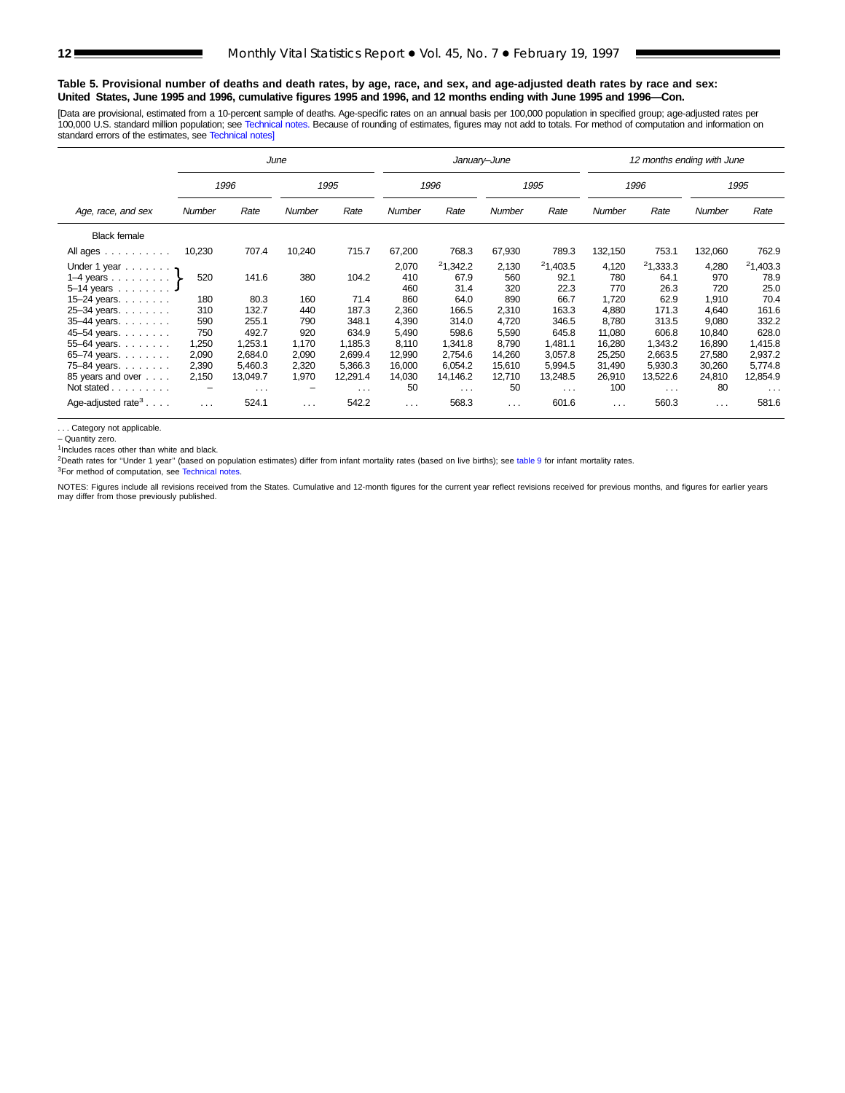#### **Table 5. Provisional number of deaths and death rates, by age, race, and sex, and age-adjusted death rates by race and sex: United States, June 1995 and 1996, cumulative figures 1995 and 1996, and 12 months ending with June 1995 and 1996—Con.**

[Data are provisional, estimated from a 10-percent sample of deaths. Age-specific rates on an annual basis per 100,000 population in specified group; age-adjusted rates per 100,000 U.S. standard million population; see [Technical notes.](#page-16-0) Because of rounding of estimates, figures may not add to totals. For method of computation and information on standard errors of the estimates, see [Technical notes\]](#page-16-0)

|                                                                                                                                                                                      |                                                   |                                                               | June                                              |                                                                |                                                                                   |                                                                                   | January-June                                                             |                                                                                   |                                                                              | 12 months ending with June                                                        |                                                                              |                                                                                   |
|--------------------------------------------------------------------------------------------------------------------------------------------------------------------------------------|---------------------------------------------------|---------------------------------------------------------------|---------------------------------------------------|----------------------------------------------------------------|-----------------------------------------------------------------------------------|-----------------------------------------------------------------------------------|--------------------------------------------------------------------------|-----------------------------------------------------------------------------------|------------------------------------------------------------------------------|-----------------------------------------------------------------------------------|------------------------------------------------------------------------------|-----------------------------------------------------------------------------------|
|                                                                                                                                                                                      |                                                   | 1996                                                          |                                                   | 1995                                                           |                                                                                   | 1996                                                                              |                                                                          | 1995                                                                              |                                                                              | 1996                                                                              |                                                                              | 1995                                                                              |
| Age, race, and sex                                                                                                                                                                   | Number                                            | Rate                                                          | Number                                            | Rate                                                           | Number                                                                            | Rate                                                                              | Number                                                                   | Rate                                                                              | Number                                                                       | Rate                                                                              | Number                                                                       | Rate                                                                              |
| <b>Black female</b>                                                                                                                                                                  |                                                   |                                                               |                                                   |                                                                |                                                                                   |                                                                                   |                                                                          |                                                                                   |                                                                              |                                                                                   |                                                                              |                                                                                   |
| All ages                                                                                                                                                                             | 10,230                                            | 707.4                                                         | 10,240                                            | 715.7                                                          | 67,200                                                                            | 768.3                                                                             | 67,930                                                                   | 789.3                                                                             | 132,150                                                                      | 753.1                                                                             | 132,060                                                                      | 762.9                                                                             |
| Under 1 year $\ldots$ ,<br>1–4 years $\}$<br>$5 - 14$ years $\ldots \ldots$<br>15-24 years. $\ldots$<br>25-34 years.<br>35-44 years.<br>45-54 years.<br>55-64 years.<br>65-74 years. | 520<br>180<br>310<br>590<br>750<br>1,250<br>2,090 | 141.6<br>80.3<br>132.7<br>255.1<br>492.7<br>.253.1<br>2,684.0 | 380<br>160<br>440<br>790<br>920<br>1,170<br>2,090 | 104.2<br>71.4<br>187.3<br>348.1<br>634.9<br>1,185.3<br>2,699.4 | 2,070<br>410<br>460<br>860<br>2,360<br>4.390<br>5,490<br>8.110<br>12,990          | 21,342.2<br>67.9<br>31.4<br>64.0<br>166.5<br>314.0<br>598.6<br>1,341.8<br>2,754.6 | 2,130<br>560<br>320<br>890<br>2,310<br>4,720<br>5,590<br>8,790<br>14,260 | 21,403.5<br>92.1<br>22.3<br>66.7<br>163.3<br>346.5<br>645.8<br>1,481.1<br>3,057.8 | 4,120<br>780<br>770<br>1,720<br>4,880<br>8.780<br>11,080<br>16,280<br>25,250 | 21,333.3<br>64.1<br>26.3<br>62.9<br>171.3<br>313.5<br>606.8<br>1,343.2<br>2,663.5 | 4,280<br>970<br>720<br>1,910<br>4,640<br>9,080<br>10,840<br>16,890<br>27,580 | 21,403.3<br>78.9<br>25.0<br>70.4<br>161.6<br>332.2<br>628.0<br>1,415.8<br>2,937.2 |
| 75-84 years.                                                                                                                                                                         | 2,390                                             | 5,460.3                                                       | 2,320                                             | 5,366.3                                                        | 16,000                                                                            | 6,054.2                                                                           | 15,610<br>12,710                                                         | 5,994.5<br>13,248.5                                                               | 31,490                                                                       | 5,930.3                                                                           | 30,260                                                                       | 5,774.8                                                                           |
| 85 years and over<br>Not stated<br>Age-adjusted rate <sup>3</sup> $\ldots$ .                                                                                                         | 2,150<br>-<br>$\cdots$                            | 13,049.7<br>$\cdots$<br>524.1                                 | 1,970<br>-<br>$\cdots$                            | 12,291.4<br>$\cdots$<br>542.2                                  | 14,030<br>14,146.2<br>50<br>$\sim$ $\sim$ $\sim$<br>568.3<br>$\sim$ $\sim$ $\sim$ |                                                                                   | 50<br>$\cdots$<br>601.6<br>$\cdots$                                      |                                                                                   | 26,910<br>100<br>$\cdots$                                                    | 13,522.6<br>$\cdots$<br>560.3                                                     | 24,810<br>80<br>$\sim$ $\sim$ $\sim$                                         | 12,854.9<br>$\cdots$<br>581.6                                                     |

. . . Category not applicable.

– Quantity zero.

1Includes races other than white and black.

<sup>2</sup>Death rates for "Under 1 year" (based on population estimates) differ from infant mortality rates (based on live births); see table 9 for infant mortality rates.

<sup>3</sup>For method of computation, see [Technical notes.](#page-16-0)

NOTES: Figures include all revisions received from the States. Cumulative and 12-month figures for the current year reflect revisions received for previous months, and figures for earlier years may differ from those previously published.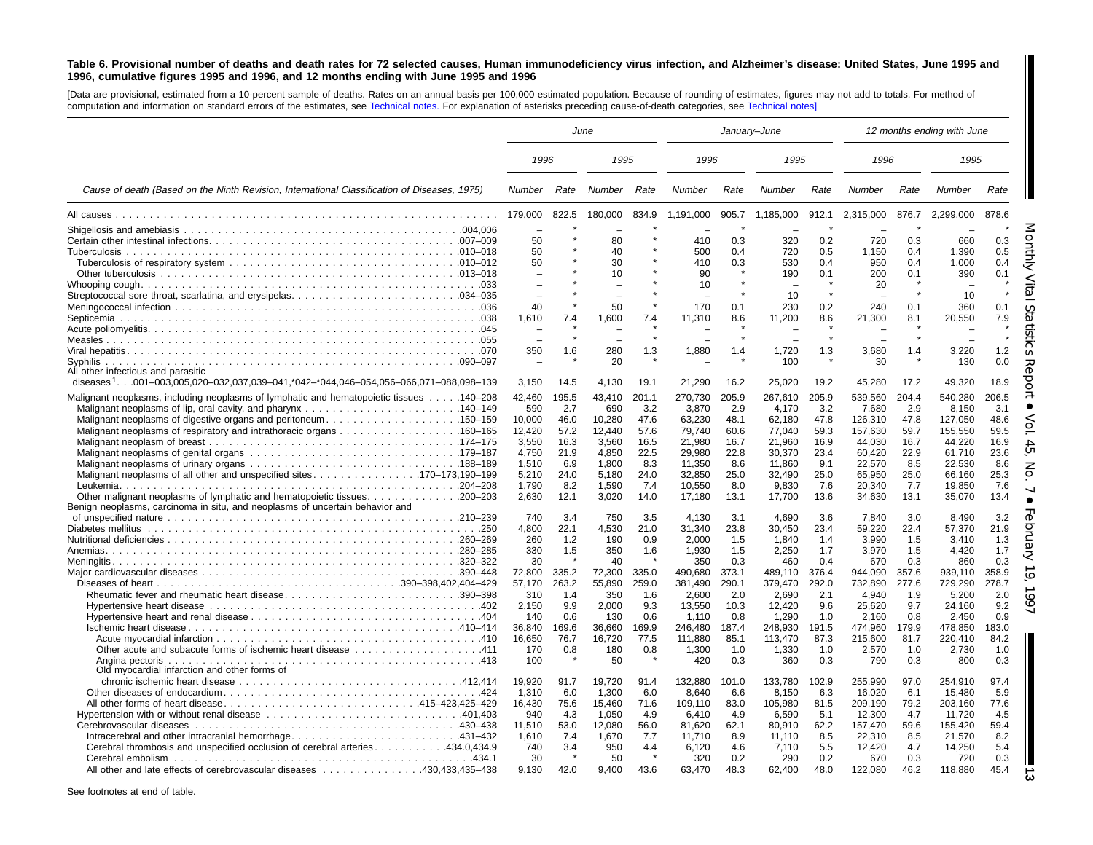#### <span id="page-12-0"></span>Table 6. Provisional number of deaths and death rates for 72 selected causes, Human immunodeficiency virus infection, and Alzheimer's disease: United States, June 1995 and 1996, cumulative figures 1995 and 1996, and 12 months ending with June 1995 and 1996

[Data are provisional, estimated from <sup>a</sup> 10-percent sample of deaths. Rates on an annual basis per 100,000 estimated population. Because of rounding of estimates, figures may not add to totals. For method of computation and information on standard errors of the estimates, see [Technical](#page-16-0) notes. For explanation of asterisks preceding cause-of-death categories, see [Technical](#page-16-0) notes]

|                                                                                                 |                          |              | June          |            |                          |              | January-June   |              |                |              | 12 months ending with June |              |
|-------------------------------------------------------------------------------------------------|--------------------------|--------------|---------------|------------|--------------------------|--------------|----------------|--------------|----------------|--------------|----------------------------|--------------|
|                                                                                                 | 1996                     |              | 1995          |            | 1996                     |              | 1995           |              | 1996           |              | 1995                       |              |
| Cause of death (Based on the Ninth Revision, International Classification of Diseases, 1975)    | Number                   | Rate         | Number        | Rate       | Number                   | Rate         | <b>Number</b>  | Rate         | Number         | Rate         | <b>Number</b>              | Rate         |
|                                                                                                 | 179,000                  | 822.5        | 180,000       | 834.9      | 1,191,000                | 905.7        | 1,185,000      | 912.1        | 2,315,000      | 876.7        | 2,299,000                  | 878.6        |
|                                                                                                 | $\overline{\phantom{0}}$ |              |               |            | $\overline{\phantom{0}}$ |              |                |              |                |              |                            |              |
|                                                                                                 | 50                       |              | 80            |            | 410                      | 0.3          | 320            | 0.2          | 720            | 0.3          | 660                        | 0.3          |
|                                                                                                 | 50                       |              | 40            |            | 500                      | 0.4          | 720            | 0.5          | 1,150          | 0.4          | 1,390                      | 0.5          |
|                                                                                                 | 50                       |              | 30            |            | 410                      | 0.3          | 530            | 0.4          | 950            | 0.4          | 1,000                      | 0.4          |
|                                                                                                 | $\equiv$                 |              | 10            |            | 90                       |              | 190            | 0.1          | 200            | 0.1          | 390                        | 0.1          |
|                                                                                                 |                          |              |               |            | 10                       |              |                |              | 20             |              |                            |              |
|                                                                                                 | $\overline{\phantom{a}}$ |              |               |            |                          |              | 10             |              |                |              | 10                         |              |
|                                                                                                 | 40                       |              | 50            |            | 170                      | 0.1          | 230            | 0.2          | 240            | 0.1          | 360                        | 0.1          |
|                                                                                                 | 1,610                    | 7.4          | 1,600         | 7.4        | 11,310                   | 8.6          | 11,200         | 8.6          | 21,300         | 8.1          | 20,550                     | 7.9          |
|                                                                                                 |                          |              |               |            |                          |              |                |              |                |              |                            |              |
|                                                                                                 | $\overline{\phantom{0}}$ |              |               |            |                          |              |                |              |                |              |                            |              |
|                                                                                                 | 350                      | 1.6          | 280           | 1.3        | 1,880                    | 1.4          | 1,720          | 1.3          | 3,680          | 1.4          | 3,220                      | 1.2          |
|                                                                                                 |                          |              | 20            |            |                          |              | 100            |              | 30             |              | 130                        | 0.0          |
| All other infectious and parasitic                                                              |                          |              |               |            |                          |              |                |              |                |              |                            |              |
| diseases <sup>1</sup> 001–003,005,020–032,037,039–041,*042–*044,046–054,056–066,071–088,098–139 | 3.150                    | 14.5         | 4,130         | 19.1       | 21,290                   | 16.2         | 25.020         | 19.2         | 45,280         | 17.2         | 49.320                     | 18.9         |
|                                                                                                 | 42,460                   | 195.5        | 43,410        | 201.1      | 270,730                  | 205.9        | 267,610        | 205.9        | 539,560        | 204.4        | 540,280                    | 206.5        |
| 140–208. 140–208 Malignant neoplasms of lymphatic and hematopoietic tissues 140–208             |                          |              |               |            |                          |              |                |              |                |              |                            |              |
|                                                                                                 | 590                      | 2.7          | 690           | 3.2        | 3.870                    | 2.9          | 4,170          | 3.2          | 7,680          | 2.9          | 8.150                      | 3.1          |
| Malignant neoplasms of digestive organs and peritoneum150–159                                   | 10,000                   | 46.0         | 10,280        | 47.6       | 63,230                   | 48.1         | 62,180         | 47.8         | 126,310        | 47.8         | 127,050                    | 48.6         |
|                                                                                                 | 12,420                   | 57.2         | 12,440        | 57.6       | 79,740                   | 60.6         | 77,040         | 59.3         | 157,630        | 59.7         | 155,550                    | 59.5         |
|                                                                                                 | 3.550                    | 16.3         | 3,560         | 16.5       | 21,980                   | 16.7         | 21,960         | 16.9         | 44,030         | 16.7         | 44,220                     | 16.9         |
|                                                                                                 | 4.750                    | 21.9         | 4.850         | 22.5       | 29.980                   | 22.8         | 30,370         | 23.4         | 60,420         | 22.9         | 61,710                     | 23.6         |
|                                                                                                 | 1,510                    | 6.9          | 1,800         | 8.3        | 11,350                   | 8.6          | 11,860         | 9.1          | 22,570         | 8.5          | 22,530                     | 8.6          |
|                                                                                                 | 5,210                    | 24.0         | 5,180         | 24.0       | 32,850                   | 25.0         | 32,490         | 25.0         | 65,950         | 25.0         | 66,160                     | 25.3         |
|                                                                                                 | 1.790                    | 8.2          | 1,590         | 7.4        | 10,550                   | 8.0          | 9,830          | 7.6          | 20,340         | 7.7          | 19,850                     | 7.6          |
|                                                                                                 | 2,630                    | 12.1         | 3,020         | 14.0       | 17,180                   | 13.1         | 17,700         | 13.6         | 34,630         | 13.1         | 35,070                     | 13.4         |
| Benign neoplasms, carcinoma in situ, and neoplasms of uncertain behavior and                    | 740                      | 3.4          | 750           | 3.5        | 4.130                    | 3.1          | 4,690          | 3.6          | 7,840          | 3.0          | 8.490                      | 3.2          |
|                                                                                                 | 4,800                    | 22.1         | 4,530         | 21.0       | 31,340                   | 23.8         | 30,450         | 23.4         | 59,220         | 22.4         | 57,370                     | 21.9         |
|                                                                                                 | 260                      | 1.2          | 190           | 0.9        |                          |              |                | 1.4          |                |              | 3.410                      |              |
|                                                                                                 | 330                      | 1.5          | 350           | 1.6        | 2,000<br>1.930           | 1.5<br>1.5   | 1,840<br>2,250 | 1.7          | 3,990<br>3,970 | 1.5<br>1.5   | 4,420                      | 1.3<br>1.7   |
|                                                                                                 | 30                       |              | 40            |            | 350                      | 0.3          | 460            | 0.4          | 670            | 0.3          | 860                        | 0.3          |
|                                                                                                 | 72,800                   | 335.2        | 72,300        | 335.0      | 490,680                  | 373.1        | 489,110        | 376.4        | 944,090        | 357.6        | 939,110                    | 358.9        |
|                                                                                                 |                          |              |               | 259.0      |                          |              |                |              |                |              | 729.290                    |              |
|                                                                                                 | 57,170<br>310            | 263.2<br>1.4 | 55,890<br>350 |            | 381.490                  | 290.1<br>2.0 | 379,470        | 292.0<br>2.1 | 732,890        | 277.6<br>1.9 |                            | 278.7<br>2.0 |
|                                                                                                 |                          | 9.9          | 2.000         | 1.6<br>9.3 | 2,600                    | 10.3         | 2,690          | 9.6          | 4,940          | 9.7          | 5,200                      | 9.2          |
|                                                                                                 | 2.150                    |              |               |            | 13,550                   |              | 12.420         |              | 25.620         |              | 24.160                     |              |
|                                                                                                 | 140                      | 0.6          | 130           | 0.6        | 1,110                    | 0.8          | 1,290          | 1.0          | 2,160          | 0.8          | 2,450                      | 0.9          |
|                                                                                                 | 36,840                   | 169.6        | 36,660        | 169.9      | 246.480                  | 187.4        | 248,930        | 191.5        | 474,960        | 179.9        | 478,850                    | 183.0        |
|                                                                                                 | 16,650                   | 76.7         | 16,720        | 77.5       | 111,880                  | 85.1         | 113,470        | 87.3         | 215,600        | 81.7         | 220,410                    | 84.2         |
| 0ther acute and subacute forms of ischemic heart disease 411                                    | 170                      | 0.8          | 180           | 0.8        | 1,300                    | 1.0          | 1,330          | 1.0          | 2,570          | 1.0          | 2,730                      | 1.0          |
| Angina pectoris                                                                                 | 100                      |              | 50            |            | 420                      | 0.3          | 360            | 0.3          | 790            | 0.3          | 800                        | 0.3          |
| Old myocardial infarction and other forms of                                                    |                          |              |               |            |                          |              |                |              |                |              |                            |              |
|                                                                                                 | 19.920                   | 91.7         | 19,720        | 91.4       | 132,880                  | 101.0        | 133,780        | 102.9        | 255,990        | 97.0         | 254,910                    | 97.4         |
|                                                                                                 | 1.310                    | 6.0          | 1.300         | 6.0        | 8.640                    | 6.6          | 8.150          | 6.3          | 16,020         | 6.1          | 15,480                     | 5.9          |
|                                                                                                 | 16,430                   | 75.6         | 15,460        | 71.6       | 109,110                  | 83.0         | 105,980        | 81.5         | 209,190        | 79.2         | 203,160                    | 77.6         |
|                                                                                                 | 940                      | 4.3          | 1,050         | 4.9        | 6,410                    | 4.9          | 6,590          | 5.1          | 12,300         | 4.7          | 11,720                     | 4.5          |
|                                                                                                 | 11,510                   | 53.0         | 12,080        | 56.0       | 81,620                   | 62.1         | 80,910         | 62.2         | 157,470        | 59.6         | 155,420                    | 59.4         |
|                                                                                                 | 1,610                    | 7.4          | 1,670         | 7.7        | 11,710                   | 8.9          | 11,110         | 8.5          | 22,310         | 8.5          | 21,570                     | 8.2          |
| Cerebral thrombosis and unspecified occlusion of cerebral arteries 434.0,434.9                  | 740                      | 3.4          | 950           | 4.4        | 6,120                    | 4.6          | 7,110          | 5.5          | 12,420         | 4.7          | 14,250                     | 5.4          |
|                                                                                                 | 30                       |              | 50            |            | 320                      | 0.2          | 290            | 0.2          | 670            | 0.3          | 720                        | 0.3          |
| All other and late effects of cerebrovascular diseases 430,433,435–438                          | 9,130                    | 42.0         | 9,400         | 43.6       | 63,470                   | 48.3         | 62,400         | 48.0         | 122,080        | 46.2         | 118,880                    | 45.4         |

**13**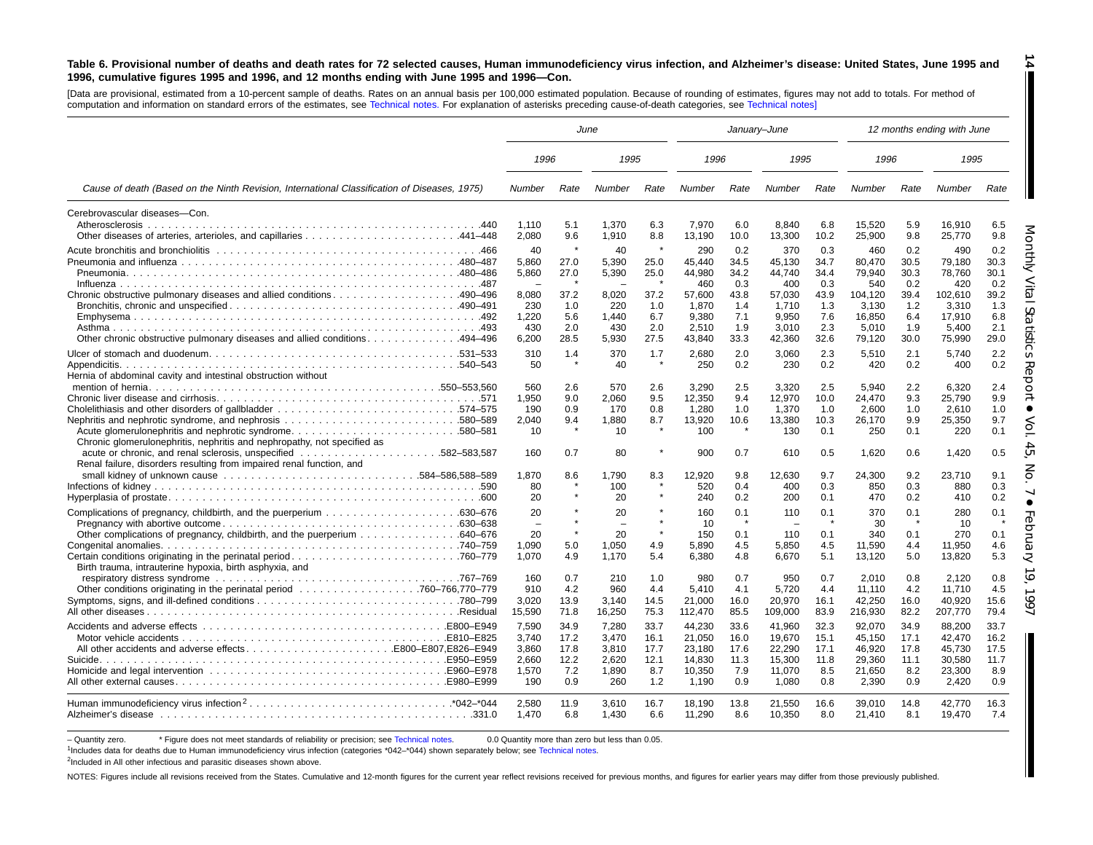#### Table 6. Provisional number of deaths and death rates for 72 selected causes, Human immunodeficiency virus infection, and Alzheimer's disease: United States, June 1995 and 1996, cumulative figures 1995 and 1996, and 12 months ending with June 1995 and 1996-Con.

**14**

I

[Data are provisional, estimated from <sup>a</sup> 10-percent sample of deaths. Rates on an annual basis per 100,000 estimated population. Because of rounding of estimates, figures may not add to totals. For method of computation and information on standard errors of the estimates, see [Technical](#page-16-0) notes. For explanation of asterisks preceding cause-of-death categories, see [Technical](#page-16-0) notes]

|                                                                                                                                   | June                              |              |                                |                |                  |                      | January-June     |              |                  |              | 12 months ending with June |              |
|-----------------------------------------------------------------------------------------------------------------------------------|-----------------------------------|--------------|--------------------------------|----------------|------------------|----------------------|------------------|--------------|------------------|--------------|----------------------------|--------------|
|                                                                                                                                   | 1996                              |              | 1995                           |                | 1996             |                      | 1995             |              | 1996             |              | 1995                       |              |
| Cause of death (Based on the Ninth Revision, International Classification of Diseases, 1975)                                      | Number                            | Rate         | Number                         | Rate           | Number           | Rate                 | Number           | Rate         | Number           | Rate         | Number                     | Rate         |
| Cerebrovascular diseases-Con.<br>Atherosclerosis                                                                                  | 1.110                             | 5.1          | 1,370                          | 6.3            | 7.970            | 6.0                  | 8.840            | 6.8          | 15,520           | 5.9          | 16,910                     | 6.5          |
|                                                                                                                                   | 2.080                             | 9.6          | 1,910                          | 8.8            | 13,190           | 10.0                 | 13,300           | 10.2         | 25,900           | 9.8          | 25,770                     | 9.8          |
|                                                                                                                                   | 40                                | $\star$      | 40                             | $\star$        | 290              | 0.2                  | 370              | 0.3          | 460              | 0.2          | 490                        | 0.2          |
|                                                                                                                                   | 5.860<br>5,860                    | 27.0<br>27.0 | 5,390<br>5,390                 | 25.0<br>25.0   | 45.440<br>44,980 | 34.5<br>34.2         | 45.130<br>44,740 | 34.7<br>34.4 | 80,470<br>79,940 | 30.5<br>30.3 | 79.180<br>78,760           | 30.3<br>30.1 |
| Chronic obstructive pulmonary diseases and allied conditions490-496                                                               | $\overline{\phantom{a}}$<br>8,080 | 37.2         | 8,020                          | 37.2           | 460<br>57,600    | 0.3<br>43.8          | 400<br>57,030    | 0.3<br>43.9  | 540<br>104,120   | 0.2<br>39.4  | 420<br>102,610             | 0.2<br>39.2  |
|                                                                                                                                   | 230                               | 1.0          | 220                            | 1.0            | 1.870            | 1.4                  | 1.710            | 1.3          | 3.130            | 1.2          | 3.310                      | 1.3          |
|                                                                                                                                   | 1,220                             | 5.6          | 1,440                          | 6.7            | 9,380            | 7.1                  | 9,950            | 7.6          | 16,850           | 6.4          | 17,910                     | 6.8          |
|                                                                                                                                   | 430                               | 2.0          | 430                            | 2.0            | 2.510            | 1.9                  | 3.010            | 2.3          | 5.010            | 1.9          | 5.400                      | 2.1          |
| 0ther chronic obstructive pulmonary diseases and allied conditions494–496                                                         | 6,200                             | 28.5         | 5,930                          | 27.5           | 43,840           | 33.3                 | 42,360           | 32.6         | 79,120           | 30.0         | 75,990                     | 29.0         |
|                                                                                                                                   | 310<br>50                         | 1.4          | 370<br>40                      | 1.7            | 2.680<br>250     | 2.0<br>0.2           | 3.060<br>230     | 2.3<br>0.2   | 5.510<br>420     | 2.1<br>0.2   | 5.740<br>400               | 2.2<br>0.2   |
| Hernia of abdominal cavity and intestinal obstruction without                                                                     |                                   |              |                                |                |                  |                      |                  |              |                  |              |                            |              |
|                                                                                                                                   | 560                               | 2.6          | 570                            | 2.6            | 3,290            | 2.5                  | 3.320            | 2.5          | 5,940            | 2.2          | 6,320                      | 2.4          |
|                                                                                                                                   | 1,950                             | 9.0          | 2,060                          | 9.5            | 12.350           | 9.4                  | 12,970           | 10.0         | 24,470           | 9.3          | 25.790                     | 9.9          |
|                                                                                                                                   | 190                               | 0.9          | 170                            | 0.8            | 1.280            | 1.0                  | 1.370            | 1.0          | 2,600            | 1.0          | 2.610                      | 1.0          |
| Acute glomerulonephritis and nephrotic syndrome580–581<br>Chronic glomerulonephritis, nephritis and nephropathy, not specified as | 2.040<br>10                       | 9.4          | 1.880<br>10                    | 8.7<br>$\star$ | 13,920<br>100    | 10.6<br>$\pmb{\ast}$ | 13,380<br>130    | 10.3<br>0.1  | 26,170<br>250    | 9.9<br>0.1   | 25,350<br>220              | 9.7<br>0.1   |
| Renal failure, disorders resulting from impaired renal function, and                                                              | 160                               | 0.7          | 80                             | $\star$        | 900              | 0.7                  | 610              | 0.5          | 1,620            | 0.6          | 1,420                      | 0.5          |
|                                                                                                                                   | 1.870                             | 8.6          | 1.790                          | 8.3            | 12.920           | 9.8                  | 12,630           | 9.7          | 24,300           | 9.2          | 23.710                     | 9.1          |
|                                                                                                                                   | 80<br>20                          |              | 100<br>20                      |                | 520<br>240       | 0.4<br>0.2           | 400<br>200       | 0.3<br>0.1   | 850<br>470       | 0.3<br>0.2   | 880<br>410                 | 0.3<br>0.2   |
|                                                                                                                                   |                                   |              |                                | $\star$        |                  |                      |                  |              |                  |              |                            |              |
|                                                                                                                                   | 20<br>$\equiv$                    |              | 20<br>$\overline{\phantom{0}}$ | $\star$        | 160<br>10        | 0.1<br>$\star$       | 110              | 0.1          | 370<br>30        | 0.1          | 280<br>10                  | 0.1          |
| Other complications of pregnancy, childbirth, and the puerperium 640–676                                                          | 20                                | $\star$      | 20                             | $\star$        | 150              | 0.1                  | 110              | 0.1          | 340              | 0.1          | 270                        | 0.1          |
|                                                                                                                                   | 1,090                             | 5.0          | 1.050                          | 4.9            | 5,890            | 4.5                  | 5,850            | 4.5          | 11,590           | 4.4          | 11,950                     | 4.6          |
| Birth trauma, intrauterine hypoxia, birth asphyxia, and                                                                           | 1,070                             | 4.9          | 1,170                          | 5.4            | 6,380            | 4.8                  | 6,670            | 5.1          | 13,120           | 5.0          | 13,820                     | 5.3          |
|                                                                                                                                   | 160<br>910                        | 0.7<br>4.2   | 210<br>960                     | 1.0<br>4.4     | 980<br>5.410     | 0.7<br>4.1           | 950<br>5.720     | 0.7<br>4.4   | 2,010<br>11.110  | 0.8<br>4.2   | 2,120<br>11.710            | 0.8<br>4.5   |
|                                                                                                                                   | 3,020                             | 13.9         | 3,140                          | 14.5           | 21,000           | 16.0                 | 20,970           | 16.1         | 42,250           | 16.0         | 40,920                     | 15.6         |
|                                                                                                                                   | 15,590                            | 71.8         | 16,250                         | 75.3           | 112,470          | 85.5                 | 109,000          | 83.9         | 216,930          | 82.2         | 207,770                    | 79.4         |
|                                                                                                                                   | 7,590                             | 34.9         | 7,280                          | 33.7           | 44,230           | 33.6                 | 41,960           | 32.3         | 92,070           | 34.9         | 88,200                     | 33.7         |
|                                                                                                                                   | 3.740                             | 17.2         | 3.470                          | 16.1           | 21.050           | 16.0                 | 19.670           | 15.1         | 45.150           | 17.1         | 42.470                     | 16.2         |
|                                                                                                                                   | 3,860                             | 17.8         | 3,810                          | 17.7           | 23,180           | 17.6                 | 22,290           | 17.1         | 46,920           | 17.8         | 45,730                     | 17.5         |
|                                                                                                                                   | 2.660                             | 12.2         | 2.620                          | 12.1           | 14.830           | 11.3                 | 15.300           | 11.8         | 29,360           | 11.1         | 30.580                     | 11.7         |
|                                                                                                                                   | 1,570<br>190                      | 7.2<br>0.9   | 1,890<br>260                   | 8.7<br>1.2     | 10,350<br>1,190  | 7.9<br>0.9           | 11,070<br>1,080  | 8.5<br>0.8   | 21,650<br>2,390  | 8.2<br>0.9   | 23,300<br>2,420            | 8.9<br>0.9   |
|                                                                                                                                   |                                   |              |                                |                |                  |                      |                  |              |                  |              |                            |              |
|                                                                                                                                   | 2.580<br>1.470                    | 11.9<br>6.8  | 3.610<br>1.430                 | 16.7<br>6.6    | 18.190<br>11,290 | 13.8<br>8.6          | 21,550<br>10,350 | 16.6<br>8.0  | 39.010<br>21,410 | 14.8<br>8.1  | 42.770<br>19,470           | 16.3<br>7.4  |

- Quantity zero. \* Figure does not meet standards of reliability or precision; see [Technical](#page-16-0) notes. 0.0 Quantity more than zero but less than 0.05.

1Includes data for deaths due to Human immunodeficiency virus infection (categories \*042–\*044) shown separately below; see [Technical](#page-16-0) notes.

<sup>2</sup>Included in All other infectious and parasitic diseases shown above.

NOTES: Figures include all revisions received from the States. Cumulative and 12-month figures for the current year reflect revisions received for previous months, and figures for earlier years may differ from those previo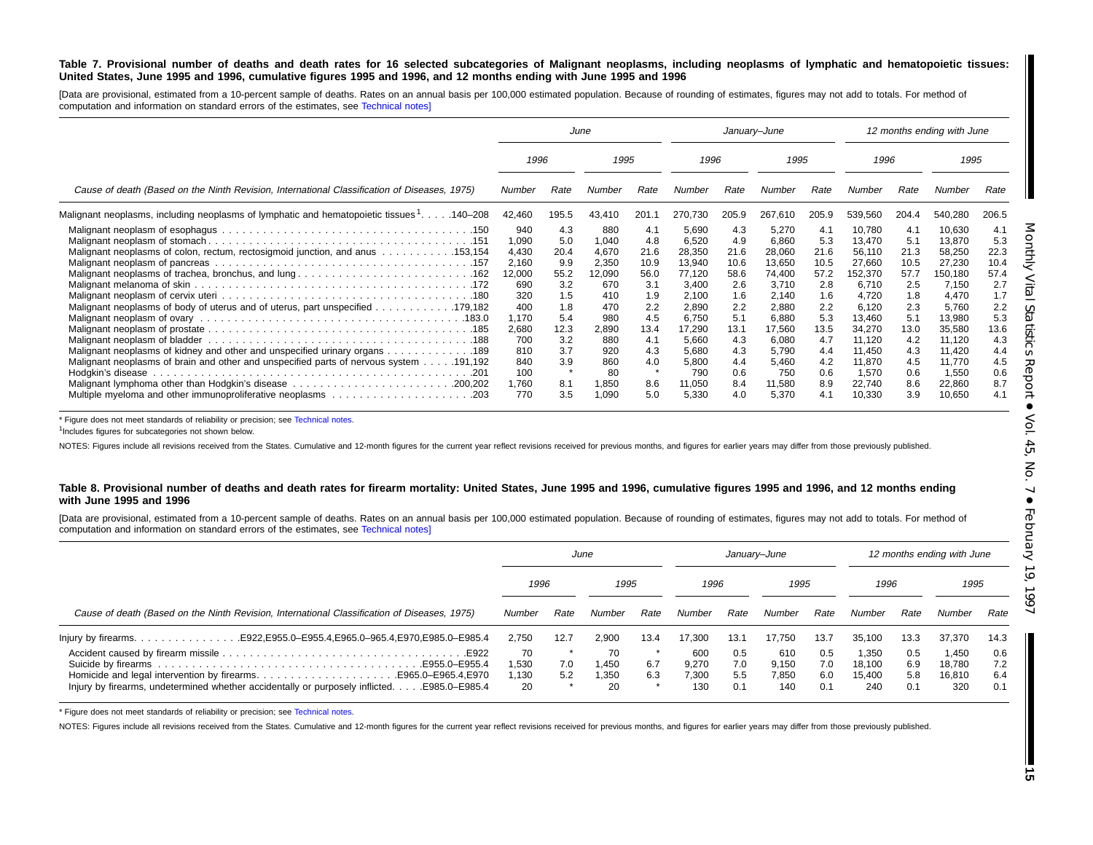#### Table 7. Provisional number of deaths and death rates for 16 selected subcategories of Malignant neoplasms, including neoplasms of lymphatic and hematopoietic tissues: United States, June 1995 and 1996, cumulative figures 1995 and 1996, and 12 months ending with June 1995 and 1996

[Data are provisional, estimated from a 10-percent sample of deaths. Rates on an annual basis per 100,000 estimated population. Because of rounding of estimates, figures may not add to totals. For method of computation and information on standard errors of the estimates, see [Technical](#page-16-0) notes]

|                                                                                                                                                                      |                                                                                        |                                                                              | June                                                                                 |                                                                               |                                                                                                     | January-June                                                                  |                                                                                                     |                                                                               |                                                                                                          | 12 months ending with June                                                    |                                                                                                          |                                                                               |
|----------------------------------------------------------------------------------------------------------------------------------------------------------------------|----------------------------------------------------------------------------------------|------------------------------------------------------------------------------|--------------------------------------------------------------------------------------|-------------------------------------------------------------------------------|-----------------------------------------------------------------------------------------------------|-------------------------------------------------------------------------------|-----------------------------------------------------------------------------------------------------|-------------------------------------------------------------------------------|----------------------------------------------------------------------------------------------------------|-------------------------------------------------------------------------------|----------------------------------------------------------------------------------------------------------|-------------------------------------------------------------------------------|
|                                                                                                                                                                      | 1996                                                                                   |                                                                              | 1995                                                                                 |                                                                               | 1996                                                                                                |                                                                               | 1995                                                                                                |                                                                               | 1996                                                                                                     |                                                                               | 1995                                                                                                     |                                                                               |
| Cause of death (Based on the Ninth Revision, International Classification of Diseases, 1975)                                                                         | Number                                                                                 | Rate                                                                         | Number                                                                               | Rate                                                                          | Number                                                                                              | Rate                                                                          | Number                                                                                              | Rate                                                                          | Numbei                                                                                                   | Rate                                                                          | Number                                                                                                   | Rate                                                                          |
| Malignant neoplasms, including neoplasms of lymphatic and hematopoietic tissues 1. 140–208                                                                           | 42,460                                                                                 | 195.5                                                                        | 43,410                                                                               | 201.1                                                                         | 270,730                                                                                             | 205.9                                                                         | 267,610                                                                                             | 205.9                                                                         | 539,560                                                                                                  | 204.4                                                                         | 540,280                                                                                                  | 206.5                                                                         |
| Malignant neoplasms of colon, rectum, rectosigmoid junction, and anus 153,154<br>Malignant neoplasms of trachea, bronchus, and lung 162                              | 940<br>1,090<br>4,430<br>2,160<br>12,000<br>690<br>320<br>400<br>1,170<br>2,680<br>700 | 4.3<br>5.0<br>20.4<br>9.9<br>55.2<br>3.2<br>1.5<br>1.8<br>5.4<br>12.3<br>3.2 | 880<br>1,040<br>4,670<br>2,350<br>12,090<br>670<br>410<br>470<br>980<br>2,890<br>880 | 4.1<br>4.8<br>21.6<br>10.9<br>56.0<br>3.1<br>1.9<br>2.2<br>4.5<br>13.4<br>4.1 | 5,690<br>6,520<br>28,350<br>13,940<br>77,120<br>3,400<br>2,100<br>2,890<br>6,750<br>17,290<br>5,660 | 4.3<br>4.9<br>21.6<br>10.6<br>58.6<br>2.6<br>1.6<br>2.2<br>5.1<br>13.1<br>4.3 | 5,270<br>6,860<br>28,060<br>13,650<br>74,400<br>3,710<br>2,140<br>2,880<br>6,880<br>17,560<br>6,080 | 4.1<br>5.3<br>21.6<br>10.5<br>57.2<br>2.8<br>1.6<br>2.2<br>5.3<br>13.5<br>4.7 | 10.780<br>13,470<br>56,110<br>27,660<br>152,370<br>6,710<br>4,720<br>6,120<br>13,460<br>34,270<br>11.120 | 4.1<br>5.1<br>21.3<br>10.5<br>57.7<br>2.5<br>1.8<br>2.3<br>5.1<br>13.0<br>4.2 | 10,630<br>13,870<br>58,250<br>27,230<br>150,180<br>7,150<br>4,470<br>5,760<br>13,980<br>35,580<br>11,120 | 4.1<br>5.3<br>22.3<br>10.4<br>57.4<br>2.7<br>1.7<br>2.2<br>5.3<br>13.6<br>4.3 |
| Malignant neoplasms of kidney and other and unspecified urinary organs 189<br>Malignant neoplasms of brain and other and unspecified parts of nervous system 191,192 | 810<br>840<br>100<br>1,760<br>770                                                      | 3.7<br>3.9<br>8.1<br>3.5                                                     | 920<br>860<br>80<br>1,850<br>1,090                                                   | 4.3<br>4.0<br>$\star$<br>8.6<br>5.0                                           | 5,680<br>5,800<br>790<br>11,050<br>5,330                                                            | 4.3<br>4.4<br>0.6<br>8.4<br>4.0                                               | 5,790<br>5,460<br>750<br>11,580<br>5,370                                                            | 4.4<br>4.2<br>0.6<br>8.9<br>4.1                                               | 11,450<br>11,870<br>1.570<br>22,740<br>10,330                                                            | 4.3<br>4.5<br>0.6<br>8.6<br>3.9                                               | 11,420<br>11,770<br>1,550<br>22,860<br>10,650                                                            | 4.4<br>4.5<br>0.6<br>8.7<br>4.1                                               |

\* Figure does not meet standards of reliability or precision; see [Technical](#page-16-0) notes.

<sup>1</sup>Includes figures for subcategories not shown below.

NOTES: Figures include all revisions received from the States. Cumulative and 12-month figures for the current year reflect revisions received for previous months, and figures for earlier years may differ from those previo

#### Table 8. Provisional number of deaths and death rates for firearm mortality: United States, June 1995 and 1996, cumulative figures 1995 and 1996, and 12 months ending **with June 1995 and 1996**

[Data are provisional, estimated from a 10-percent sample of deaths. Rates on an annual basis per 100,000 estimated population. Because of rounding of estimates, figures may not add to totals. For method of computation and information on standard errors of the estimates, see [Technical](#page-16-0) notes]

|                                                                                                                                                               |                            |            | June                      |            |                              |                          | January-June                 |                          |                                  |                          | 12 months ending with June       |                          |
|---------------------------------------------------------------------------------------------------------------------------------------------------------------|----------------------------|------------|---------------------------|------------|------------------------------|--------------------------|------------------------------|--------------------------|----------------------------------|--------------------------|----------------------------------|--------------------------|
|                                                                                                                                                               | 1996                       |            | 1995                      |            | 1996                         |                          | 1995                         |                          | 1996                             |                          | 1995                             |                          |
| Cause of death (Based on the Ninth Revision, International Classification of Diseases, 1975)                                                                  | Number                     | Rate       | Number                    | Rate       | Number                       | Rate                     | Number                       | Rate                     | Number                           | Rate                     | Number                           | Rate                     |
|                                                                                                                                                               | 2.750                      | 12.7       | 2.900                     | 13.4       | 17.300                       | 13.1                     | 17.750                       | 13.7                     | 35.100                           | 13.3                     | 37,370                           | 14.3                     |
| Homicide and legal intervention by firearmsE965.0–E965.4, E970<br>Injury by firearms, undetermined whether accidentally or purposely inflicted. E985.0–E985.4 | 70<br>1.530<br>1.130<br>20 | 7.0<br>5.2 | 70<br>1.450<br>.350<br>20 | 6.7<br>6.3 | 600<br>9.270<br>7.300<br>130 | 0.5<br>7.0<br>5.5<br>0.1 | 610<br>9.150<br>7.850<br>140 | 0.5<br>7.0<br>6.0<br>0.1 | 1.350<br>18.100<br>15.400<br>240 | 0.5<br>6.9<br>5.8<br>0.1 | 1.450<br>18.780<br>16.810<br>320 | 0.6<br>7.2<br>6.4<br>0.1 |

\* Figure does not meet standards of reliability or precision; see [Technical](#page-16-0) notes.

NOTES: Figures include all revisions received from the States. Cumulative and 12-month figures for the current year reflect revisions received for previous months, and figures for earlier years may differ from those previo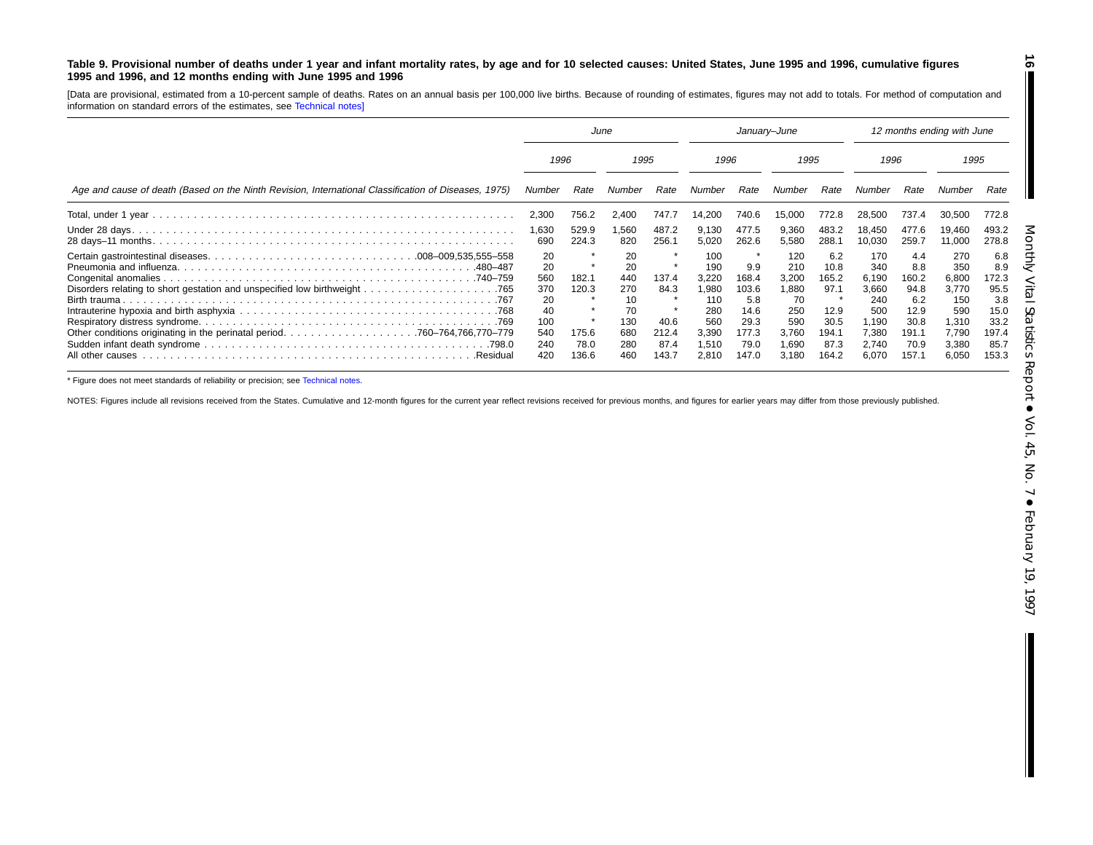#### Table 9. Provisional number of deaths under 1 year and infant mortality rates, by age and for 10 selected causes: United States, June 1995 and 1996, cumulative figures **1995 and 1996, and 12 months ending with June 1995 and 1996**

[Data are provisional, estimated from <sup>a</sup> 10-percent sample of deaths. Rates on an annual basis per 100,000 live births. Because of rounding of estimates, figures may not add to totals. For method of computation and information on standard errors of the estimates, see [Technical](#page-16-0) notes]

|                                                                                                      | June                                             |                         |                                                  |                                | January-June                                               |                                                       |                                                           |                                                       | 12 months ending with June                                   |                                                             |                                                              |                                                             |
|------------------------------------------------------------------------------------------------------|--------------------------------------------------|-------------------------|--------------------------------------------------|--------------------------------|------------------------------------------------------------|-------------------------------------------------------|-----------------------------------------------------------|-------------------------------------------------------|--------------------------------------------------------------|-------------------------------------------------------------|--------------------------------------------------------------|-------------------------------------------------------------|
|                                                                                                      | 1996                                             |                         | 1995                                             |                                | 1996                                                       |                                                       | 1995                                                      |                                                       | 1996                                                         |                                                             | 1995                                                         |                                                             |
| Age and cause of death (Based on the Ninth Revision, International Classification of Diseases, 1975) | Number                                           | Rate                    | Number                                           | Rate                           | Number                                                     | Rate                                                  | Number                                                    | Rate                                                  | Number                                                       | Rate                                                        | Number                                                       | Rate                                                        |
|                                                                                                      | 2,300                                            | 756.2                   | 2,400                                            | 747.                           | 14,200                                                     | 740.6                                                 | 15,000                                                    | 772.8                                                 | 28,500                                                       | 737.4                                                       | 30,500                                                       | 772.8                                                       |
|                                                                                                      | .630 ا<br>690                                    | 529.9<br>224.3          | 1,560<br>820                                     | 487.2<br>256.1                 | 9,130<br>5,020                                             | 477.5<br>262.6                                        | 9,360<br>5,580                                            | 483.2<br>288.1                                        | 18,450<br>10,030                                             | 477.6<br>259.7                                              | 19,460<br>11,000                                             | 493.2<br>278.8                                              |
| .480–487<br>Birth trauma                                                                             | 20<br>20<br>560<br>370<br>20<br>40<br>100<br>540 | 182.1<br>120.3<br>175.6 | 20<br>20<br>440<br>270<br>10<br>70<br>130<br>680 | 137.4<br>84.3<br>40.6<br>212.4 | 100<br>190<br>3,220<br>1,980<br>110<br>280<br>560<br>3,390 | 9.9<br>168.4<br>103.6<br>5.8<br>14.6<br>29.3<br>177.3 | 120<br>210<br>3.200<br>1,880<br>70<br>250<br>590<br>3,760 | 6.2<br>10.8<br>165.2<br>97.1<br>12.9<br>30.5<br>194.1 | 170<br>340<br>6,190<br>3,660<br>240<br>500<br>1,190<br>7,380 | 4.4<br>8.8<br>160.2<br>94.8<br>6.2<br>12.9<br>30.8<br>191.1 | 270<br>350<br>6,800<br>3,770<br>150<br>590<br>1,310<br>7,790 | 6.8<br>8.9<br>172.3<br>95.5<br>3.8<br>15.0<br>33.2<br>197.4 |
| .Residual                                                                                            | 240<br>420                                       | 78.0<br>136.6           | 280<br>460                                       | 87.4<br>143.7                  | 1,510<br>2,810                                             | 79.0<br>147.0                                         | 1,690<br>3,180                                            | 87.3<br>164.2                                         | 2.740<br>6.070                                               | 70.9<br>157.1                                               | 3,380<br>6,050                                               | 85.7<br>153.3                                               |

\* Figure does not meet standards of reliability or precision; see [Technical](#page-16-0) notes.

NOTES: Figures include all revisions received from the States. Cumulative and 12-month figures for the current year reflect revisions received for previous months, and figures for earlier years may differ from those previo

**16**

 $\blacksquare$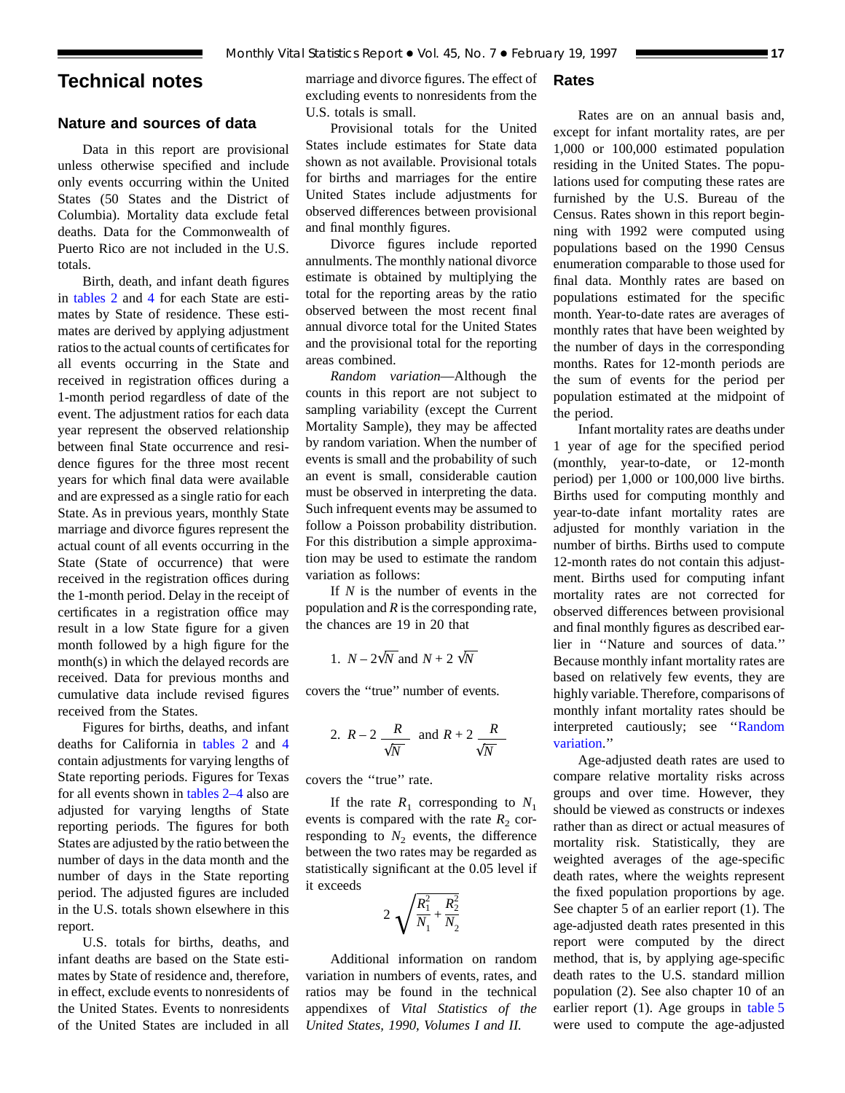## <span id="page-16-0"></span>**Technical notes**

## **Nature and sources of data**

Data in this report are provisional unless otherwise specified and include only events occurring within the United States (50 States and the District of Columbia). Mortality data exclude fetal deaths. Data for the Commonwealth of Puerto Rico are not included in the U.S. totals.

Birth, death, and infant death figures in [tables 2](#page-6-0) and [4](#page-8-0) for each State are estimates by State of residence. These estimates are derived by applying adjustment ratios to the actual counts of certificates for all events occurring in the State and received in registration offices during a 1-month period regardless of date of the event. The adjustment ratios for each data year represent the observed relationship between final State occurrence and residence figures for the three most recent years for which final data were available and are expressed as a single ratio for each State. As in previous years, monthly State marriage and divorce figures represent the actual count of all events occurring in the State (State of occurrence) that were received in the registration offices during the 1-month period. Delay in the receipt of certificates in a registration office may result in a low State figure for a given month followed by a high figure for the month(s) in which the delayed records are received. Data for previous months and cumulative data include revised figures received from the States.

Figures for births, deaths, and infant deaths for California in [tables 2](#page-6-0) and [4](#page-8-0) contain adjustments for varying lengths of State reporting periods. Figures for Texas for all events shown in [tables 2–4](#page-6-0) also are adjusted for varying lengths of State reporting periods. The figures for both States are adjusted by the ratio between the number of days in the data month and the number of days in the State reporting period. The adjusted figures are included in the U.S. totals shown elsewhere in this report.

U.S. totals for births, deaths, and infant deaths are based on the State estimates by State of residence and, therefore, in effect, exclude events to nonresidents of the United States. Events to nonresidents of the United States are included in all

marriage and divorce figures. The effect of excluding events to nonresidents from the U.S. totals is small.

Provisional totals for the United States include estimates for State data shown as not available. Provisional totals for births and marriages for the entire United States include adjustments for observed differences between provisional and final monthly figures.

Divorce figures include reported annulments. The monthly national divorce estimate is obtained by multiplying the total for the reporting areas by the ratio observed between the most recent final annual divorce total for the United States and the provisional total for the reporting areas combined.

*Random variation*—Although the counts in this report are not subject to sampling variability (except the Current Mortality Sample), they may be affected by random variation. When the number of events is small and the probability of such an event is small, considerable caution must be observed in interpreting the data. Such infrequent events may be assumed to follow a Poisson probability distribution. For this distribution a simple approximation may be used to estimate the random variation as follows:

If *N* is the number of events in the population and *R* is the corresponding rate, the chances are 19 in 20 that

1. 
$$
N - 2\sqrt{N}
$$
 and  $N + 2\sqrt{N}$ 

covers the ''true'' number of events.

2. 
$$
R-2
$$
  $\frac{R}{\sqrt{N}}$  and  $R+2$   $\frac{R}{\sqrt{N}}$ 

covers the ''true'' rate.

If the rate  $R_1$  corresponding to  $N_1$ events is compared with the rate  $R_2$  corresponding to  $N_2$  events, the difference between the two rates may be regarded as statistically significant at the 0.05 level if it exceeds

$$
2\sqrt{\frac{R_1^2}{N_1} + \frac{R_2^2}{N_2}}
$$

Additional information on random variation in numbers of events, rates, and ratios may be found in the technical appendixes of *Vital Statistics of the United States, 1990, Volumes I and II.*

## **Rates**

Rates are on an annual basis and, except for infant mortality rates, are per 1,000 or 100,000 estimated population residing in the United States. The populations used for computing these rates are furnished by the U.S. Bureau of the Census. Rates shown in this report beginning with 1992 were computed using populations based on the 1990 Census enumeration comparable to those used for final data. Monthly rates are based on populations estimated for the specific month. Year-to-date rates are averages of monthly rates that have been weighted by the number of days in the corresponding months. Rates for 12-month periods are the sum of events for the period per population estimated at the midpoint of the period.

Infant mortality rates are deaths under 1 year of age for the specified period (monthly, year-to-date, or 12-month period) per 1,000 or 100,000 live births. Births used for computing monthly and year-to-date infant mortality rates are adjusted for monthly variation in the number of births. Births used to compute 12-month rates do not contain this adjustment. Births used for computing infant mortality rates are not corrected for observed differences between provisional and final monthly figures as described earlier in ''Nature and sources of data.'' Because monthly infant mortality rates are based on relatively few events, they are highly variable. Therefore, comparisons of monthly infant mortality rates should be interpreted cautiously; see ''Random variation.''

Age-adjusted death rates are used to compare relative mortality risks across groups and over time. However, they should be viewed as constructs or indexes rather than as direct or actual measures of mortality risk. Statistically, they are weighted averages of the age-specific death rates, where the weights represent the fixed population proportions by age. See chapter 5 of an earlier report (1). The age-adjusted death rates presented in this report were computed by the direct method, that is, by applying age-specific death rates to the U.S. standard million population (2). See also chapter 10 of an earlier report (1). Age groups in [table 5](#page-9-0) were used to compute the age-adjusted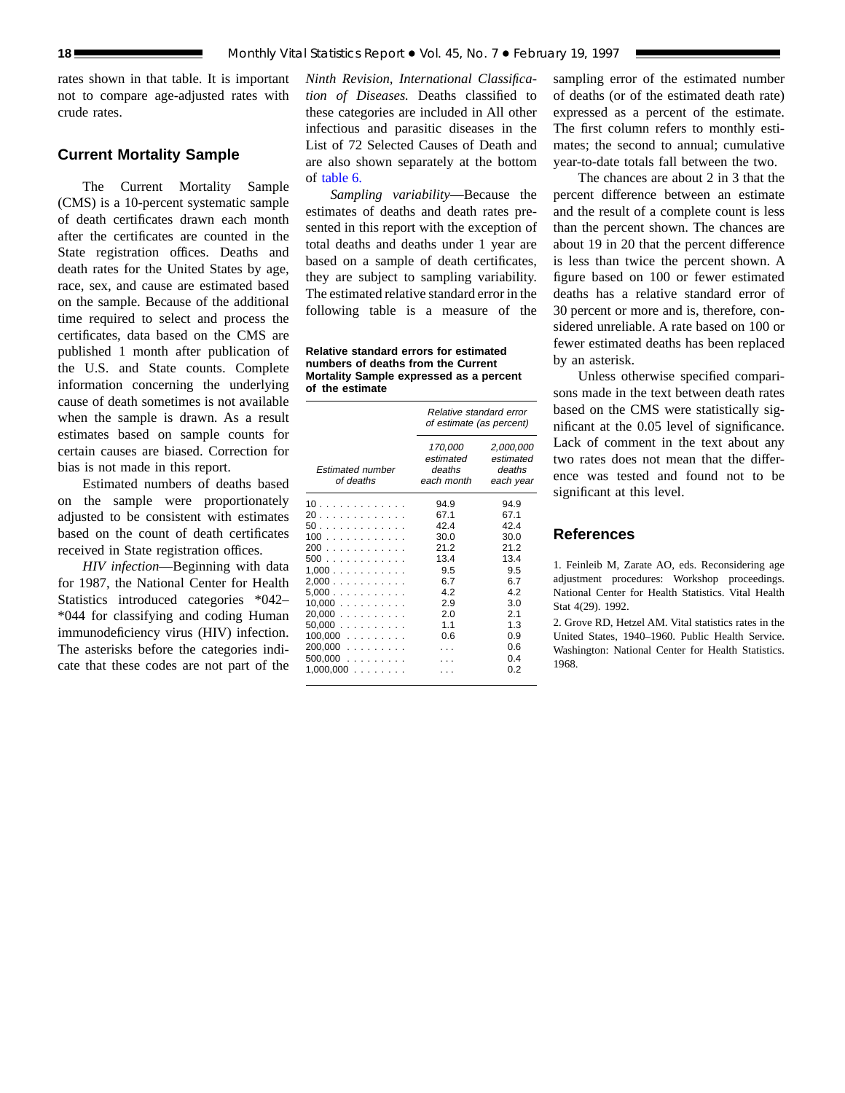rates shown in that table. It is important not to compare age-adjusted rates with crude rates.

## **Current Mortality Sample**

The Current Mortality Sample (CMS) is a 10-percent systematic sample of death certificates drawn each month after the certificates are counted in the State registration offices. Deaths and death rates for the United States by age, race, sex, and cause are estimated based on the sample. Because of the additional time required to select and process the certificates, data based on the CMS are published 1 month after publication of the U.S. and State counts. Complete information concerning the underlying cause of death sometimes is not available when the sample is drawn. As a result estimates based on sample counts for certain causes are biased. Correction for bias is not made in this report.

Estimated numbers of deaths based on the sample were proportionately adjusted to be consistent with estimates based on the count of death certificates received in State registration offices.

*HIV infection*—Beginning with data for 1987, the National Center for Health Statistics introduced categories \*042– \*044 for classifying and coding Human immunodeficiency virus (HIV) infection. The asterisks before the categories indicate that these codes are not part of the

*Ninth Revision, International Classification of Diseases.* Deaths classified to these categories are included in All other infectious and parasitic diseases in the List of 72 Selected Causes of Death and are also shown separately at the bottom of [table 6.](#page-12-0)

*Sampling variability*—Because the estimates of deaths and death rates presented in this report with the exception of total deaths and deaths under 1 year are based on a sample of death certificates, they are subject to sampling variability. The estimated relative standard error in the following table is a measure of the

**Relative standard errors for estimated numbers of deaths from the Current Mortality Sample expressed as a percent of the estimate**

|                                                                                                                                      | Relative standard error<br>of estimate (as percent)                                         |                                                                                                          |
|--------------------------------------------------------------------------------------------------------------------------------------|---------------------------------------------------------------------------------------------|----------------------------------------------------------------------------------------------------------|
| <b>Estimated number</b><br>of deaths                                                                                                 | 170,000<br>estimated<br>deaths<br>each month                                                | 2,000,000<br>estimated<br>deaths<br>each year                                                            |
| 10<br>20<br>50.<br>100<br>200<br>500<br>1.000<br>2,000<br>5,000<br>10,000<br>20,000<br>50.000<br>$100,000$<br>$200,000$<br>$500,000$ | 94.9<br>67.1<br>424<br>30.0<br>212<br>13.4<br>9.5<br>6.7<br>4.2<br>2.9<br>2.0<br>1.1<br>0.6 | 94.9<br>67.1<br>424<br>30.0<br>21.2<br>13.4<br>9.5<br>6.7<br>42<br>3.0<br>2.1<br>1.3<br>0.9<br>0.6<br>04 |
| $1,000,000$                                                                                                                          |                                                                                             | 0 2                                                                                                      |

sampling error of the estimated number of deaths (or of the estimated death rate) expressed as a percent of the estimate. The first column refers to monthly estimates; the second to annual; cumulative year-to-date totals fall between the two.

The chances are about 2 in 3 that the percent difference between an estimate and the result of a complete count is less than the percent shown. The chances are about 19 in 20 that the percent difference is less than twice the percent shown. A figure based on 100 or fewer estimated deaths has a relative standard error of 30 percent or more and is, therefore, considered unreliable. A rate based on 100 or fewer estimated deaths has been replaced by an asterisk.

Unless otherwise specified comparisons made in the text between death rates based on the CMS were statistically significant at the 0.05 level of significance. Lack of comment in the text about any two rates does not mean that the difference was tested and found not to be significant at this level.

## **References**

1. Feinleib M, Zarate AO, eds. Reconsidering age adjustment procedures: Workshop proceedings. National Center for Health Statistics. Vital Health Stat 4(29). 1992.

2. Grove RD, Hetzel AM. Vital statistics rates in the United States, 1940–1960. Public Health Service. Washington: National Center for Health Statistics. 1968.